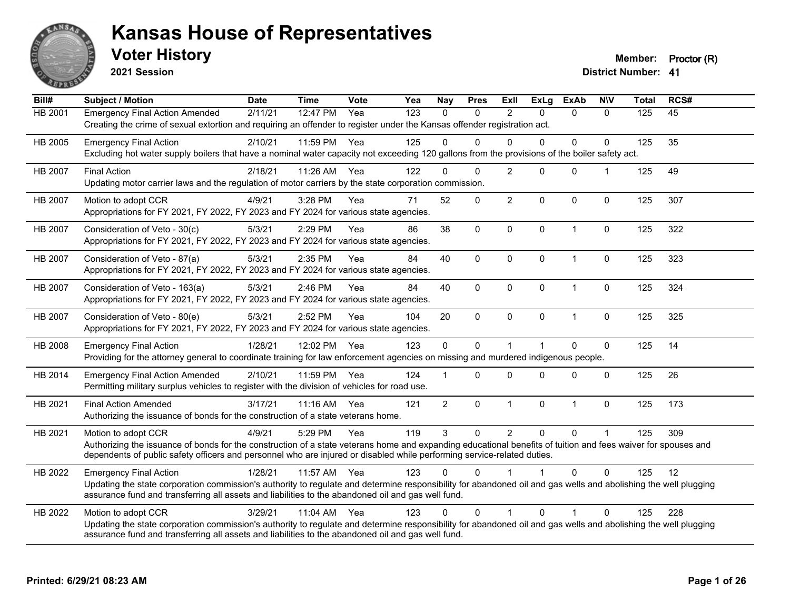

**2021 Session**

**Voter History Member: Proctor (R)** 

| Bill#          | <b>Subject / Motion</b>                                                                                                                                                                                                                                                                                         | <b>Date</b> | <b>Time</b> | <b>Vote</b> | Yea | <b>Nay</b>     | <b>Pres</b>  | Exll           | <b>ExLg</b>          | <b>ExAb</b>    | <b>NIV</b>  | <b>Total</b> | RCS# |
|----------------|-----------------------------------------------------------------------------------------------------------------------------------------------------------------------------------------------------------------------------------------------------------------------------------------------------------------|-------------|-------------|-------------|-----|----------------|--------------|----------------|----------------------|----------------|-------------|--------------|------|
| HB 2001        | <b>Emergency Final Action Amended</b><br>Creating the crime of sexual extortion and requiring an offender to register under the Kansas offender registration act.                                                                                                                                               | 2/11/21     | 12:47 PM    | Yea         | 123 | $\mathbf{0}$   | $\Omega$     | $\overline{2}$ | $\Omega$             | $\mathbf{0}$   | $\Omega$    | 125          | 45   |
| HB 2005        | <b>Emergency Final Action</b><br>Excluding hot water supply boilers that have a nominal water capacity not exceeding 120 gallons from the provisions of the boiler safety act.                                                                                                                                  | 2/10/21     | 11:59 PM    | Yea         | 125 | $\Omega$       | $\Omega$     | $\Omega$       | $\Omega$             | 0              | $\Omega$    | 125          | 35   |
| <b>HB 2007</b> | <b>Final Action</b><br>Updating motor carrier laws and the regulation of motor carriers by the state corporation commission.                                                                                                                                                                                    | 2/18/21     | 11:26 AM    | Yea         | 122 | $\Omega$       | $\Omega$     | $\overline{2}$ | $\Omega$             | $\mathbf{0}$   |             | 125          | 49   |
| <b>HB 2007</b> | Motion to adopt CCR<br>Appropriations for FY 2021, FY 2022, FY 2023 and FY 2024 for various state agencies.                                                                                                                                                                                                     | 4/9/21      | 3:28 PM     | Yea         | 71  | 52             | $\mathbf 0$  | $\overline{c}$ | 0                    | $\mathbf 0$    | $\mathbf 0$ | 125          | 307  |
| HB 2007        | Consideration of Veto - 30(c)<br>Appropriations for FY 2021, FY 2022, FY 2023 and FY 2024 for various state agencies.                                                                                                                                                                                           | 5/3/21      | 2:29 PM     | Yea         | 86  | 38             | $\mathbf 0$  | $\mathbf 0$    | $\mathbf{0}$         | $\overline{1}$ | $\mathbf 0$ | 125          | 322  |
| <b>HB 2007</b> | Consideration of Veto - 87(a)<br>Appropriations for FY 2021, FY 2022, FY 2023 and FY 2024 for various state agencies.                                                                                                                                                                                           | 5/3/21      | 2:35 PM     | Yea         | 84  | 40             | $\mathbf{0}$ | $\Omega$       | $\Omega$             | $\overline{1}$ | 0           | 125          | 323  |
| HB 2007        | Consideration of Veto - 163(a)<br>Appropriations for FY 2021, FY 2022, FY 2023 and FY 2024 for various state agencies.                                                                                                                                                                                          | 5/3/21      | 2:46 PM     | Yea         | 84  | 40             | $\mathbf 0$  | $\mathbf 0$    | 0                    | $\mathbf{1}$   | $\pmb{0}$   | 125          | 324  |
| HB 2007        | Consideration of Veto - 80(e)<br>Appropriations for FY 2021, FY 2022, FY 2023 and FY 2024 for various state agencies.                                                                                                                                                                                           | 5/3/21      | 2:52 PM     | Yea         | 104 | 20             | $\mathbf 0$  | $\Omega$       | $\Omega$             | $\overline{1}$ | $\mathbf 0$ | 125          | 325  |
| HB 2008        | <b>Emergency Final Action</b><br>Providing for the attorney general to coordinate training for law enforcement agencies on missing and murdered indigenous people.                                                                                                                                              | 1/28/21     | 12:02 PM    | Yea         | 123 | $\mathbf 0$    | $\Omega$     | $\overline{1}$ | $\blacktriangleleft$ | $\Omega$       | $\mathbf 0$ | 125          | 14   |
| HB 2014        | <b>Emergency Final Action Amended</b><br>Permitting military surplus vehicles to register with the division of vehicles for road use.                                                                                                                                                                           | 2/10/21     | 11:59 PM    | Yea         | 124 |                | $\Omega$     | $\Omega$       | $\Omega$             | $\Omega$       | $\Omega$    | 125          | 26   |
| HB 2021        | <b>Final Action Amended</b><br>Authorizing the issuance of bonds for the construction of a state veterans home.                                                                                                                                                                                                 | 3/17/21     | 11:16 AM    | Yea         | 121 | $\overline{2}$ | $\mathbf 0$  | $\mathbf{1}$   | 0                    | $\mathbf{1}$   | $\mathbf 0$ | 125          | 173  |
| HB 2021        | Motion to adopt CCR<br>Authorizing the issuance of bonds for the construction of a state veterans home and expanding educational benefits of tuition and fees waiver for spouses and<br>dependents of public safety officers and personnel who are injured or disabled while performing service-related duties. | 4/9/21      | 5:29 PM     | Yea         | 119 | 3              | $\Omega$     | $\overline{2}$ | $\Omega$             | $\Omega$       |             | 125          | 309  |
| HB 2022        | <b>Emergency Final Action</b><br>Updating the state corporation commission's authority to regulate and determine responsibility for abandoned oil and gas wells and abolishing the well plugging<br>assurance fund and transferring all assets and liabilities to the abandoned oil and gas well fund.          | 1/28/21     | 11:57 AM    | Yea         | 123 | $\Omega$       | $\Omega$     |                |                      | $\Omega$       | $\Omega$    | 125          | 12   |
| HB 2022        | Motion to adopt CCR<br>Updating the state corporation commission's authority to regulate and determine responsibility for abandoned oil and gas wells and abolishing the well plugging<br>assurance fund and transferring all assets and liabilities to the abandoned oil and gas well fund.                    | 3/29/21     | 11:04 AM    | Yea         | 123 | $\Omega$       | $\Omega$     | 1              | $\Omega$             | 1              | $\Omega$    | 125          | 228  |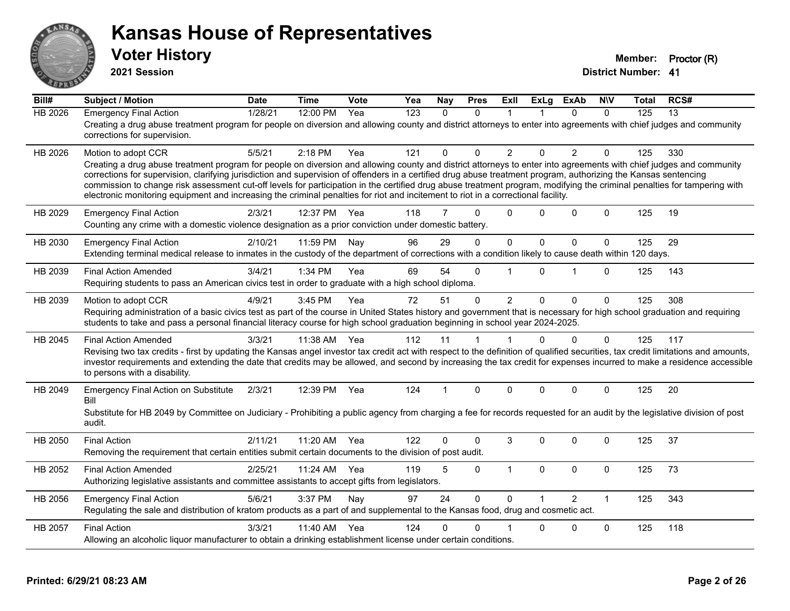

**2021 Session**

| Bill#          | <b>Subject / Motion</b>                                                                                                                                                                                                                                                                                                                                                                                                                                                                                                                                                                                                                                                         | <b>Date</b> | <b>Time</b> | Vote | Yea              | Nay          | <b>Pres</b>  | ExIl           | <b>ExLg</b>  | <b>ExAb</b>    | <b>NIV</b>   | Total | RCS#            |
|----------------|---------------------------------------------------------------------------------------------------------------------------------------------------------------------------------------------------------------------------------------------------------------------------------------------------------------------------------------------------------------------------------------------------------------------------------------------------------------------------------------------------------------------------------------------------------------------------------------------------------------------------------------------------------------------------------|-------------|-------------|------|------------------|--------------|--------------|----------------|--------------|----------------|--------------|-------|-----------------|
| <b>HB 2026</b> | <b>Emergency Final Action</b><br>Creating a drug abuse treatment program for people on diversion and allowing county and district attorneys to enter into agreements with chief judges and community<br>corrections for supervision.                                                                                                                                                                                                                                                                                                                                                                                                                                            | 1/28/21     | 12:00 PM    | Yea  | $\overline{123}$ | $\mathbf{0}$ | $\Omega$     | 1              |              | $\Omega$       | $\Omega$     | 125   | $\overline{13}$ |
| HB 2026        | Motion to adopt CCR<br>Creating a drug abuse treatment program for people on diversion and allowing county and district attorneys to enter into agreements with chief judges and community<br>corrections for supervision, clarifying jurisdiction and supervision of offenders in a certified drug abuse treatment program, authorizing the Kansas sentencing<br>commission to change risk assessment cut-off levels for participation in the certified drug abuse treatment program, modifying the criminal penalties for tampering with<br>electronic monitoring equipment and increasing the criminal penalties for riot and incitement to riot in a correctional facility. | 5/5/21      | $2:18$ PM   | Yea  | 121              | 0            | $\Omega$     | $\overline{2}$ | $\Omega$     | $\overline{2}$ | $\Omega$     | 125   | 330             |
| HB 2029        | <b>Emergency Final Action</b><br>Counting any crime with a domestic violence designation as a prior conviction under domestic battery.                                                                                                                                                                                                                                                                                                                                                                                                                                                                                                                                          | 2/3/21      | 12:37 PM    | Yea  | 118              | 7            | $\Omega$     | $\Omega$       | 0            | $\Omega$       | $\Omega$     | 125   | 19              |
| HB 2030        | <b>Emergency Final Action</b><br>Extending terminal medical release to inmates in the custody of the department of corrections with a condition likely to cause death within 120 days.                                                                                                                                                                                                                                                                                                                                                                                                                                                                                          | 2/10/21     | 11:59 PM    | Nay  | 96               | 29           | $\Omega$     | $\mathbf{0}$   | $\mathbf{0}$ | $\Omega$       | $\mathbf 0$  | 125   | 29              |
| HB 2039        | <b>Final Action Amended</b><br>Requiring students to pass an American civics test in order to graduate with a high school diploma.                                                                                                                                                                                                                                                                                                                                                                                                                                                                                                                                              | 3/4/21      | 1:34 PM     | Yea  | 69               | 54           | $\Omega$     | $\overline{1}$ | $\Omega$     | 1              | $\Omega$     | 125   | 143             |
| HB 2039        | Motion to adopt CCR<br>Requiring administration of a basic civics test as part of the course in United States history and government that is necessary for high school graduation and requiring<br>students to take and pass a personal financial literacy course for high school graduation beginning in school year 2024-2025.                                                                                                                                                                                                                                                                                                                                                | 4/9/21      | 3:45 PM     | Yea  | 72               | 51           | $\mathbf{0}$ | $\overline{2}$ | $\Omega$     | $\Omega$       | $\mathbf{0}$ | 125   | 308             |
| HB 2045        | <b>Final Action Amended</b><br>Revising two tax credits - first by updating the Kansas angel investor tax credit act with respect to the definition of qualified securities, tax credit limitations and amounts,<br>investor requirements and extending the date that credits may be allowed, and second by increasing the tax credit for expenses incurred to make a residence accessible<br>to persons with a disability.                                                                                                                                                                                                                                                     | 3/3/21      | 11:38 AM    | Yea  | 112              | 11           | 1            | $\mathbf{1}$   | $\Omega$     | $\Omega$       | $\mathbf{0}$ | 125   | 117             |
| HB 2049        | <b>Emergency Final Action on Substitute</b><br>Bill<br>Substitute for HB 2049 by Committee on Judiciary - Prohibiting a public agency from charging a fee for records requested for an audit by the legislative division of post<br>audit.                                                                                                                                                                                                                                                                                                                                                                                                                                      | 2/3/21      | 12:39 PM    | Yea  | 124              | 1            | $\mathbf{0}$ | $\Omega$       | $\Omega$     | $\Omega$       | $\mathbf{0}$ | 125   | 20              |
| HB 2050        | <b>Final Action</b><br>Removing the requirement that certain entities submit certain documents to the division of post audit.                                                                                                                                                                                                                                                                                                                                                                                                                                                                                                                                                   | 2/11/21     | 11:20 AM    | Yea  | 122              | 0            | $\Omega$     | 3              | $\Omega$     | $\Omega$       | $\Omega$     | 125   | 37              |
| HB 2052        | <b>Final Action Amended</b><br>Authorizing legislative assistants and committee assistants to accept gifts from legislators.                                                                                                                                                                                                                                                                                                                                                                                                                                                                                                                                                    | 2/25/21     | 11:24 AM    | Yea  | 119              | 5            | $\mathbf 0$  | $\mathbf{1}$   | $\mathbf{0}$ | $\Omega$       | $\mathbf 0$  | 125   | 73              |
| HB 2056        | <b>Emergency Final Action</b><br>Regulating the sale and distribution of kratom products as a part of and supplemental to the Kansas food, drug and cosmetic act.                                                                                                                                                                                                                                                                                                                                                                                                                                                                                                               | 5/6/21      | 3:37 PM     | Nay  | 97               | 24           | $\Omega$     | $\Omega$       |              | $\mathcal{P}$  | $\mathbf{1}$ | 125   | 343             |
| HB 2057        | <b>Final Action</b><br>Allowing an alcoholic liquor manufacturer to obtain a drinking establishment license under certain conditions.                                                                                                                                                                                                                                                                                                                                                                                                                                                                                                                                           | 3/3/21      | 11:40 AM    | Yea  | 124              | 0            | 0            |                | 0            | 0              | $\mathbf 0$  | 125   | 118             |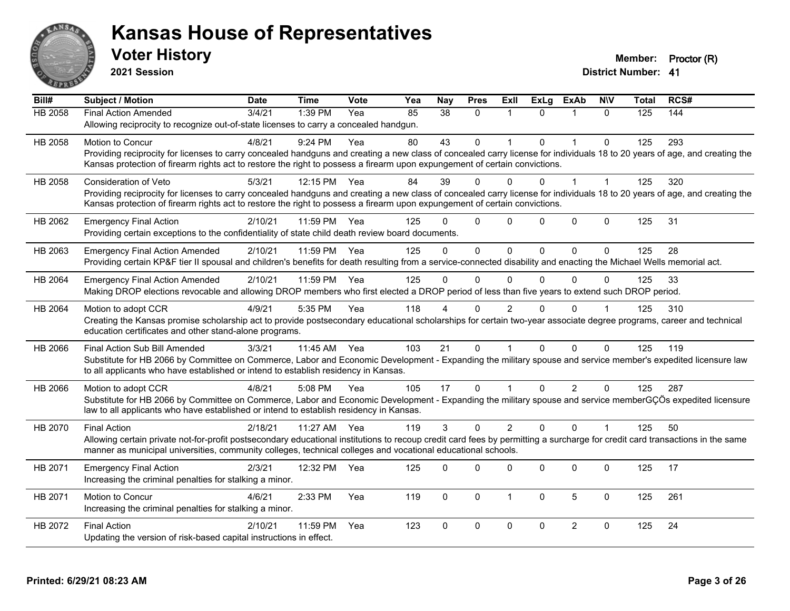

**2021 Session**

| Bill#          | Subject / Motion                                                                                                                                                                          | <b>Date</b> | <b>Time</b>  | <b>Vote</b> | Yea | <b>Nay</b>    | <b>Pres</b>  | Exll           | <b>ExLg</b> | <b>ExAb</b>    | <b>NIV</b>   | <b>Total</b> | RCS# |
|----------------|-------------------------------------------------------------------------------------------------------------------------------------------------------------------------------------------|-------------|--------------|-------------|-----|---------------|--------------|----------------|-------------|----------------|--------------|--------------|------|
| <b>HB 2058</b> | <b>Final Action Amended</b>                                                                                                                                                               | 3/4/21      | 1:39 PM      | Yea         | 85  | 38            | $\mathbf 0$  | $\mathbf 1$    | $\Omega$    | $\mathbf{1}$   | $\Omega$     | 125          | 144  |
|                | Allowing reciprocity to recognize out-of-state licenses to carry a concealed handgun.                                                                                                     |             |              |             |     |               |              |                |             |                |              |              |      |
| HB 2058        | <b>Motion to Concur</b>                                                                                                                                                                   | 4/8/21      | 9:24 PM      | Yea         | 80  | 43            | $\Omega$     |                | $\Omega$    | $\overline{1}$ | $\Omega$     | 125          | 293  |
|                | Providing reciprocity for licenses to carry concealed handguns and creating a new class of concealed carry license for individuals 18 to 20 years of age, and creating the                |             |              |             |     |               |              |                |             |                |              |              |      |
|                | Kansas protection of firearm rights act to restore the right to possess a firearm upon expungement of certain convictions.                                                                |             |              |             |     |               |              |                |             |                |              |              |      |
| HB 2058        | Consideration of Veto                                                                                                                                                                     | 5/3/21      | 12:15 PM     | Yea         | 84  | 39            | $\Omega$     | 0              | $\Omega$    |                | $\mathbf{1}$ | 125          | 320  |
|                | Providing reciprocity for licenses to carry concealed handguns and creating a new class of concealed carry license for individuals 18 to 20 years of age, and creating the                |             |              |             |     |               |              |                |             |                |              |              |      |
|                | Kansas protection of firearm rights act to restore the right to possess a firearm upon expungement of certain convictions.                                                                |             |              |             |     |               |              |                |             |                |              |              |      |
| HB 2062        | <b>Emergency Final Action</b>                                                                                                                                                             | 2/10/21     | 11:59 PM     | Yea         | 125 | ∩             | $\mathbf 0$  | $\mathbf{0}$   | 0           | 0              | $\mathbf 0$  | 125          | 31   |
|                | Providing certain exceptions to the confidentiality of state child death review board documents.                                                                                          |             |              |             |     |               |              |                |             |                |              |              |      |
| HB 2063        | <b>Emergency Final Action Amended</b>                                                                                                                                                     | 2/10/21     | 11:59 PM Yea |             | 125 | $\Omega$      | $\Omega$     | $\Omega$       | $\Omega$    | $\Omega$       | $\Omega$     | 125          | 28   |
|                | Providing certain KP&F tier II spousal and children's benefits for death resulting from a service-connected disability and enacting the Michael Wells memorial act.                       |             |              |             |     |               |              |                |             |                |              |              |      |
| HB 2064        | <b>Emergency Final Action Amended</b>                                                                                                                                                     | 2/10/21     | 11:59 PM Yea |             | 125 | $\Omega$      | $\Omega$     | $\mathbf{0}$   | 0           | $\Omega$       | $\Omega$     | 125          | 33   |
|                | Making DROP elections revocable and allowing DROP members who first elected a DROP period of less than five years to extend such DROP period.                                             |             |              |             |     |               |              |                |             |                |              |              |      |
|                |                                                                                                                                                                                           |             |              |             |     |               |              |                | 0           | $\Omega$       |              |              |      |
| HB 2064        | Motion to adopt CCR<br>Creating the Kansas promise scholarship act to provide postsecondary educational scholarships for certain two-year associate degree programs, career and technical | 4/9/21      | 5:35 PM      | Yea         | 118 |               | $\Omega$     | 2              |             |                |              | 125          | 310  |
|                | education certificates and other stand-alone programs.                                                                                                                                    |             |              |             |     |               |              |                |             |                |              |              |      |
| HB 2066        | Final Action Sub Bill Amended                                                                                                                                                             | 3/3/21      | 11:45 AM Yea |             | 103 | 21            | $\Omega$     |                | $\Omega$    | $\Omega$       | $\Omega$     | 125          | 119  |
|                | Substitute for HB 2066 by Committee on Commerce, Labor and Economic Development - Expanding the military spouse and service member's expedited licensure law                              |             |              |             |     |               |              |                |             |                |              |              |      |
|                | to all applicants who have established or intend to establish residency in Kansas.                                                                                                        |             |              |             |     |               |              |                |             |                |              |              |      |
| HB 2066        | Motion to adopt CCR                                                                                                                                                                       | 4/8/21      | 5:08 PM      | Yea         | 105 | 17            | $\mathbf{0}$ |                | $\Omega$    | $\overline{2}$ | $\Omega$     | 125          | 287  |
|                | Substitute for HB 2066 by Committee on Commerce, Labor and Economic Development - Expanding the military spouse and service memberGÇÖs expedited licensure                                |             |              |             |     |               |              |                |             |                |              |              |      |
|                | law to all applicants who have established or intend to establish residency in Kansas.                                                                                                    |             |              |             |     |               |              |                |             |                |              |              |      |
| HB 2070        | <b>Final Action</b>                                                                                                                                                                       | 2/18/21     | 11:27 AM     | Yea         | 119 | $\mathcal{S}$ | $\Omega$     | $\overline{2}$ | $\Omega$    | $\Omega$       | $\mathbf{1}$ | 125          | 50   |
|                | Allowing certain private not-for-profit postsecondary educational institutions to recoup credit card fees by permitting a surcharge for credit card transactions in the same              |             |              |             |     |               |              |                |             |                |              |              |      |
|                | manner as municipal universities, community colleges, technical colleges and vocational educational schools.                                                                              |             |              |             |     |               |              |                |             |                |              |              |      |
| HB 2071        | <b>Emergency Final Action</b>                                                                                                                                                             | 2/3/21      | 12:32 PM     | Yea         | 125 | 0             | $\Omega$     | $\Omega$       | $\Omega$    | 0              | $\mathbf 0$  | 125          | 17   |
|                | Increasing the criminal penalties for stalking a minor.                                                                                                                                   |             |              |             |     |               |              |                |             |                |              |              |      |
|                |                                                                                                                                                                                           |             |              |             |     |               |              |                |             |                |              |              |      |
| HB 2071        | Motion to Concur<br>Increasing the criminal penalties for stalking a minor.                                                                                                               | 4/6/21      | 2:33 PM      | Yea         | 119 | $\Omega$      | $\mathbf 0$  | $\mathbf{1}$   | $\Omega$    | 5              | $\Omega$     | 125          | 261  |
|                |                                                                                                                                                                                           |             |              |             |     |               |              |                |             |                |              |              |      |
| HB 2072        | <b>Final Action</b>                                                                                                                                                                       | 2/10/21     | 11:59 PM     | Yea         | 123 | $\Omega$      | $\mathbf 0$  | $\mathbf 0$    | 0           | $\overline{2}$ | $\mathbf 0$  | 125          | 24   |
|                | Updating the version of risk-based capital instructions in effect.                                                                                                                        |             |              |             |     |               |              |                |             |                |              |              |      |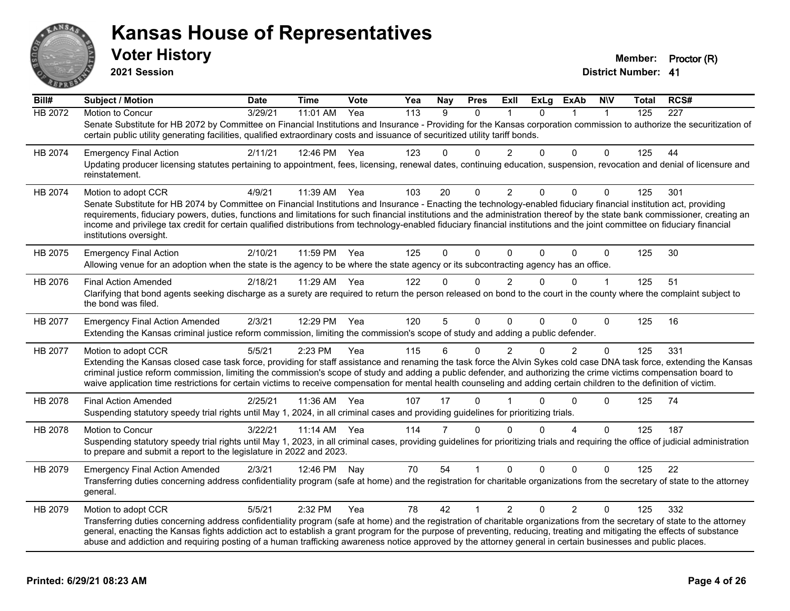

**2021 Session**

| Bill#   | Subject / Motion                                                                                                                                                                                                                                                                                                                                                                                                                                                                                                                                              | <b>Date</b> | <b>Time</b> | Vote | Yea | Nay          | <b>Pres</b>  | ExII           | ExLg     | <b>ExAb</b>    | <b>NIV</b>   | Total | RCS# |
|---------|---------------------------------------------------------------------------------------------------------------------------------------------------------------------------------------------------------------------------------------------------------------------------------------------------------------------------------------------------------------------------------------------------------------------------------------------------------------------------------------------------------------------------------------------------------------|-------------|-------------|------|-----|--------------|--------------|----------------|----------|----------------|--------------|-------|------|
| HB 2072 | Motion to Concur                                                                                                                                                                                                                                                                                                                                                                                                                                                                                                                                              | 3/29/21     | 11:01 AM    | Yea  | 113 | 9            | $\mathbf{0}$ |                | $\Omega$ |                | $\mathbf 1$  | 125   | 227  |
|         | Senate Substitute for HB 2072 by Committee on Financial Institutions and Insurance - Providing for the Kansas corporation commission to authorize the securitization of<br>certain public utility generating facilities, qualified extraordinary costs and issuance of securitized utility tariff bonds.                                                                                                                                                                                                                                                      |             |             |      |     |              |              |                |          |                |              |       |      |
| HB 2074 | <b>Emergency Final Action</b>                                                                                                                                                                                                                                                                                                                                                                                                                                                                                                                                 | 2/11/21     | 12:46 PM    | Yea  | 123 | $\Omega$     | $\Omega$     | $\overline{2}$ | $\Omega$ | $\Omega$       | $\Omega$     | 125   | 44   |
|         | Updating producer licensing statutes pertaining to appointment, fees, licensing, renewal dates, continuing education, suspension, revocation and denial of licensure and<br>reinstatement.                                                                                                                                                                                                                                                                                                                                                                    |             |             |      |     |              |              |                |          |                |              |       |      |
| HB 2074 | Motion to adopt CCR                                                                                                                                                                                                                                                                                                                                                                                                                                                                                                                                           | 4/9/21      | 11:39 AM    | Yea  | 103 | 20           | 0            | $\overline{2}$ | $\Omega$ | $\Omega$       | 0            | 125   | 301  |
|         | Senate Substitute for HB 2074 by Committee on Financial Institutions and Insurance - Enacting the technology-enabled fiduciary financial institution act, providing<br>requirements, fiduciary powers, duties, functions and limitations for such financial institutions and the administration thereof by the state bank commissioner, creating an<br>income and privilege tax credit for certain qualified distributions from technology-enabled fiduciary financial institutions and the joint committee on fiduciary financial<br>institutions oversight. |             |             |      |     |              |              |                |          |                |              |       |      |
| HB 2075 | <b>Emergency Final Action</b>                                                                                                                                                                                                                                                                                                                                                                                                                                                                                                                                 | 2/10/21     | 11:59 PM    | Yea  | 125 | $\Omega$     | $\Omega$     | $\mathbf{0}$   | $\Omega$ | $\mathbf{0}$   | $\mathbf 0$  | 125   | 30   |
|         | Allowing venue for an adoption when the state is the agency to be where the state agency or its subcontracting agency has an office.                                                                                                                                                                                                                                                                                                                                                                                                                          |             |             |      |     |              |              |                |          |                |              |       |      |
| HB 2076 | <b>Final Action Amended</b>                                                                                                                                                                                                                                                                                                                                                                                                                                                                                                                                   | 2/18/21     | 11:29 AM    | Yea  | 122 | $\mathbf{0}$ | $\Omega$     | $\overline{2}$ | $\Omega$ | $\Omega$       | $\mathbf{1}$ | 125   | 51   |
|         | Clarifying that bond agents seeking discharge as a surety are required to return the person released on bond to the court in the county where the complaint subject to<br>the bond was filed.                                                                                                                                                                                                                                                                                                                                                                 |             |             |      |     |              |              |                |          |                |              |       |      |
| HB 2077 | <b>Emergency Final Action Amended</b>                                                                                                                                                                                                                                                                                                                                                                                                                                                                                                                         | 2/3/21      | 12:29 PM    | Yea  | 120 | 5            | $\Omega$     | $\Omega$       | $\Omega$ | $\Omega$       | $\Omega$     | 125   | 16   |
|         | Extending the Kansas criminal justice reform commission, limiting the commission's scope of study and adding a public defender.                                                                                                                                                                                                                                                                                                                                                                                                                               |             |             |      |     |              |              |                |          |                |              |       |      |
| HB 2077 | Motion to adopt CCR                                                                                                                                                                                                                                                                                                                                                                                                                                                                                                                                           | 5/5/21      | 2:23 PM     | Yea  | 115 | 6            | 0            | $\overline{2}$ | $\Omega$ | $\overline{2}$ | 0            | 125   | 331  |
|         | Extending the Kansas closed case task force, providing for staff assistance and renaming the task force the Alvin Sykes cold case DNA task force, extending the Kansas<br>criminal justice reform commission, limiting the commission's scope of study and adding a public defender, and authorizing the crime victims compensation board to<br>waive application time restrictions for certain victims to receive compensation for mental health counseling and adding certain children to the definition of victim.                                         |             |             |      |     |              |              |                |          |                |              |       |      |
| HB 2078 | <b>Final Action Amended</b>                                                                                                                                                                                                                                                                                                                                                                                                                                                                                                                                   | 2/25/21     | 11:36 AM    | Yea  | 107 | 17           | $\Omega$     |                | 0        | $\Omega$       | $\Omega$     | 125   | 74   |
|         | Suspending statutory speedy trial rights until May 1, 2024, in all criminal cases and providing guidelines for prioritizing trials.                                                                                                                                                                                                                                                                                                                                                                                                                           |             |             |      |     |              |              |                |          |                |              |       |      |
| HB 2078 | Motion to Concur                                                                                                                                                                                                                                                                                                                                                                                                                                                                                                                                              | 3/22/21     | $11:14$ AM  | Yea  | 114 | 7            | $\Omega$     | $\Omega$       | $\Omega$ | 4              | $\Omega$     | 125   | 187  |
|         | Suspending statutory speedy trial rights until May 1, 2023, in all criminal cases, providing guidelines for prioritizing trials and requiring the office of judicial administration<br>to prepare and submit a report to the legislature in 2022 and 2023.                                                                                                                                                                                                                                                                                                    |             |             |      |     |              |              |                |          |                |              |       |      |
| HB 2079 | <b>Emergency Final Action Amended</b>                                                                                                                                                                                                                                                                                                                                                                                                                                                                                                                         | 2/3/21      | 12:46 PM    | Nav  | 70  | 54           |              | $\Omega$       | 0        | $\Omega$       | $\Omega$     | 125   | 22   |
|         | Transferring duties concerning address confidentiality program (safe at home) and the registration for charitable organizations from the secretary of state to the attorney<br>general.                                                                                                                                                                                                                                                                                                                                                                       |             |             |      |     |              |              |                |          |                |              |       |      |
| HB 2079 | Motion to adopt CCR                                                                                                                                                                                                                                                                                                                                                                                                                                                                                                                                           | 5/5/21      | 2:32 PM     | Yea  | 78  | 42           | 1            | $\overline{2}$ | $\Omega$ | $\overline{2}$ | $\Omega$     | 125   | 332  |
|         | Transferring duties concerning address confidentiality program (safe at home) and the registration of charitable organizations from the secretary of state to the attorney<br>general, enacting the Kansas fights addiction act to establish a grant program for the purpose of preventing, reducing, treating and mitigating the effects of substance<br>abuse and addiction and requiring posting of a human trafficking awareness notice approved by the attorney general in certain businesses and public places.                                         |             |             |      |     |              |              |                |          |                |              |       |      |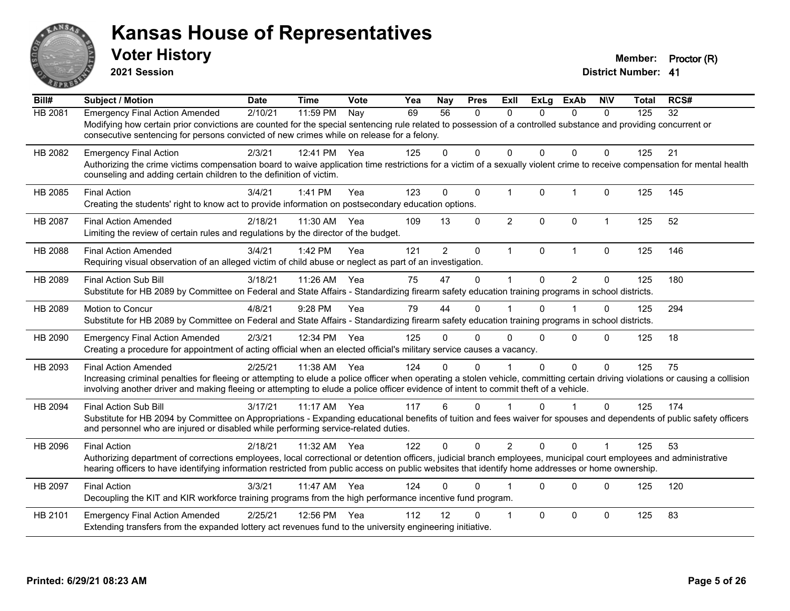

**2021 Session**

| Bill#   | <b>Subject / Motion</b>                                                                                                                                                                                                                                                                                                                                | <b>Date</b> | <b>Time</b> | Vote | Yea | Nay             | <b>Pres</b>  | ExII           | <b>ExLg</b>  | <b>ExAb</b>    | <b>NIV</b>   | <b>Total</b> | RCS# |
|---------|--------------------------------------------------------------------------------------------------------------------------------------------------------------------------------------------------------------------------------------------------------------------------------------------------------------------------------------------------------|-------------|-------------|------|-----|-----------------|--------------|----------------|--------------|----------------|--------------|--------------|------|
| HB 2081 | <b>Emergency Final Action Amended</b><br>Modifying how certain prior convictions are counted for the special sentencing rule related to possession of a controlled substance and providing concurrent or<br>consecutive sentencing for persons convicted of new crimes while on release for a felony.                                                  | 2/10/21     | 11:59 PM    | Nay  | 69  | $\overline{56}$ | 0            | $\mathbf{0}$   | $\Omega$     | $\mathbf{0}$   | $\mathbf{0}$ | 125          | 32   |
| HB 2082 | <b>Emergency Final Action</b><br>Authorizing the crime victims compensation board to waive application time restrictions for a victim of a sexually violent crime to receive compensation for mental health<br>counseling and adding certain children to the definition of victim.                                                                     | 2/3/21      | 12:41 PM    | Yea  | 125 | 0               | $\mathbf{0}$ | $\Omega$       | $\Omega$     | $\Omega$       | $\Omega$     | 125          | 21   |
| HB 2085 | <b>Final Action</b><br>Creating the students' right to know act to provide information on postsecondary education options.                                                                                                                                                                                                                             | 3/4/21      | 1:41 PM     | Yea  | 123 | $\Omega$        | $\Omega$     | $\mathbf{1}$   | $\mathbf{0}$ | $\mathbf{1}$   | $\Omega$     | 125          | 145  |
| HB 2087 | <b>Final Action Amended</b><br>Limiting the review of certain rules and regulations by the director of the budget.                                                                                                                                                                                                                                     | 2/18/21     | 11:30 AM    | Yea  | 109 | 13              | $\mathbf 0$  | $\overline{2}$ | $\mathbf{0}$ | $\mathbf 0$    | $\mathbf 1$  | 125          | 52   |
| HB 2088 | <b>Final Action Amended</b><br>Requiring visual observation of an alleged victim of child abuse or neglect as part of an investigation.                                                                                                                                                                                                                | 3/4/21      | 1:42 PM     | Yea  | 121 | $\overline{2}$  | $\mathbf 0$  | $\mathbf{1}$   | $\mathbf 0$  | $\mathbf{1}$   | $\mathbf 0$  | 125          | 146  |
| HB 2089 | Final Action Sub Bill<br>Substitute for HB 2089 by Committee on Federal and State Affairs - Standardizing firearm safety education training programs in school districts.                                                                                                                                                                              | 3/18/21     | 11:26 AM    | Yea  | 75  | 47              | 0            | $\mathbf 1$    | $\Omega$     | $\overline{2}$ | 0            | 125          | 180  |
| HB 2089 | Motion to Concur<br>Substitute for HB 2089 by Committee on Federal and State Affairs - Standardizing firearm safety education training programs in school districts.                                                                                                                                                                                   | 4/8/21      | 9:28 PM     | Yea  | 79  | 44              | $\mathbf 0$  |                | $\Omega$     |                | $\mathbf 0$  | 125          | 294  |
| HB 2090 | <b>Emergency Final Action Amended</b><br>Creating a procedure for appointment of acting official when an elected official's military service causes a vacancy.                                                                                                                                                                                         | 2/3/21      | 12:34 PM    | Yea  | 125 | 0               | $\Omega$     | $\Omega$       | $\Omega$     | 0              | $\Omega$     | 125          | 18   |
| HB 2093 | <b>Final Action Amended</b><br>Increasing criminal penalties for fleeing or attempting to elude a police officer when operating a stolen vehicle, committing certain driving violations or causing a collision<br>involving another driver and making fleeing or attempting to elude a police officer evidence of intent to commit theft of a vehicle. | 2/25/21     | 11:38 AM    | Yea  | 124 | 0               | $\Omega$     |                | $\Omega$     | 0              | $\Omega$     | 125          | 75   |
| HB 2094 | <b>Final Action Sub Bill</b><br>Substitute for HB 2094 by Committee on Appropriations - Expanding educational benefits of tuition and fees waiver for spouses and dependents of public safety officers<br>and personnel who are injured or disabled while performing service-related duties.                                                           | 3/17/21     | $11:17$ AM  | Yea  | 117 | 6               | $\Omega$     |                | $\Omega$     | $\overline{1}$ | $\Omega$     | 125          | 174  |
| HB 2096 | <b>Final Action</b><br>Authorizing department of corrections employees, local correctional or detention officers, judicial branch employees, municipal court employees and administrative<br>hearing officers to have identifying information restricted from public access on public websites that identify home addresses or home ownership.         | 2/18/21     | 11:32 AM    | Yea  | 122 | $\Omega$        | $\Omega$     | $\overline{2}$ | $\Omega$     | $\Omega$       | $\mathbf 1$  | 125          | 53   |
| HB 2097 | <b>Final Action</b><br>Decoupling the KIT and KIR workforce training programs from the high performance incentive fund program.                                                                                                                                                                                                                        | 3/3/21      | 11:47 AM    | Yea  | 124 | 0               | $\Omega$     |                | $\Omega$     | $\Omega$       | $\Omega$     | 125          | 120  |
| HB 2101 | <b>Emergency Final Action Amended</b><br>Extending transfers from the expanded lottery act revenues fund to the university engineering initiative.                                                                                                                                                                                                     | 2/25/21     | 12:56 PM    | Yea  | 112 | 12              | $\Omega$     | $\overline{1}$ | $\Omega$     | $\mathbf 0$    | $\Omega$     | 125          | 83   |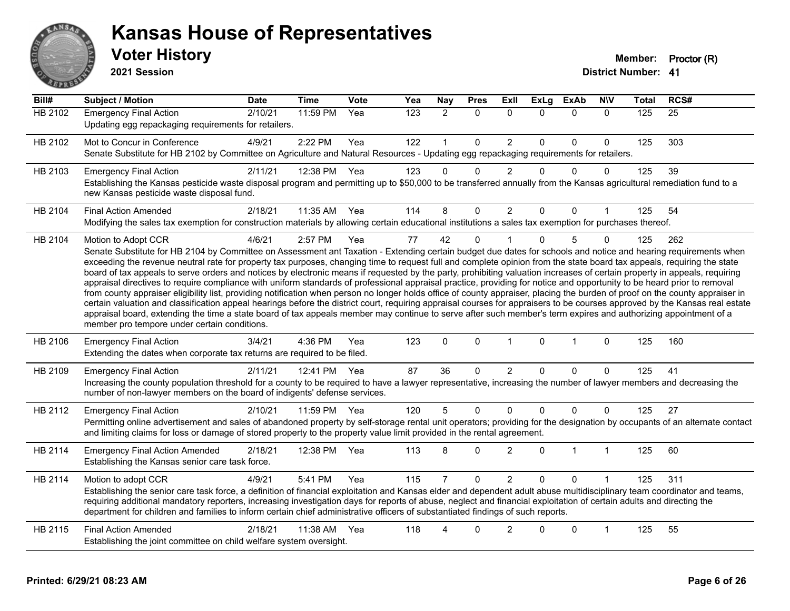

**2021 Session**

| Bill#          | Subject / Motion                                                                                                                                                                                                                                                                                                                                                                                                                                                                                                                                                                                                                                                                                                                                                                                                                                                                                                                                                                                                                                                                                                                                                                                                                                                                                            | <b>Date</b> | <b>Time</b>  | Vote | Yea | <b>Nay</b>     | <b>Pres</b>  | ExII           | <b>ExLg</b> | <b>ExAb</b>  | <b>NIV</b>   | <b>Total</b> | RCS# |
|----------------|-------------------------------------------------------------------------------------------------------------------------------------------------------------------------------------------------------------------------------------------------------------------------------------------------------------------------------------------------------------------------------------------------------------------------------------------------------------------------------------------------------------------------------------------------------------------------------------------------------------------------------------------------------------------------------------------------------------------------------------------------------------------------------------------------------------------------------------------------------------------------------------------------------------------------------------------------------------------------------------------------------------------------------------------------------------------------------------------------------------------------------------------------------------------------------------------------------------------------------------------------------------------------------------------------------------|-------------|--------------|------|-----|----------------|--------------|----------------|-------------|--------------|--------------|--------------|------|
| <b>HB 2102</b> | <b>Emergency Final Action</b><br>Updating egg repackaging requirements for retailers.                                                                                                                                                                                                                                                                                                                                                                                                                                                                                                                                                                                                                                                                                                                                                                                                                                                                                                                                                                                                                                                                                                                                                                                                                       | 2/10/21     | 11:59 PM     | Yea  | 123 | $\overline{2}$ | $\Omega$     | $\mathbf{0}$   | $\Omega$    | $\Omega$     | $\mathbf{0}$ | 125          | 25   |
| HB 2102        | Mot to Concur in Conference<br>Senate Substitute for HB 2102 by Committee on Agriculture and Natural Resources - Updating egg repackaging requirements for retailers.                                                                                                                                                                                                                                                                                                                                                                                                                                                                                                                                                                                                                                                                                                                                                                                                                                                                                                                                                                                                                                                                                                                                       | 4/9/21      | 2:22 PM      | Yea  | 122 |                | $\mathbf 0$  | $\overline{2}$ | $\Omega$    | $\Omega$     | $\mathbf{0}$ | 125          | 303  |
| HB 2103        | <b>Emergency Final Action</b><br>Establishing the Kansas pesticide waste disposal program and permitting up to \$50,000 to be transferred annually from the Kansas agricultural remediation fund to a<br>new Kansas pesticide waste disposal fund.                                                                                                                                                                                                                                                                                                                                                                                                                                                                                                                                                                                                                                                                                                                                                                                                                                                                                                                                                                                                                                                          | 2/11/21     | 12:38 PM     | Yea  | 123 | $\Omega$       | $\mathbf 0$  | $\overline{2}$ | $\Omega$    | $\Omega$     | $\mathbf{0}$ | 125          | 39   |
| HB 2104        | <b>Final Action Amended</b><br>Modifying the sales tax exemption for construction materials by allowing certain educational institutions a sales tax exemption for purchases thereof.                                                                                                                                                                                                                                                                                                                                                                                                                                                                                                                                                                                                                                                                                                                                                                                                                                                                                                                                                                                                                                                                                                                       | 2/18/21     | 11:35 AM Yea |      | 114 | 8              | $\mathbf 0$  | 2              | 0           | $\Omega$     |              | 125          | 54   |
| HB 2104        | Motion to Adopt CCR<br>Senate Substitute for HB 2104 by Committee on Assessment ant Taxation - Extending certain budget due dates for schools and notice and hearing requirements when<br>exceeding the revenue neutral rate for property tax purposes, changing time to request full and complete opinion from the state board tax appeals, requiring the state<br>board of tax appeals to serve orders and notices by electronic means if requested by the party, prohibiting valuation increases of certain property in appeals, requiring<br>appraisal directives to require compliance with uniform standards of professional appraisal practice, providing for notice and opportunity to be heard prior to removal<br>from county appraiser eligibility list, providing notification when person no longer holds office of county appraiser, placing the burden of proof on the county appraiser in<br>certain valuation and classification appeal hearings before the district court, requiring appraisal courses for appraisers to be courses approved by the Kansas real estate<br>appraisal board, extending the time a state board of tax appeals member may continue to serve after such member's term expires and authorizing appointment of a<br>member pro tempore under certain conditions. | 4/6/21      | 2:57 PM      | Yea  | 77  | 42             | $\mathbf 0$  |                | $\Omega$    | 5            | $\Omega$     | 125          | 262  |
| HB 2106        | <b>Emergency Final Action</b><br>Extending the dates when corporate tax returns are required to be filed.                                                                                                                                                                                                                                                                                                                                                                                                                                                                                                                                                                                                                                                                                                                                                                                                                                                                                                                                                                                                                                                                                                                                                                                                   | 3/4/21      | 4:36 PM      | Yea  | 123 | $\Omega$       | $\pmb{0}$    | $\mathbf{1}$   | $\mathbf 0$ | $\mathbf{1}$ | $\mathbf{0}$ | 125          | 160  |
| HB 2109        | <b>Emergency Final Action</b><br>Increasing the county population threshold for a county to be required to have a lawyer representative, increasing the number of lawyer members and decreasing the<br>number of non-lawyer members on the board of indigents' defense services.                                                                                                                                                                                                                                                                                                                                                                                                                                                                                                                                                                                                                                                                                                                                                                                                                                                                                                                                                                                                                            | 2/11/21     | 12:41 PM     | Yea  | 87  | 36             | $\mathbf{0}$ | $\overline{2}$ | $\Omega$    | $\Omega$     | $\Omega$     | 125          | 41   |
| HB 2112        | <b>Emergency Final Action</b><br>Permitting online advertisement and sales of abandoned property by self-storage rental unit operators; providing for the designation by occupants of an alternate contact<br>and limiting claims for loss or damage of stored property to the property value limit provided in the rental agreement.                                                                                                                                                                                                                                                                                                                                                                                                                                                                                                                                                                                                                                                                                                                                                                                                                                                                                                                                                                       | 2/10/21     | 11:59 PM     | Yea  | 120 | 5              | $\mathbf 0$  | $\Omega$       | $\Omega$    | $\Omega$     | $\Omega$     | 125          | 27   |
| HB 2114        | <b>Emergency Final Action Amended</b><br>Establishing the Kansas senior care task force.                                                                                                                                                                                                                                                                                                                                                                                                                                                                                                                                                                                                                                                                                                                                                                                                                                                                                                                                                                                                                                                                                                                                                                                                                    | 2/18/21     | 12:38 PM     | Yea  | 113 | 8              | $\mathbf{0}$ | $\overline{2}$ | $\Omega$    | $\mathbf{1}$ | $\mathbf{1}$ | 125          | 60   |
| HB 2114        | Motion to adopt CCR<br>Establishing the senior care task force, a definition of financial exploitation and Kansas elder and dependent adult abuse multidisciplinary team coordinator and teams,<br>requiring additional mandatory reporters, increasing investigation days for reports of abuse, neglect and financial exploitation of certain adults and directing the<br>department for children and families to inform certain chief administrative officers of substantiated findings of such reports.                                                                                                                                                                                                                                                                                                                                                                                                                                                                                                                                                                                                                                                                                                                                                                                                  | 4/9/21      | 5:41 PM      | Yea  | 115 |                | $\Omega$     | $\overline{2}$ | 0           | $\Omega$     |              | 125          | 311  |
| HB 2115        | <b>Final Action Amended</b><br>Establishing the joint committee on child welfare system oversight.                                                                                                                                                                                                                                                                                                                                                                                                                                                                                                                                                                                                                                                                                                                                                                                                                                                                                                                                                                                                                                                                                                                                                                                                          | 2/18/21     | 11:38 AM     | Yea  | 118 |                | $\Omega$     | 2              | 0           | $\Omega$     |              | 125          | 55   |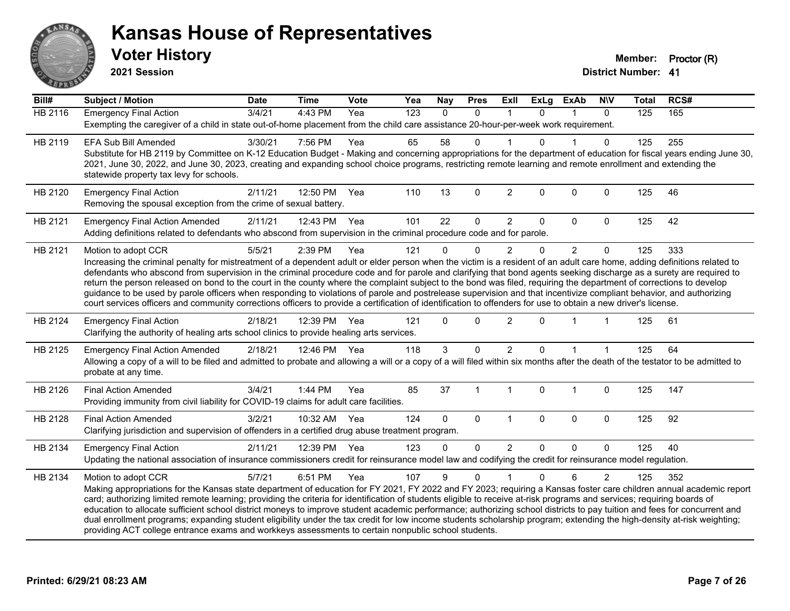

**2021 Session**

| Bill#          | <b>Subject / Motion</b>                                                                                                                                                                                                                                                                                                                                                                                                                                                                                                                                                                                                                                                                                                                                                                                                                                                                | <b>Date</b> | <b>Time</b>  | Vote | Yea              | <b>Nay</b> | <b>Pres</b>  | ExII           | <b>ExLg</b>  | <b>ExAb</b>    | <b>NIV</b>     | <b>Total</b> | RCS# |
|----------------|----------------------------------------------------------------------------------------------------------------------------------------------------------------------------------------------------------------------------------------------------------------------------------------------------------------------------------------------------------------------------------------------------------------------------------------------------------------------------------------------------------------------------------------------------------------------------------------------------------------------------------------------------------------------------------------------------------------------------------------------------------------------------------------------------------------------------------------------------------------------------------------|-------------|--------------|------|------------------|------------|--------------|----------------|--------------|----------------|----------------|--------------|------|
| <b>HB 2116</b> | <b>Emergency Final Action</b><br>Exempting the caregiver of a child in state out-of-home placement from the child care assistance 20-hour-per-week work requirement.                                                                                                                                                                                                                                                                                                                                                                                                                                                                                                                                                                                                                                                                                                                   | 3/4/21      | $4:43$ PM    | Yea  | $\overline{123}$ | $\Omega$   | $\mathbf{0}$ | -1             | $\Omega$     |                | $\mathbf{0}$   | 125          | 165  |
| HB 2119        | <b>EFA Sub Bill Amended</b><br>Substitute for HB 2119 by Committee on K-12 Education Budget - Making and concerning appropriations for the department of education for fiscal years ending June 30,<br>2021, June 30, 2022, and June 30, 2023, creating and expanding school choice programs, restricting remote learning and remote enrollment and extending the<br>statewide property tax levy for schools.                                                                                                                                                                                                                                                                                                                                                                                                                                                                          | 3/30/21     | 7:56 PM      | Yea  | 65               | 58         | 0            |                | $\Omega$     |                | $\Omega$       | 125          | 255  |
| HB 2120        | <b>Emergency Final Action</b><br>Removing the spousal exception from the crime of sexual battery.                                                                                                                                                                                                                                                                                                                                                                                                                                                                                                                                                                                                                                                                                                                                                                                      | 2/11/21     | 12:50 PM     | Yea  | 110              | 13         | $\mathbf 0$  | $\overline{2}$ | $\mathbf{0}$ | 0              | $\mathbf 0$    | 125          | 46   |
| HB 2121        | <b>Emergency Final Action Amended</b><br>Adding definitions related to defendants who abscond from supervision in the criminal procedure code and for parole.                                                                                                                                                                                                                                                                                                                                                                                                                                                                                                                                                                                                                                                                                                                          | 2/11/21     | 12:43 PM Yea |      | 101              | 22         | $\mathbf 0$  | $\overline{2}$ | 0            | 0              | $\mathbf 0$    | 125          | 42   |
| HB 2121        | Motion to adopt CCR<br>Increasing the criminal penalty for mistreatment of a dependent adult or elder person when the victim is a resident of an adult care home, adding definitions related to<br>defendants who abscond from supervision in the criminal procedure code and for parole and clarifying that bond agents seeking discharge as a surety are required to<br>return the person released on bond to the court in the county where the complaint subject to the bond was filed, requiring the department of corrections to develop<br>guidance to be used by parole officers when responding to violations of parole and postrelease supervision and that incentivize compliant behavior, and authorizing<br>court services officers and community corrections officers to provide a certification of identification to offenders for use to obtain a new driver's license. | 5/5/21      | 2:39 PM      | Yea  | 121              | $\Omega$   | 0            | $\overline{2}$ | 0            | $\overline{2}$ | $\mathbf 0$    | 125          | 333  |
| HB 2124        | <b>Emergency Final Action</b><br>Clarifying the authority of healing arts school clinics to provide healing arts services.                                                                                                                                                                                                                                                                                                                                                                                                                                                                                                                                                                                                                                                                                                                                                             | 2/18/21     | 12:39 PM     | Yea  | 121              | $\Omega$   | $\Omega$     | $\overline{2}$ | $\Omega$     |                |                | 125          | 61   |
| HB 2125        | <b>Emergency Final Action Amended</b><br>Allowing a copy of a will to be filed and admitted to probate and allowing a will or a copy of a will filed within six months after the death of the testator to be admitted to<br>probate at any time.                                                                                                                                                                                                                                                                                                                                                                                                                                                                                                                                                                                                                                       | 2/18/21     | 12:46 PM Yea |      | 118              | 3          | $\mathbf 0$  | $\overline{2}$ | $\Omega$     |                |                | 125          | 64   |
| HB 2126        | <b>Final Action Amended</b><br>Providing immunity from civil liability for COVID-19 claims for adult care facilities.                                                                                                                                                                                                                                                                                                                                                                                                                                                                                                                                                                                                                                                                                                                                                                  | 3/4/21      | 1:44 PM      | Yea  | 85               | 37         | 1            | $\mathbf{1}$   | $\mathbf 0$  | $\mathbf{1}$   | $\mathbf 0$    | 125          | 147  |
| HB 2128        | <b>Final Action Amended</b><br>Clarifying jurisdiction and supervision of offenders in a certified drug abuse treatment program.                                                                                                                                                                                                                                                                                                                                                                                                                                                                                                                                                                                                                                                                                                                                                       | 3/2/21      | 10:32 AM     | Yea  | 124              | $\Omega$   | $\mathbf 0$  | $\overline{1}$ | $\mathbf 0$  | 0              | $\mathbf 0$    | 125          | 92   |
| HB 2134        | <b>Emergency Final Action</b><br>Updating the national association of insurance commissioners credit for reinsurance model law and codifying the credit for reinsurance model regulation.                                                                                                                                                                                                                                                                                                                                                                                                                                                                                                                                                                                                                                                                                              | 2/11/21     | 12:39 PM Yea |      | 123              | $\Omega$   | $\Omega$     | $\overline{2}$ | $\Omega$     | $\Omega$       | $\Omega$       | 125          | 40   |
| HB 2134        | Motion to adopt CCR<br>Making appropriations for the Kansas state department of education for FY 2021, FY 2022 and FY 2023; requiring a Kansas foster care children annual academic report<br>card; authorizing limited remote learning; providing the criteria for identification of students eligible to receive at-risk programs and services; requiring boards of<br>education to allocate sufficient school district moneys to improve student academic performance; authorizing school districts to pay tuition and fees for concurrent and<br>dual enrollment programs; expanding student eligibility under the tax credit for low income students scholarship program; extending the high-density at-risk weighting;<br>providing ACT college entrance exams and workkeys assessments to certain nonpublic school students.                                                    | 5/7/21      | 6:51 PM      | Yea  | 107              | 9          | $\mathbf{0}$ |                | 0            | 6              | $\overline{2}$ | 125          | 352  |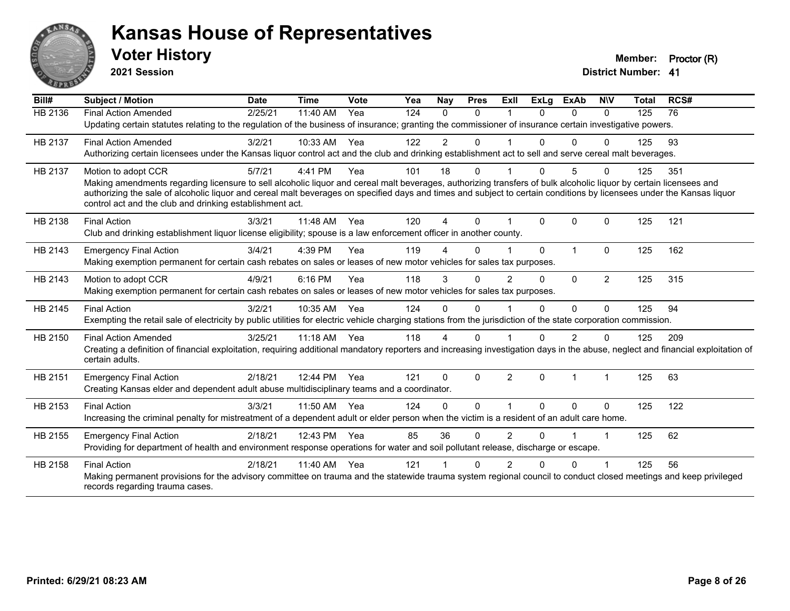

**2021 Session**

| Bill#   | Subject / Motion                                                                                                                                                                                                                                                                                                                           | <b>Date</b> | <b>Time</b> | Vote | Yea | Nay            | <b>Pres</b> | ExIl           | <b>ExLg</b> | <b>ExAb</b>    | <b>NIV</b>     | <b>Total</b> | RCS# |
|---------|--------------------------------------------------------------------------------------------------------------------------------------------------------------------------------------------------------------------------------------------------------------------------------------------------------------------------------------------|-------------|-------------|------|-----|----------------|-------------|----------------|-------------|----------------|----------------|--------------|------|
| HB 2136 | <b>Final Action Amended</b>                                                                                                                                                                                                                                                                                                                | 2/25/21     | 11:40 AM    | Yea  | 124 | $\Omega$       | $\Omega$    |                | $\Omega$    | $\Omega$       | $\Omega$       | 125          | 76   |
|         | Updating certain statutes relating to the regulation of the business of insurance; granting the commissioner of insurance certain investigative powers.                                                                                                                                                                                    |             |             |      |     |                |             |                |             |                |                |              |      |
| HB 2137 | <b>Final Action Amended</b>                                                                                                                                                                                                                                                                                                                | 3/2/21      | 10:33 AM    | Yea  | 122 | $\overline{c}$ | 0           |                |             | $\Omega$       | 0              | 125          | 93   |
|         | Authorizing certain licensees under the Kansas liquor control act and the club and drinking establishment act to sell and serve cereal malt beverages.                                                                                                                                                                                     |             |             |      |     |                |             |                |             |                |                |              |      |
| HB 2137 | Motion to adopt CCR                                                                                                                                                                                                                                                                                                                        | 5/7/21      | 4:41 PM     | Yea  | 101 | 18             | 0           |                | 0           | 5              | $\Omega$       | 125          | 351  |
|         | Making amendments regarding licensure to sell alcoholic liquor and cereal malt beverages, authorizing transfers of bulk alcoholic liquor by certain licensees and<br>authorizing the sale of alcoholic liquor and cereal malt beverages on specified days and times and subject to certain conditions by licensees under the Kansas liquor |             |             |      |     |                |             |                |             |                |                |              |      |
|         | control act and the club and drinking establishment act.                                                                                                                                                                                                                                                                                   |             |             |      |     |                |             |                |             |                |                |              |      |
| HB 2138 | <b>Final Action</b>                                                                                                                                                                                                                                                                                                                        | 3/3/21      | 11:48 AM    | Yea  | 120 | 4              | $\Omega$    |                | $\Omega$    | $\Omega$       | $\Omega$       | 125          | 121  |
|         | Club and drinking establishment liquor license eligibility; spouse is a law enforcement officer in another county.                                                                                                                                                                                                                         |             |             |      |     |                |             |                |             |                |                |              |      |
| HB 2143 | <b>Emergency Final Action</b>                                                                                                                                                                                                                                                                                                              | 3/4/21      | 4:39 PM     | Yea  | 119 |                | $\Omega$    |                | $\Omega$    | $\overline{1}$ | $\Omega$       | 125          | 162  |
|         | Making exemption permanent for certain cash rebates on sales or leases of new motor vehicles for sales tax purposes.                                                                                                                                                                                                                       |             |             |      |     |                |             |                |             |                |                |              |      |
| HB 2143 | Motion to adopt CCR                                                                                                                                                                                                                                                                                                                        | 4/9/21      | 6:16 PM     | Yea  | 118 | 3              | 0           | $\overline{2}$ | $\Omega$    | $\Omega$       | $\overline{2}$ | 125          | 315  |
|         | Making exemption permanent for certain cash rebates on sales or leases of new motor vehicles for sales tax purposes.                                                                                                                                                                                                                       |             |             |      |     |                |             |                |             |                |                |              |      |
| HB 2145 | <b>Final Action</b>                                                                                                                                                                                                                                                                                                                        | 3/2/21      | 10:35 AM    | Yea  | 124 | $\Omega$       | $\Omega$    |                | 0           | $\Omega$       | $\Omega$       | 125          | 94   |
|         | Exempting the retail sale of electricity by public utilities for electric vehicle charging stations from the jurisdiction of the state corporation commission.                                                                                                                                                                             |             |             |      |     |                |             |                |             |                |                |              |      |
| HB 2150 | <b>Final Action Amended</b>                                                                                                                                                                                                                                                                                                                | 3/25/21     | $11:18$ AM  | Yea  | 118 | 4              | 0           |                |             | 2              | 0              | 125          | 209  |
|         | Creating a definition of financial exploitation, requiring additional mandatory reporters and increasing investigation days in the abuse, neglect and financial exploitation of<br>certain adults.                                                                                                                                         |             |             |      |     |                |             |                |             |                |                |              |      |
| HB 2151 | <b>Emergency Final Action</b>                                                                                                                                                                                                                                                                                                              | 2/18/21     | 12:44 PM    | Yea  | 121 | $\mathbf{0}$   | $\Omega$    | $\overline{2}$ | $\Omega$    | $\overline{1}$ | 1              | 125          | 63   |
|         | Creating Kansas elder and dependent adult abuse multidisciplinary teams and a coordinator.                                                                                                                                                                                                                                                 |             |             |      |     |                |             |                |             |                |                |              |      |
| HB 2153 | <b>Final Action</b>                                                                                                                                                                                                                                                                                                                        | 3/3/21      | 11:50 AM    | Yea  | 124 | $\Omega$       | $\Omega$    |                | $\Omega$    | $\Omega$       | $\mathbf{0}$   | 125          | 122  |
|         | Increasing the criminal penalty for mistreatment of a dependent adult or elder person when the victim is a resident of an adult care home.                                                                                                                                                                                                 |             |             |      |     |                |             |                |             |                |                |              |      |
| HB 2155 | <b>Emergency Final Action</b>                                                                                                                                                                                                                                                                                                              | 2/18/21     | 12:43 PM    | Yea  | 85  | 36             | $\Omega$    | $\overline{2}$ | 0           |                | 1              | 125          | 62   |
|         | Providing for department of health and environment response operations for water and soil pollutant release, discharge or escape.                                                                                                                                                                                                          |             |             |      |     |                |             |                |             |                |                |              |      |
| HB 2158 | <b>Final Action</b>                                                                                                                                                                                                                                                                                                                        | 2/18/21     | 11:40 AM    | Yea  | 121 |                | 0           | 2              | ∩           | 0              |                | 125          | 56   |
|         | Making permanent provisions for the advisory committee on trauma and the statewide trauma system regional council to conduct closed meetings and keep privileged<br>records regarding trauma cases.                                                                                                                                        |             |             |      |     |                |             |                |             |                |                |              |      |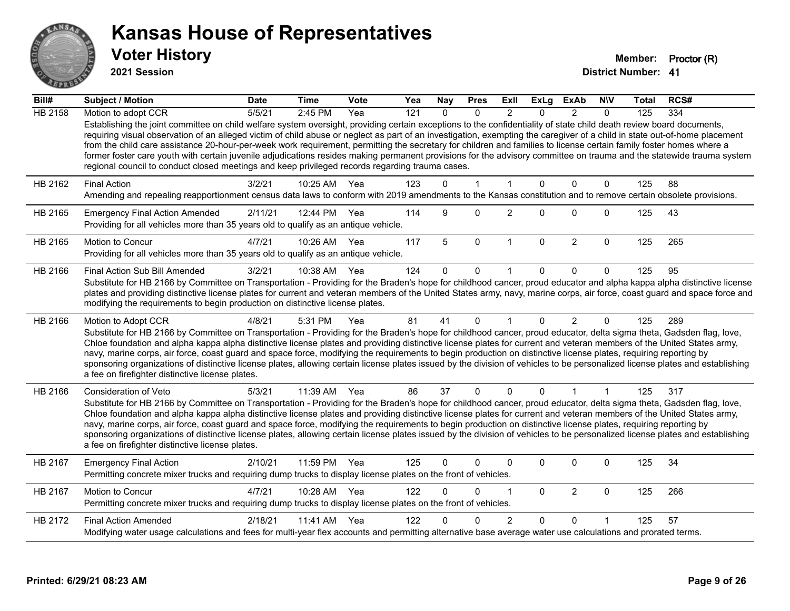

**2021 Session**

| $\overline{Bill#}$ | Subject / Motion                                                                                                                                                                                                                                                                                                                                                                                                                                                                                                                                                                                                                                                                                                                                                                                      | <b>Date</b> | <b>Time</b>  | <b>Vote</b> | Yea              | <b>Nay</b>   | <b>Pres</b>  | ExII           | <b>ExLg</b>  | <b>ExAb</b>    | <b>NIV</b>   | <b>Total</b> | RCS# |
|--------------------|-------------------------------------------------------------------------------------------------------------------------------------------------------------------------------------------------------------------------------------------------------------------------------------------------------------------------------------------------------------------------------------------------------------------------------------------------------------------------------------------------------------------------------------------------------------------------------------------------------------------------------------------------------------------------------------------------------------------------------------------------------------------------------------------------------|-------------|--------------|-------------|------------------|--------------|--------------|----------------|--------------|----------------|--------------|--------------|------|
| <b>HB 2158</b>     | Motion to adopt CCR                                                                                                                                                                                                                                                                                                                                                                                                                                                                                                                                                                                                                                                                                                                                                                                   | 5/5/21      | 2:45 PM      | Yea         | $\overline{121}$ | $\Omega$     | $\Omega$     | $\mathcal{P}$  | $\Omega$     | $\mathcal{P}$  | $\Omega$     | 125          | 334  |
|                    | Establishing the joint committee on child welfare system oversight, providing certain exceptions to the confidentiality of state child death review board documents,<br>requiring visual observation of an alleged victim of child abuse or neglect as part of an investigation, exempting the caregiver of a child in state out-of-home placement<br>from the child care assistance 20-hour-per-week work requirement, permitting the secretary for children and families to license certain family foster homes where a<br>former foster care youth with certain juvenile adjudications resides making permanent provisions for the advisory committee on trauma and the statewide trauma system<br>regional council to conduct closed meetings and keep privileged records regarding trauma cases. |             |              |             |                  |              |              |                |              |                |              |              |      |
| HB 2162            | <b>Final Action</b>                                                                                                                                                                                                                                                                                                                                                                                                                                                                                                                                                                                                                                                                                                                                                                                   | 3/2/21      | 10:25 AM     | Yea         | 123              | $\Omega$     | $\mathbf{1}$ | $\mathbf{1}$   | $\Omega$     | $\Omega$       | $\mathbf{0}$ | 125          | 88   |
|                    | Amending and repealing reapportionment census data laws to conform with 2019 amendments to the Kansas constitution and to remove certain obsolete provisions.                                                                                                                                                                                                                                                                                                                                                                                                                                                                                                                                                                                                                                         |             |              |             |                  |              |              |                |              |                |              |              |      |
| HB 2165            | <b>Emergency Final Action Amended</b><br>Providing for all vehicles more than 35 years old to qualify as an antique vehicle.                                                                                                                                                                                                                                                                                                                                                                                                                                                                                                                                                                                                                                                                          | 2/11/21     | 12:44 PM Yea |             | 114              | 9            | $\Omega$     | $\overline{2}$ | $\Omega$     | $\Omega$       | $\mathbf{0}$ | 125          | 43   |
| HB 2165            | Motion to Concur<br>Providing for all vehicles more than 35 years old to qualify as an antique vehicle.                                                                                                                                                                                                                                                                                                                                                                                                                                                                                                                                                                                                                                                                                               | 4/7/21      | 10:26 AM     | Yea         | 117              | 5            | $\mathbf 0$  | $\mathbf{1}$   | $\mathbf{0}$ | $\overline{2}$ | $\mathbf 0$  | 125          | 265  |
| HB 2166            | Final Action Sub Bill Amended                                                                                                                                                                                                                                                                                                                                                                                                                                                                                                                                                                                                                                                                                                                                                                         | 3/2/21      | 10:38 AM     | Yea         | 124              | $\Omega$     | 0            |                | $\Omega$     | $\Omega$       | $\Omega$     | 125          | 95   |
|                    | Substitute for HB 2166 by Committee on Transportation - Providing for the Braden's hope for childhood cancer, proud educator and alpha kappa alpha distinctive license<br>plates and providing distinctive license plates for current and veteran members of the United States army, navy, marine corps, air force, coast guard and space force and<br>modifying the requirements to begin production on distinctive license plates.                                                                                                                                                                                                                                                                                                                                                                  |             |              |             |                  |              |              |                |              |                |              |              |      |
| HB 2166            | Motion to Adopt CCR<br>Substitute for HB 2166 by Committee on Transportation - Providing for the Braden's hope for childhood cancer, proud educator, delta sigma theta, Gadsden flag, love,<br>Chloe foundation and alpha kappa alpha distinctive license plates and providing distinctive license plates for current and veteran members of the United States army,<br>navy, marine corps, air force, coast guard and space force, modifying the requirements to begin production on distinctive license plates, requiring reporting by<br>sponsoring organizations of distinctive license plates, allowing certain license plates issued by the division of vehicles to be personalized license plates and establishing<br>a fee on firefighter distinctive license plates.                         | 4/8/21      | 5:31 PM      | Yea         | 81               | 41           | $\mathbf{0}$ | $\mathbf{1}$   | $\Omega$     | $\overline{2}$ | $\mathbf{0}$ | 125          | 289  |
| HB 2166            | Consideration of Veto                                                                                                                                                                                                                                                                                                                                                                                                                                                                                                                                                                                                                                                                                                                                                                                 | 5/3/21      | 11:39 AM     | Yea         | 86               | 37           | $\mathbf{0}$ | $\mathbf{0}$   | $\mathbf{0}$ | 1              | $\mathbf{1}$ | 125          | 317  |
|                    | Substitute for HB 2166 by Committee on Transportation - Providing for the Braden's hope for childhood cancer, proud educator, delta sigma theta, Gadsden flag, love,<br>Chloe foundation and alpha kappa alpha distinctive license plates and providing distinctive license plates for current and veteran members of the United States army,<br>navy, marine corps, air force, coast guard and space force, modifying the requirements to begin production on distinctive license plates, requiring reporting by<br>sponsoring organizations of distinctive license plates, allowing certain license plates issued by the division of vehicles to be personalized license plates and establishing<br>a fee on firefighter distinctive license plates.                                                |             |              |             |                  |              |              |                |              |                |              |              |      |
| HB 2167            | <b>Emergency Final Action</b><br>Permitting concrete mixer trucks and requiring dump trucks to display license plates on the front of vehicles.                                                                                                                                                                                                                                                                                                                                                                                                                                                                                                                                                                                                                                                       | 2/10/21     | 11:59 PM     | Yea         | 125              | $\mathbf{0}$ | 0            | $\mathbf{0}$   | $\Omega$     | 0              | 0            | 125          | 34   |
| HB 2167            | Motion to Concur<br>Permitting concrete mixer trucks and requiring dump trucks to display license plates on the front of vehicles.                                                                                                                                                                                                                                                                                                                                                                                                                                                                                                                                                                                                                                                                    | 4/7/21      | 10:28 AM     | Yea         | 122              | $\Omega$     | 0            | 1              | $\mathbf{0}$ | $\overline{2}$ | $\mathbf 0$  | 125          | 266  |
| HB 2172            | <b>Final Action Amended</b>                                                                                                                                                                                                                                                                                                                                                                                                                                                                                                                                                                                                                                                                                                                                                                           | 2/18/21     | 11:41 AM     | Yea         | 122              |              | 0            | $\overline{2}$ | $\Omega$     | $\Omega$       |              | 125          | 57   |
|                    | Modifying water usage calculations and fees for multi-year flex accounts and permitting alternative base average water use calculations and prorated terms.                                                                                                                                                                                                                                                                                                                                                                                                                                                                                                                                                                                                                                           |             |              |             |                  |              |              |                |              |                |              |              |      |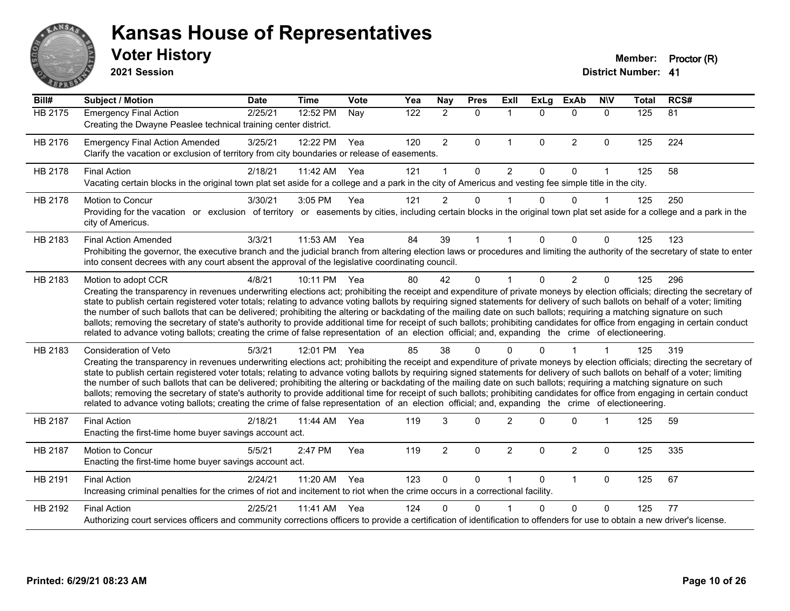

**2021 Session**

| Bill#   | <b>Subject / Motion</b>                                                                                                                                                                                                                                                                                                                                                                                                                                                                                                                                                                                                                                                                                                                                                                                                                                                                                           | <b>Date</b> | <b>Time</b>  | Vote | Yea | <b>Nay</b>     | <b>Pres</b>  | ExIl                 | <b>ExLg</b>  | <b>ExAb</b>    | <b>NIV</b>   | <b>Total</b> | RCS# |
|---------|-------------------------------------------------------------------------------------------------------------------------------------------------------------------------------------------------------------------------------------------------------------------------------------------------------------------------------------------------------------------------------------------------------------------------------------------------------------------------------------------------------------------------------------------------------------------------------------------------------------------------------------------------------------------------------------------------------------------------------------------------------------------------------------------------------------------------------------------------------------------------------------------------------------------|-------------|--------------|------|-----|----------------|--------------|----------------------|--------------|----------------|--------------|--------------|------|
| HB 2175 | <b>Emergency Final Action</b><br>Creating the Dwayne Peaslee technical training center district.                                                                                                                                                                                                                                                                                                                                                                                                                                                                                                                                                                                                                                                                                                                                                                                                                  | 2/25/21     | 12:52 PM     | Nay  | 122 | $\overline{2}$ | $\Omega$     | $\mathbf{1}$         | $\Omega$     | $\mathbf{0}$   | $\mathbf{0}$ | 125          | 81   |
| HB 2176 | <b>Emergency Final Action Amended</b><br>Clarify the vacation or exclusion of territory from city boundaries or release of easements.                                                                                                                                                                                                                                                                                                                                                                                                                                                                                                                                                                                                                                                                                                                                                                             | 3/25/21     | 12:22 PM     | Yea  | 120 | $\overline{2}$ | $\Omega$     | $\mathbf{1}$         | $\mathbf{0}$ | 2              | $\Omega$     | 125          | 224  |
| HB 2178 | <b>Final Action</b><br>Vacating certain blocks in the original town plat set aside for a college and a park in the city of Americus and vesting fee simple title in the city.                                                                                                                                                                                                                                                                                                                                                                                                                                                                                                                                                                                                                                                                                                                                     | 2/18/21     | 11:42 AM     | Yea  | 121 |                | $\Omega$     | $\overline{2}$       | $\Omega$     | $\Omega$       | 1            | 125          | 58   |
| HB 2178 | Motion to Concur<br>Providing for the vacation or exclusion of territory or easements by cities, including certain blocks in the original town plat set aside for a college and a park in the<br>city of Americus.                                                                                                                                                                                                                                                                                                                                                                                                                                                                                                                                                                                                                                                                                                | 3/30/21     | 3:05 PM      | Yea  | 121 | $\overline{2}$ | 0            | $\mathbf 1$          | $\Omega$     | $\Omega$       | 1            | 125          | 250  |
| HB 2183 | <b>Final Action Amended</b><br>Prohibiting the governor, the executive branch and the judicial branch from altering election laws or procedures and limiting the authority of the secretary of state to enter<br>into consent decrees with any court absent the approval of the legislative coordinating council.                                                                                                                                                                                                                                                                                                                                                                                                                                                                                                                                                                                                 | 3/3/21      | 11:53 AM     | Yea  | 84  | 39             |              |                      | 0            | $\Omega$       | $\Omega$     | 125          | 123  |
| HB 2183 | Motion to adopt CCR<br>Creating the transparency in revenues underwriting elections act; prohibiting the receipt and expenditure of private moneys by election officials; directing the secretary of<br>state to publish certain registered voter totals; relating to advance voting ballots by requiring signed statements for delivery of such ballots on behalf of a voter; limiting<br>the number of such ballots that can be delivered; prohibiting the altering or backdating of the mailing date on such ballots; requiring a matching signature on such<br>ballots; removing the secretary of state's authority to provide additional time for receipt of such ballots; prohibiting candidates for office from engaging in certain conduct<br>related to advance voting ballots; creating the crime of false representation of an election official; and, expanding the crime of electioneering.          | 4/8/21      | 10:11 PM     | Yea  | 80  | 42             | $\Omega$     | $\blacktriangleleft$ | $\Omega$     | $\overline{2}$ | $\mathbf 0$  | 125          | 296  |
| HB 2183 | <b>Consideration of Veto</b><br>Creating the transparency in revenues underwriting elections act; prohibiting the receipt and expenditure of private moneys by election officials; directing the secretary of<br>state to publish certain registered voter totals; relating to advance voting ballots by requiring signed statements for delivery of such ballots on behalf of a voter; limiting<br>the number of such ballots that can be delivered; prohibiting the altering or backdating of the mailing date on such ballots; requiring a matching signature on such<br>ballots; removing the secretary of state's authority to provide additional time for receipt of such ballots; prohibiting candidates for office from engaging in certain conduct<br>related to advance voting ballots; creating the crime of false representation of an election official; and, expanding the crime of electioneering. | 5/3/21      | 12:01 PM Yea |      | 85  | 38             | $\Omega$     |                      |              |                |              | 125          | 319  |
| HB 2187 | <b>Final Action</b><br>Enacting the first-time home buyer savings account act.                                                                                                                                                                                                                                                                                                                                                                                                                                                                                                                                                                                                                                                                                                                                                                                                                                    | 2/18/21     | 11:44 AM     | Yea  | 119 | 3              | $\mathbf{0}$ | $\overline{2}$       | <sup>0</sup> | $\Omega$       | 1            | 125          | 59   |
| HB 2187 | Motion to Concur<br>Enacting the first-time home buyer savings account act.                                                                                                                                                                                                                                                                                                                                                                                                                                                                                                                                                                                                                                                                                                                                                                                                                                       | 5/5/21      | 2:47 PM      | Yea  | 119 | $\overline{2}$ | $\Omega$     | $\overline{2}$       | $\Omega$     | $\overline{2}$ | $\mathbf{0}$ | 125          | 335  |
| HB 2191 | <b>Final Action</b><br>Increasing criminal penalties for the crimes of riot and incitement to riot when the crime occurs in a correctional facility.                                                                                                                                                                                                                                                                                                                                                                                                                                                                                                                                                                                                                                                                                                                                                              | 2/24/21     | 11:20 AM     | Yea  | 123 | $\mathbf{0}$   | 0            | $\mathbf 1$          | $\Omega$     | $\mathbf{1}$   | $\Omega$     | 125          | 67   |
| HB 2192 | <b>Final Action</b><br>Authorizing court services officers and community corrections officers to provide a certification of identification to offenders for use to obtain a new driver's license.                                                                                                                                                                                                                                                                                                                                                                                                                                                                                                                                                                                                                                                                                                                 | 2/25/21     | 11:41 AM     | Yea  | 124 | 0              | $\Omega$     |                      | 0            | $\Omega$       | $\Omega$     | 125          | 77   |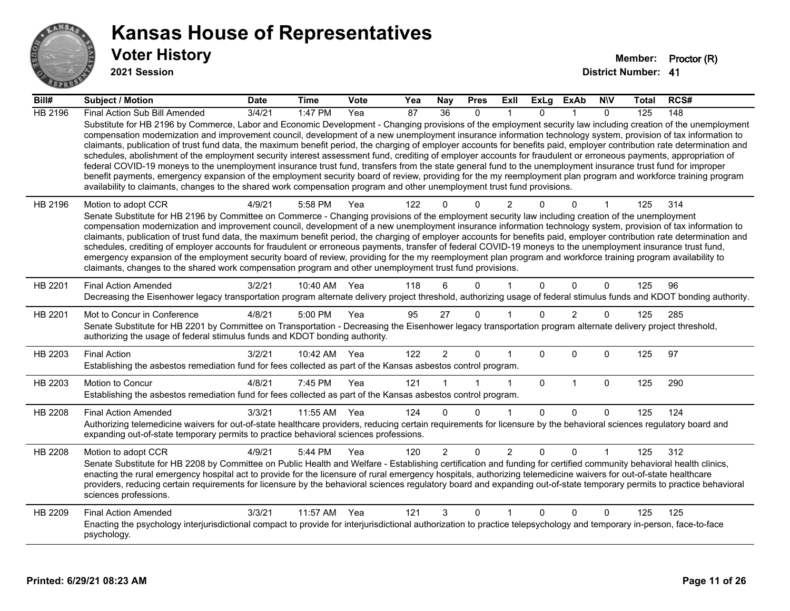

**2021 Session**

| Bill#          | Subject / Motion                                                                                                                                                                                                                                                                                                                                                                                                                                                                                                                                                                                                                                                                                                                                                                                                                                                                                                                                                                                                                                                                                                                                  | <b>Date</b>     | <b>Time</b>  | <b>Vote</b> | Yea | <b>Nay</b>     | <b>Pres</b>  | ExII           | <b>ExLg</b> | <b>ExAb</b>    | <b>NIV</b>   | Total | RCS# |
|----------------|---------------------------------------------------------------------------------------------------------------------------------------------------------------------------------------------------------------------------------------------------------------------------------------------------------------------------------------------------------------------------------------------------------------------------------------------------------------------------------------------------------------------------------------------------------------------------------------------------------------------------------------------------------------------------------------------------------------------------------------------------------------------------------------------------------------------------------------------------------------------------------------------------------------------------------------------------------------------------------------------------------------------------------------------------------------------------------------------------------------------------------------------------|-----------------|--------------|-------------|-----|----------------|--------------|----------------|-------------|----------------|--------------|-------|------|
| HB 2196        | Final Action Sub Bill Amended                                                                                                                                                                                                                                                                                                                                                                                                                                                                                                                                                                                                                                                                                                                                                                                                                                                                                                                                                                                                                                                                                                                     | $\sqrt{3}/4/21$ | $1:47$ PM    | Yea         | 87  | 36             | $\Omega$     |                | $\Omega$    |                | $\Omega$     | 125   | 148  |
|                | Substitute for HB 2196 by Commerce, Labor and Economic Development - Changing provisions of the employment security law including creation of the unemployment<br>compensation modernization and improvement council, development of a new unemployment insurance information technology system, provision of tax information to<br>claimants, publication of trust fund data, the maximum benefit period, the charging of employer accounts for benefits paid, employer contribution rate determination and<br>schedules, abolishment of the employment security interest assessment fund, crediting of employer accounts for fraudulent or erroneous payments, appropriation of<br>federal COVID-19 moneys to the unemployment insurance trust fund, transfers from the state general fund to the unemployment insurance trust fund for improper<br>benefit payments, emergency expansion of the employment security board of review, providing for the my reemployment plan program and workforce training program<br>availability to claimants, changes to the shared work compensation program and other unemployment trust fund provisions. |                 |              |             |     |                |              |                |             |                |              |       |      |
| HB 2196        | Motion to adopt CCR                                                                                                                                                                                                                                                                                                                                                                                                                                                                                                                                                                                                                                                                                                                                                                                                                                                                                                                                                                                                                                                                                                                               | 4/9/21          | 5:58 PM      | Yea         | 122 | 0              | $\Omega$     | $\overline{2}$ |             | $\Omega$       |              | 125   | 314  |
|                | Senate Substitute for HB 2196 by Committee on Commerce - Changing provisions of the employment security law including creation of the unemployment<br>compensation modernization and improvement council, development of a new unemployment insurance information technology system, provision of tax information to                                                                                                                                                                                                                                                                                                                                                                                                                                                                                                                                                                                                                                                                                                                                                                                                                              |                 |              |             |     |                |              |                |             |                |              |       |      |
|                | claimants, publication of trust fund data, the maximum benefit period, the charging of employer accounts for benefits paid, employer contribution rate determination and                                                                                                                                                                                                                                                                                                                                                                                                                                                                                                                                                                                                                                                                                                                                                                                                                                                                                                                                                                          |                 |              |             |     |                |              |                |             |                |              |       |      |
|                | schedules, crediting of employer accounts for fraudulent or erroneous payments, transfer of federal COVID-19 moneys to the unemployment insurance trust fund,<br>emergency expansion of the employment security board of review, providing for the my reemployment plan program and workforce training program availability to                                                                                                                                                                                                                                                                                                                                                                                                                                                                                                                                                                                                                                                                                                                                                                                                                    |                 |              |             |     |                |              |                |             |                |              |       |      |
|                | claimants, changes to the shared work compensation program and other unemployment trust fund provisions.                                                                                                                                                                                                                                                                                                                                                                                                                                                                                                                                                                                                                                                                                                                                                                                                                                                                                                                                                                                                                                          |                 |              |             |     |                |              |                |             |                |              |       |      |
| HB 2201        | <b>Final Action Amended</b>                                                                                                                                                                                                                                                                                                                                                                                                                                                                                                                                                                                                                                                                                                                                                                                                                                                                                                                                                                                                                                                                                                                       | 3/2/21          | 10:40 AM     | Yea         | 118 | 6              | $\Omega$     |                | $\Omega$    | $\Omega$       | $\mathbf{0}$ | 125   | 96   |
|                | Decreasing the Eisenhower legacy transportation program alternate delivery project threshold, authorizing usage of federal stimulus funds and KDOT bonding authority.                                                                                                                                                                                                                                                                                                                                                                                                                                                                                                                                                                                                                                                                                                                                                                                                                                                                                                                                                                             |                 |              |             |     |                |              |                |             |                |              |       |      |
| HB 2201        | Mot to Concur in Conference                                                                                                                                                                                                                                                                                                                                                                                                                                                                                                                                                                                                                                                                                                                                                                                                                                                                                                                                                                                                                                                                                                                       | 4/8/21          | 5:00 PM      | Yea         | 95  | 27             | $\mathbf{0}$ |                | $\Omega$    | $\overline{2}$ | $\Omega$     | 125   | 285  |
|                | Senate Substitute for HB 2201 by Committee on Transportation - Decreasing the Eisenhower legacy transportation program alternate delivery project threshold,<br>authorizing the usage of federal stimulus funds and KDOT bonding authority.                                                                                                                                                                                                                                                                                                                                                                                                                                                                                                                                                                                                                                                                                                                                                                                                                                                                                                       |                 |              |             |     |                |              |                |             |                |              |       |      |
| HB 2203        | <b>Final Action</b>                                                                                                                                                                                                                                                                                                                                                                                                                                                                                                                                                                                                                                                                                                                                                                                                                                                                                                                                                                                                                                                                                                                               | 3/2/21          | 10:42 AM Yea |             | 122 | $\overline{2}$ | $\mathbf{0}$ | 1              | $\Omega$    | $\Omega$       | $\mathbf 0$  | 125   | 97   |
|                | Establishing the asbestos remediation fund for fees collected as part of the Kansas asbestos control program.                                                                                                                                                                                                                                                                                                                                                                                                                                                                                                                                                                                                                                                                                                                                                                                                                                                                                                                                                                                                                                     |                 |              |             |     |                |              |                |             |                |              |       |      |
| HB 2203        | Motion to Concur                                                                                                                                                                                                                                                                                                                                                                                                                                                                                                                                                                                                                                                                                                                                                                                                                                                                                                                                                                                                                                                                                                                                  | 4/8/21          | 7:45 PM      | Yea         | 121 |                |              | 1              | $\mathbf 0$ | $\mathbf{1}$   | $\mathbf 0$  | 125   | 290  |
|                | Establishing the asbestos remediation fund for fees collected as part of the Kansas asbestos control program.                                                                                                                                                                                                                                                                                                                                                                                                                                                                                                                                                                                                                                                                                                                                                                                                                                                                                                                                                                                                                                     |                 |              |             |     |                |              |                |             |                |              |       |      |
| HB 2208        | <b>Final Action Amended</b>                                                                                                                                                                                                                                                                                                                                                                                                                                                                                                                                                                                                                                                                                                                                                                                                                                                                                                                                                                                                                                                                                                                       | 3/3/21          | 11:55 AM     | Yea         | 124 | $\Omega$       | $\Omega$     | 1              | $\Omega$    | $\Omega$       | $\mathbf{0}$ | 125   | 124  |
|                | Authorizing telemedicine waivers for out-of-state healthcare providers, reducing certain requirements for licensure by the behavioral sciences regulatory board and<br>expanding out-of-state temporary permits to practice behavioral sciences professions.                                                                                                                                                                                                                                                                                                                                                                                                                                                                                                                                                                                                                                                                                                                                                                                                                                                                                      |                 |              |             |     |                |              |                |             |                |              |       |      |
| <b>HB 2208</b> | Motion to adopt CCR                                                                                                                                                                                                                                                                                                                                                                                                                                                                                                                                                                                                                                                                                                                                                                                                                                                                                                                                                                                                                                                                                                                               | 4/9/21          | 5:44 PM      | Yea         | 120 | $\overline{2}$ | $\mathbf 0$  | $\overline{2}$ | 0           | 0              |              | 125   | 312  |
|                | Senate Substitute for HB 2208 by Committee on Public Health and Welfare - Establishing certification and funding for certified community behavioral health clinics,<br>enacting the rural emergency hospital act to provide for the licensure of rural emergency hospitals, authorizing telemedicine waivers for out-of-state healthcare                                                                                                                                                                                                                                                                                                                                                                                                                                                                                                                                                                                                                                                                                                                                                                                                          |                 |              |             |     |                |              |                |             |                |              |       |      |
|                | providers, reducing certain requirements for licensure by the behavioral sciences regulatory board and expanding out-of-state temporary permits to practice behavioral<br>sciences professions.                                                                                                                                                                                                                                                                                                                                                                                                                                                                                                                                                                                                                                                                                                                                                                                                                                                                                                                                                   |                 |              |             |     |                |              |                |             |                |              |       |      |
| HB 2209        | <b>Final Action Amended</b>                                                                                                                                                                                                                                                                                                                                                                                                                                                                                                                                                                                                                                                                                                                                                                                                                                                                                                                                                                                                                                                                                                                       | 3/3/21          | 11:57 AM     | Yea         | 121 | 3              | $\mathbf 0$  | 1              | 0           | 0              | $\mathbf 0$  | 125   | 125  |
|                | Enacting the psychology interjurisdictional compact to provide for interjurisdictional authorization to practice telepsychology and temporary in-person, face-to-face<br>psychology.                                                                                                                                                                                                                                                                                                                                                                                                                                                                                                                                                                                                                                                                                                                                                                                                                                                                                                                                                              |                 |              |             |     |                |              |                |             |                |              |       |      |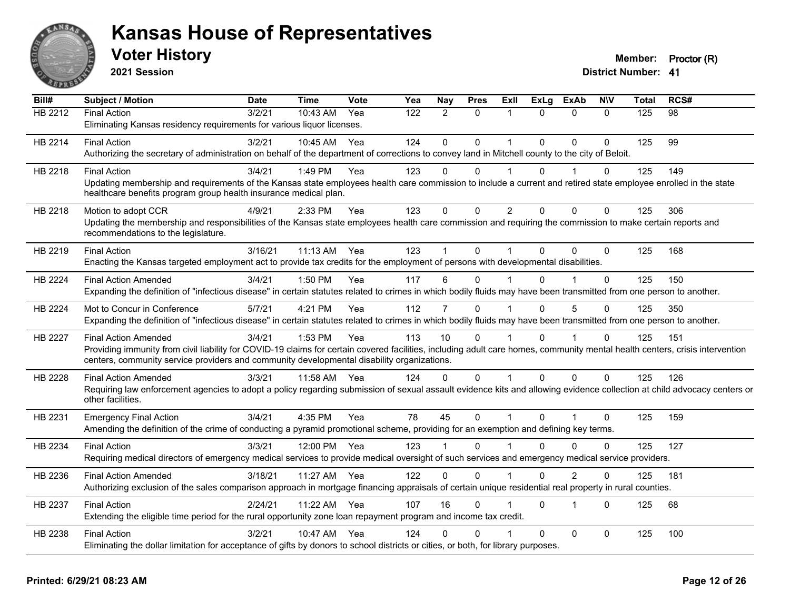

**2021 Session**

| Bill#          | <b>Subject / Motion</b>                                                                                                                                                      | <b>Date</b> | <b>Time</b> | Vote | Yea | Nay          | <b>Pres</b>  | Exll           | <b>ExLg</b> | <b>ExAb</b>             | <b>NIV</b>   | <b>Total</b> | RCS# |
|----------------|------------------------------------------------------------------------------------------------------------------------------------------------------------------------------|-------------|-------------|------|-----|--------------|--------------|----------------|-------------|-------------------------|--------------|--------------|------|
| <b>HB 2212</b> | <b>Final Action</b>                                                                                                                                                          | 3/2/21      | $10:43$ AM  | Yea  | 122 | 2            | $\Omega$     |                | $\Omega$    | $\Omega$                | $\Omega$     | 125          | 98   |
|                | Eliminating Kansas residency requirements for various liquor licenses.                                                                                                       |             |             |      |     |              |              |                |             |                         |              |              |      |
| HB 2214        | <b>Final Action</b>                                                                                                                                                          | 3/2/21      | 10:45 AM    | Yea  | 124 | $\Omega$     | $\mathbf 0$  |                | $\Omega$    | $\Omega$                | $\Omega$     | 125          | 99   |
|                | Authorizing the secretary of administration on behalf of the department of corrections to convey land in Mitchell county to the city of Beloit.                              |             |             |      |     |              |              |                |             |                         |              |              |      |
| HB 2218        | <b>Final Action</b>                                                                                                                                                          | 3/4/21      | 1:49 PM     | Yea  | 123 | $\Omega$     | $\Omega$     |                | $\Omega$    |                         | 0            | 125          | 149  |
|                | Updating membership and requirements of the Kansas state employees health care commission to include a current and retired state employee enrolled in the state              |             |             |      |     |              |              |                |             |                         |              |              |      |
|                | healthcare benefits program group health insurance medical plan.                                                                                                             |             |             |      |     |              |              |                |             |                         |              |              |      |
| HB 2218        | Motion to adopt CCR                                                                                                                                                          | 4/9/21      | 2:33 PM     | Yea  | 123 | $\mathbf{0}$ | $\mathbf{0}$ | $\overline{2}$ | $\Omega$    | $\Omega$                | $\mathbf{0}$ | 125          | 306  |
|                | Updating the membership and responsibilities of the Kansas state employees health care commission and requiring the commission to make certain reports and                   |             |             |      |     |              |              |                |             |                         |              |              |      |
|                | recommendations to the legislature.                                                                                                                                          |             |             |      |     |              |              |                |             |                         |              |              |      |
| HB 2219        | <b>Final Action</b>                                                                                                                                                          | 3/16/21     | 11:13 AM    | Yea  | 123 |              | $\Omega$     |                | $\Omega$    | $\Omega$                | $\Omega$     | 125          | 168  |
|                | Enacting the Kansas targeted employment act to provide tax credits for the employment of persons with developmental disabilities.                                            |             |             |      |     |              |              |                |             |                         |              |              |      |
| HB 2224        | <b>Final Action Amended</b>                                                                                                                                                  | 3/4/21      | 1:50 PM     | Yea  | 117 | 6            | $\Omega$     |                |             |                         | $\Omega$     | 125          | 150  |
|                | Expanding the definition of "infectious disease" in certain statutes related to crimes in which bodily fluids may have been transmitted from one person to another.          |             |             |      |     |              |              |                |             |                         |              |              |      |
| HB 2224        | Mot to Concur in Conference                                                                                                                                                  | 5/7/21      | 4:21 PM     | Yea  | 112 | 7            | $\Omega$     |                | $\Omega$    | 5                       | $\Omega$     | 125          | 350  |
|                | Expanding the definition of "infectious disease" in certain statutes related to crimes in which bodily fluids may have been transmitted from one person to another.          |             |             |      |     |              |              |                |             |                         |              |              |      |
| HB 2227        | <b>Final Action Amended</b>                                                                                                                                                  | 3/4/21      | 1:53 PM     | Yea  | 113 | 10           | $\Omega$     |                | $\Omega$    |                         | $\mathbf 0$  | 125          | 151  |
|                | Providing immunity from civil liability for COVID-19 claims for certain covered facilities, including adult care homes, community mental health centers, crisis intervention |             |             |      |     |              |              |                |             |                         |              |              |      |
|                | centers, community service providers and community developmental disability organizations.                                                                                   |             |             |      |     |              |              |                |             |                         |              |              |      |
| HB 2228        | <b>Final Action Amended</b>                                                                                                                                                  | 3/3/21      | 11:58 AM    | Yea  | 124 | $\Omega$     | $\mathbf{0}$ |                | $\Omega$    | $\mathbf{0}$            | $\Omega$     | 125          | 126  |
|                | Requiring law enforcement agencies to adopt a policy regarding submission of sexual assault evidence kits and allowing evidence collection at child advocacy centers or      |             |             |      |     |              |              |                |             |                         |              |              |      |
|                | other facilities.                                                                                                                                                            |             |             |      |     |              |              |                |             |                         |              |              |      |
| HB 2231        | <b>Emergency Final Action</b>                                                                                                                                                | 3/4/21      | 4:35 PM     | Yea  | 78  | 45           | $\mathbf 0$  | $\mathbf{1}$   | $\Omega$    | $\mathbf{1}$            | $\Omega$     | 125          | 159  |
|                | Amending the definition of the crime of conducting a pyramid promotional scheme, providing for an exemption and defining key terms.                                          |             |             |      |     |              |              |                |             |                         |              |              |      |
| HB 2234        | <b>Final Action</b>                                                                                                                                                          | 3/3/21      | 12:00 PM    | Yea  | 123 |              | $\Omega$     |                | U           | $\Omega$                | $\Omega$     | 125          | 127  |
|                | Requiring medical directors of emergency medical services to provide medical oversight of such services and emergency medical service providers.                             |             |             |      |     |              |              |                |             |                         |              |              |      |
| HB 2236        | <b>Final Action Amended</b>                                                                                                                                                  | 3/18/21     | 11:27 AM    | Yea  | 122 | $\Omega$     | $\pmb{0}$    |                | $\Omega$    | $\overline{2}$          | 0            | 125          | 181  |
|                | Authorizing exclusion of the sales comparison approach in mortgage financing appraisals of certain unique residential real property in rural counties.                       |             |             |      |     |              |              |                |             |                         |              |              |      |
| HB 2237        | <b>Final Action</b>                                                                                                                                                          | 2/24/21     | 11:22 AM    | Yea  | 107 | 16           | $\Omega$     |                | $\Omega$    | $\overline{\mathbf{1}}$ | $\Omega$     | 125          | 68   |
|                | Extending the eligible time period for the rural opportunity zone loan repayment program and income tax credit.                                                              |             |             |      |     |              |              |                |             |                         |              |              |      |
| HB 2238        | <b>Final Action</b>                                                                                                                                                          | 3/2/21      | 10:47 AM    | Yea  | 124 | 0            | $\Omega$     |                | $\Omega$    | $\mathbf 0$             | $\Omega$     | 125          | 100  |
|                | Eliminating the dollar limitation for acceptance of gifts by donors to school districts or cities, or both, for library purposes.                                            |             |             |      |     |              |              |                |             |                         |              |              |      |
|                |                                                                                                                                                                              |             |             |      |     |              |              |                |             |                         |              |              |      |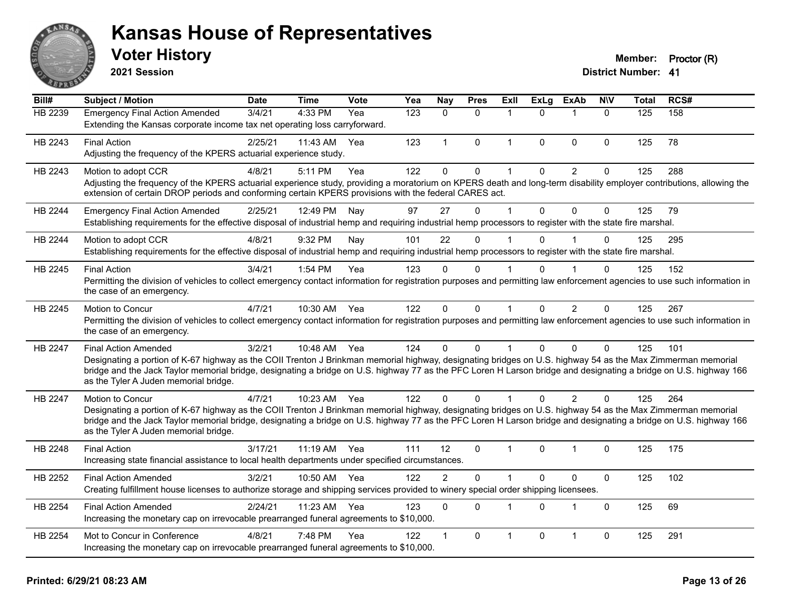

**2021 Session**

| Bill#          | Subject / Motion                                                                                                                                                                                                                                                                                                                                                                                         | <b>Date</b> | <b>Time</b>  | <b>Vote</b> | Yea | Nay            | <b>Pres</b>  | Exll                 | <b>ExLg</b> | <b>ExAb</b>    | <b>NIV</b>   | <b>Total</b> | RCS# |
|----------------|----------------------------------------------------------------------------------------------------------------------------------------------------------------------------------------------------------------------------------------------------------------------------------------------------------------------------------------------------------------------------------------------------------|-------------|--------------|-------------|-----|----------------|--------------|----------------------|-------------|----------------|--------------|--------------|------|
| <b>HB 2239</b> | <b>Emergency Final Action Amended</b><br>Extending the Kansas corporate income tax net operating loss carryforward.                                                                                                                                                                                                                                                                                      | 3/4/21      | 4:33 PM      | Yea         | 123 | $\Omega$       | $\Omega$     | 1                    | $\Omega$    | $\mathbf 1$    | $\Omega$     | 125          | 158  |
| HB 2243        | <b>Final Action</b><br>Adjusting the frequency of the KPERS actuarial experience study.                                                                                                                                                                                                                                                                                                                  | 2/25/21     | 11:43 AM     | Yea         | 123 | $\mathbf{1}$   | $\mathbf{0}$ | $\mathbf{1}$         | $\Omega$    | $\mathbf{0}$   | 0            | 125          | 78   |
| HB 2243        | Motion to adopt CCR<br>Adjusting the frequency of the KPERS actuarial experience study, providing a moratorium on KPERS death and long-term disability employer contributions, allowing the<br>extension of certain DROP periods and conforming certain KPERS provisions with the federal CARES act.                                                                                                     | 4/8/21      | 5:11 PM      | Yea         | 122 | $\mathbf 0$    | $\mathsf 0$  | $\mathbf 1$          | $\mathbf 0$ | $\overline{2}$ | $\pmb{0}$    | 125          | 288  |
| HB 2244        | <b>Emergency Final Action Amended</b><br>Establishing requirements for the effective disposal of industrial hemp and requiring industrial hemp processors to register with the state fire marshal.                                                                                                                                                                                                       | 2/25/21     | 12:49 PM     | Nay         | 97  | 27             | $\Omega$     | $\mathbf 1$          | $\Omega$    | $\Omega$       | $\mathbf{0}$ | 125          | 79   |
| HB 2244        | Motion to adopt CCR<br>Establishing requirements for the effective disposal of industrial hemp and requiring industrial hemp processors to register with the state fire marshal.                                                                                                                                                                                                                         | 4/8/21      | 9:32 PM      | Nay         | 101 | 22             | $\Omega$     |                      | $\Omega$    |                | 0            | 125          | 295  |
| HB 2245        | <b>Final Action</b><br>Permitting the division of vehicles to collect emergency contact information for registration purposes and permitting law enforcement agencies to use such information in<br>the case of an emergency.                                                                                                                                                                            | 3/4/21      | 1:54 PM      | Yea         | 123 | $\Omega$       | 0            | $\blacktriangleleft$ | 0           |                | 0            | 125          | 152  |
| HB 2245        | Motion to Concur<br>Permitting the division of vehicles to collect emergency contact information for registration purposes and permitting law enforcement agencies to use such information in<br>the case of an emergency.                                                                                                                                                                               | 4/7/21      | 10:30 AM     | Yea         | 122 | $\Omega$       | $\Omega$     | $\mathbf{1}$         | $\Omega$    | 2              | $\Omega$     | 125          | 267  |
| HB 2247        | <b>Final Action Amended</b><br>Designating a portion of K-67 highway as the COII Trenton J Brinkman memorial highway, designating bridges on U.S. highway 54 as the Max Zimmerman memorial<br>bridge and the Jack Taylor memorial bridge, designating a bridge on U.S. highway 77 as the PFC Loren H Larson bridge and designating a bridge on U.S. highway 166<br>as the Tyler A Juden memorial bridge. | 3/2/21      | 10:48 AM Yea |             | 124 | $\Omega$       | $\Omega$     | $\mathbf 1$          | $\Omega$    | $\Omega$       | 0            | 125          | 101  |
| HB 2247        | <b>Motion to Concur</b><br>Designating a portion of K-67 highway as the COII Trenton J Brinkman memorial highway, designating bridges on U.S. highway 54 as the Max Zimmerman memorial<br>bridge and the Jack Taylor memorial bridge, designating a bridge on U.S. highway 77 as the PFC Loren H Larson bridge and designating a bridge on U.S. highway 166<br>as the Tyler A Juden memorial bridge.     | 4/7/21      | 10:23 AM Yea |             | 122 | $\Omega$       | 0            |                      | $\Omega$    | $\overline{2}$ | $\Omega$     | 125          | 264  |
| HB 2248        | <b>Final Action</b><br>Increasing state financial assistance to local health departments under specified circumstances.                                                                                                                                                                                                                                                                                  | 3/17/21     | 11:19 AM Yea |             | 111 | 12             | $\Omega$     | $\mathbf 1$          | $\Omega$    | $\overline{1}$ | 0            | 125          | 175  |
| HB 2252        | <b>Final Action Amended</b><br>Creating fulfillment house licenses to authorize storage and shipping services provided to winery special order shipping licensees.                                                                                                                                                                                                                                       | 3/2/21      | 10:50 AM     | Yea         | 122 | $\overline{2}$ | $\mathbf 0$  | $\mathbf 1$          | $\Omega$    | $\mathbf 0$    | $\mathbf 0$  | 125          | 102  |
| HB 2254        | <b>Final Action Amended</b><br>Increasing the monetary cap on irrevocable prearranged funeral agreements to \$10,000.                                                                                                                                                                                                                                                                                    | 2/24/21     | 11:23 AM     | Yea         | 123 | $\Omega$       | $\Omega$     | $\mathbf 1$          | $\Omega$    | $\overline{1}$ | 0            | 125          | 69   |
| HB 2254        | Mot to Concur in Conference<br>Increasing the monetary cap on irrevocable prearranged funeral agreements to \$10,000.                                                                                                                                                                                                                                                                                    | 4/8/21      | 7:48 PM      | Yea         | 122 | $\mathbf{1}$   | 0            | 1                    | 0           | $\overline{1}$ | 0            | 125          | 291  |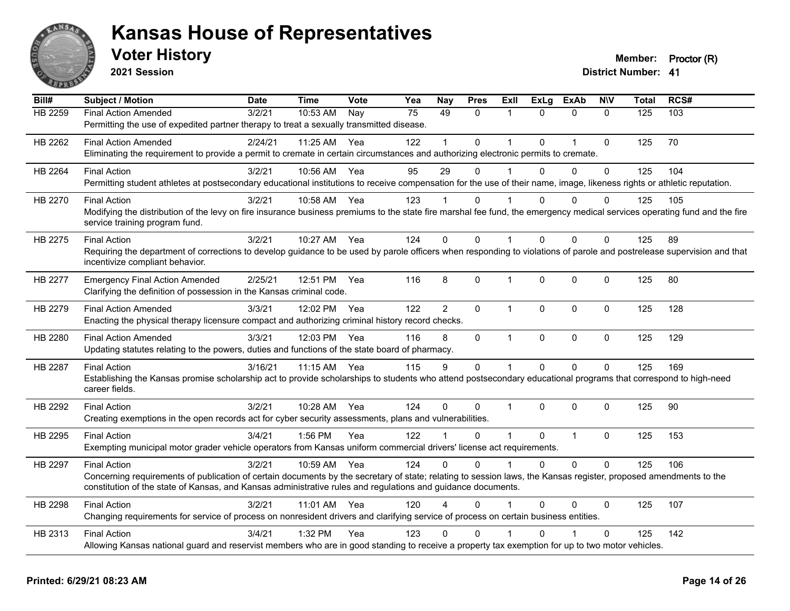

**2021 Session**

| Bill#          | Subject / Motion                                                                                                                                                          | <b>Date</b> | <b>Time</b>  | Vote | Yea | <b>Nay</b>     | <b>Pres</b>  | ExII           | <b>ExLg</b> | <b>ExAb</b>    | <b>NIV</b>   | <b>Total</b>   | RCS# |
|----------------|---------------------------------------------------------------------------------------------------------------------------------------------------------------------------|-------------|--------------|------|-----|----------------|--------------|----------------|-------------|----------------|--------------|----------------|------|
| <b>HB 2259</b> | <b>Final Action Amended</b>                                                                                                                                               | 3/2/21      | 10:53 AM     | Nay  | 75  | 49             | $\Omega$     | 1              | $\Omega$    | $\mathbf{0}$   | $\Omega$     | $\frac{1}{25}$ | 103  |
|                | Permitting the use of expedited partner therapy to treat a sexually transmitted disease.                                                                                  |             |              |      |     |                |              |                |             |                |              |                |      |
| HB 2262        | <b>Final Action Amended</b>                                                                                                                                               | 2/24/21     | 11:25 AM     | Yea  | 122 |                | $\mathbf{0}$ | 1              | 0           | $\overline{1}$ | $\mathbf 0$  | 125            | 70   |
|                | Eliminating the requirement to provide a permit to cremate in certain circumstances and authorizing electronic permits to cremate.                                        |             |              |      |     |                |              |                |             |                |              |                |      |
| HB 2264        | <b>Final Action</b>                                                                                                                                                       | 3/2/21      | 10:56 AM     | Yea  | 95  | 29             | $\Omega$     |                | $\Omega$    | $\Omega$       | $\mathbf{0}$ | 125            | 104  |
|                | Permitting student athletes at postsecondary educational institutions to receive compensation for the use of their name, image, likeness rights or athletic reputation.   |             |              |      |     |                |              |                |             |                |              |                |      |
| HB 2270        | <b>Final Action</b>                                                                                                                                                       | 3/2/21      | 10:58 AM     | Yea  | 123 |                | $\Omega$     |                | 0           | $\Omega$       | 0            | 125            | 105  |
|                | Modifying the distribution of the levy on fire insurance business premiums to the state fire marshal fee fund, the emergency medical services operating fund and the fire |             |              |      |     |                |              |                |             |                |              |                |      |
|                | service training program fund.                                                                                                                                            |             |              |      |     |                |              |                |             |                |              |                |      |
| HB 2275        | <b>Final Action</b>                                                                                                                                                       | 3/2/21      | 10:27 AM     | Yea  | 124 | $\Omega$       | $\Omega$     | $\overline{1}$ | 0           | $\Omega$       | $\Omega$     | 125            | 89   |
|                | Requiring the department of corrections to develop guidance to be used by parole officers when responding to violations of parole and postrelease supervision and that    |             |              |      |     |                |              |                |             |                |              |                |      |
|                | incentivize compliant behavior.                                                                                                                                           |             |              |      |     |                |              |                |             |                |              |                |      |
| HB 2277        | <b>Emergency Final Action Amended</b>                                                                                                                                     | 2/25/21     | 12:51 PM     | Yea  | 116 | 8              | 0            | 1              | $\mathbf 0$ | $\mathbf 0$    | $\mathbf 0$  | 125            | 80   |
|                | Clarifying the definition of possession in the Kansas criminal code.                                                                                                      |             |              |      |     |                |              |                |             |                |              |                |      |
| HB 2279        | <b>Final Action Amended</b>                                                                                                                                               | 3/3/21      | 12:02 PM     | Yea  | 122 | $\overline{2}$ | $\Omega$     | 1              | $\Omega$    | $\mathbf{0}$   | $\Omega$     | 125            | 128  |
|                | Enacting the physical therapy licensure compact and authorizing criminal history record checks.                                                                           |             |              |      |     |                |              |                |             |                |              |                |      |
| HB 2280        | <b>Final Action Amended</b>                                                                                                                                               | 3/3/21      | 12:03 PM Yea |      | 116 | 8              | 0            | 1              | $\mathbf 0$ | $\mathbf 0$    | $\mathbf 0$  | 125            | 129  |
|                | Updating statutes relating to the powers, duties and functions of the state board of pharmacy.                                                                            |             |              |      |     |                |              |                |             |                |              |                |      |
| HB 2287        | <b>Final Action</b>                                                                                                                                                       | 3/16/21     | 11:15 AM     | Yea  | 115 | 9              | $\mathbf 0$  | 1              | $\mathbf 0$ | $\mathbf 0$    | $\mathbf 0$  | 125            | 169  |
|                | Establishing the Kansas promise scholarship act to provide scholarships to students who attend postsecondary educational programs that correspond to high-need            |             |              |      |     |                |              |                |             |                |              |                |      |
|                | career fields.                                                                                                                                                            |             |              |      |     |                |              |                |             |                |              |                |      |
| HB 2292        | <b>Final Action</b>                                                                                                                                                       | 3/2/21      | 10:28 AM     | Yea  | 124 | $\Omega$       | $\Omega$     | $\mathbf{1}$   | $\Omega$    | $\Omega$       | $\Omega$     | 125            | 90   |
|                | Creating exemptions in the open records act for cyber security assessments, plans and vulnerabilities.                                                                    |             |              |      |     |                |              |                |             |                |              |                |      |
| HB 2295        | <b>Final Action</b>                                                                                                                                                       | 3/4/21      | 1:56 PM      | Yea  | 122 |                | 0            | 1              | $\Omega$    | $\overline{1}$ | $\mathbf 0$  | 125            | 153  |
|                | Exempting municipal motor grader vehicle operators from Kansas uniform commercial drivers' license act requirements.                                                      |             |              |      |     |                |              |                |             |                |              |                |      |
| HB 2297        | <b>Final Action</b>                                                                                                                                                       | 3/2/21      | 10:59 AM     | Yea  | 124 | $\Omega$       | $\Omega$     | 1              | $\Omega$    | $\Omega$       | $\mathbf 0$  | 125            | 106  |
|                | Concerning requirements of publication of certain documents by the secretary of state; relating to session laws, the Kansas register, proposed amendments to the          |             |              |      |     |                |              |                |             |                |              |                |      |
|                | constitution of the state of Kansas, and Kansas administrative rules and regulations and guidance documents.                                                              |             |              |      |     |                |              |                |             |                |              |                |      |
| HB 2298        | <b>Final Action</b>                                                                                                                                                       | 3/2/21      | 11:01 AM Yea |      | 120 | 4              | $\Omega$     |                | $\Omega$    | $\Omega$       | $\Omega$     | 125            | 107  |
|                | Changing requirements for service of process on nonresident drivers and clarifying service of process on certain business entities.                                       |             |              |      |     |                |              |                |             |                |              |                |      |
| HB 2313        | <b>Final Action</b>                                                                                                                                                       | 3/4/21      | 1:32 PM      | Yea  | 123 | $\Omega$       | $\mathbf{0}$ |                |             |                | $\Omega$     | 125            | 142  |
|                | Allowing Kansas national guard and reservist members who are in good standing to receive a property tax exemption for up to two motor vehicles.                           |             |              |      |     |                |              |                |             |                |              |                |      |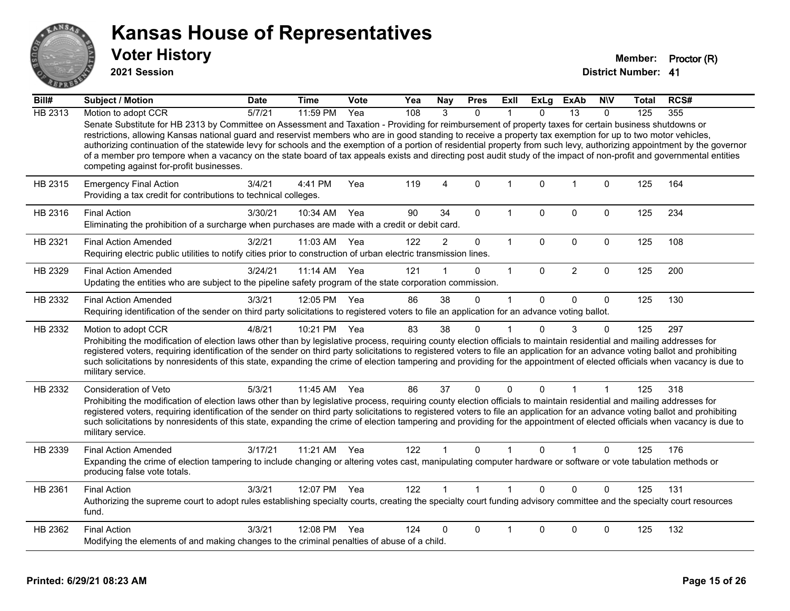

**2021 Session**

| Bill#   | Subject / Motion                                                                                                                                                                                                                                                                                                                                                                                                                                                                                                                                                                                                                                                                                                          | <b>Date</b> | <b>Time</b>  | Vote | Yea | <b>Nay</b>     | <b>Pres</b>  | Exll         | <b>ExLg</b>  | <b>ExAb</b>     | <b>NIV</b>   | Total | RCS# |
|---------|---------------------------------------------------------------------------------------------------------------------------------------------------------------------------------------------------------------------------------------------------------------------------------------------------------------------------------------------------------------------------------------------------------------------------------------------------------------------------------------------------------------------------------------------------------------------------------------------------------------------------------------------------------------------------------------------------------------------------|-------------|--------------|------|-----|----------------|--------------|--------------|--------------|-----------------|--------------|-------|------|
| HB 2313 | Motion to adopt CCR                                                                                                                                                                                                                                                                                                                                                                                                                                                                                                                                                                                                                                                                                                       | 5/7/21      | 11:59 PM     | Yea  | 108 | 3              | $\Omega$     |              | $\Omega$     | $\overline{13}$ | $\Omega$     | 125   | 355  |
|         | Senate Substitute for HB 2313 by Committee on Assessment and Taxation - Providing for reimbursement of property taxes for certain business shutdowns or<br>restrictions, allowing Kansas national guard and reservist members who are in good standing to receive a property tax exemption for up to two motor vehicles,<br>authorizing continuation of the statewide levy for schools and the exemption of a portion of residential property from such levy, authorizing appointment by the governor<br>of a member pro tempore when a vacancy on the state board of tax appeals exists and directing post audit study of the impact of non-profit and governmental entities<br>competing against for-profit businesses. |             |              |      |     |                |              |              |              |                 |              |       |      |
| HB 2315 | <b>Emergency Final Action</b><br>Providing a tax credit for contributions to technical colleges.                                                                                                                                                                                                                                                                                                                                                                                                                                                                                                                                                                                                                          | 3/4/21      | 4:41 PM      | Yea  | 119 | $\overline{4}$ | $\mathbf 0$  | $\mathbf{1}$ | $\mathbf{0}$ | $\overline{1}$  | $\mathbf 0$  | 125   | 164  |
| HB 2316 | <b>Final Action</b><br>Eliminating the prohibition of a surcharge when purchases are made with a credit or debit card.                                                                                                                                                                                                                                                                                                                                                                                                                                                                                                                                                                                                    | 3/30/21     | 10:34 AM     | Yea  | 90  | 34             | $\mathbf{0}$ | 1            | $\Omega$     | $\mathbf 0$     | $\mathbf 0$  | 125   | 234  |
| HB 2321 | <b>Final Action Amended</b><br>Requiring electric public utilities to notify cities prior to construction of urban electric transmission lines.                                                                                                                                                                                                                                                                                                                                                                                                                                                                                                                                                                           | 3/2/21      | 11:03 AM     | Yea  | 122 | $\overline{2}$ | $\mathbf 0$  | $\mathbf{1}$ | $\mathbf 0$  | $\mathbf 0$     | $\mathbf 0$  | 125   | 108  |
| HB 2329 | <b>Final Action Amended</b><br>Updating the entities who are subject to the pipeline safety program of the state corporation commission.                                                                                                                                                                                                                                                                                                                                                                                                                                                                                                                                                                                  | 3/24/21     | 11:14 AM     | Yea  | 121 |                | $\Omega$     | $\mathbf{1}$ | $\mathbf{0}$ | $\overline{2}$  | $\mathbf 0$  | 125   | 200  |
| HB 2332 | <b>Final Action Amended</b><br>Requiring identification of the sender on third party solicitations to registered voters to file an application for an advance voting ballot.                                                                                                                                                                                                                                                                                                                                                                                                                                                                                                                                              | 3/3/21      | 12:05 PM     | Yea  | 86  | 38             | $\Omega$     | 1            | $\Omega$     | $\mathbf{0}$    | $\Omega$     | 125   | 130  |
| HB 2332 | Motion to adopt CCR<br>Prohibiting the modification of election laws other than by legislative process, requiring county election officials to maintain residential and mailing addresses for<br>registered voters, requiring identification of the sender on third party solicitations to registered voters to file an application for an advance voting ballot and prohibiting<br>such solicitations by nonresidents of this state, expanding the crime of election tampering and providing for the appointment of elected officials when vacancy is due to<br>military service.                                                                                                                                        | 4/8/21      | 10:21 PM     | Yea  | 83  | 38             | $\mathbf 0$  |              | $\Omega$     | 3               | $\mathbf{0}$ | 125   | 297  |
| HB 2332 | <b>Consideration of Veto</b><br>Prohibiting the modification of election laws other than by legislative process, requiring county election officials to maintain residential and mailing addresses for<br>registered voters, requiring identification of the sender on third party solicitations to registered voters to file an application for an advance voting ballot and prohibiting<br>such solicitations by nonresidents of this state, expanding the crime of election tampering and providing for the appointment of elected officials when vacancy is due to<br>military service.                                                                                                                               | 5/3/21      | 11:45 AM     | Yea  | 86  | 37             | $\mathbf{0}$ | $\Omega$     | $\Omega$     |                 | 1            | 125   | 318  |
| HB 2339 | <b>Final Action Amended</b><br>Expanding the crime of election tampering to include changing or altering votes cast, manipulating computer hardware or software or vote tabulation methods or<br>producing false vote totals.                                                                                                                                                                                                                                                                                                                                                                                                                                                                                             | 3/17/21     | 11:21 AM     | Yea  | 122 |                | $\Omega$     |              | $\Omega$     |                 | $\Omega$     | 125   | 176  |
| HB 2361 | <b>Final Action</b><br>Authorizing the supreme court to adopt rules establishing specialty courts, creating the specialty court funding advisory committee and the specialty court resources<br>fund.                                                                                                                                                                                                                                                                                                                                                                                                                                                                                                                     | 3/3/21      | 12:07 PM Yea |      | 122 |                | $\mathbf{1}$ | $\mathbf 1$  | $\Omega$     | $\Omega$        | $\Omega$     | 125   | 131  |
| HB 2362 | <b>Final Action</b><br>Modifying the elements of and making changes to the criminal penalties of abuse of a child.                                                                                                                                                                                                                                                                                                                                                                                                                                                                                                                                                                                                        | 3/3/21      | 12:08 PM     | Yea  | 124 | 0              | $\Omega$     |              | $\Omega$     | $\mathbf 0$     | 0            | 125   | 132  |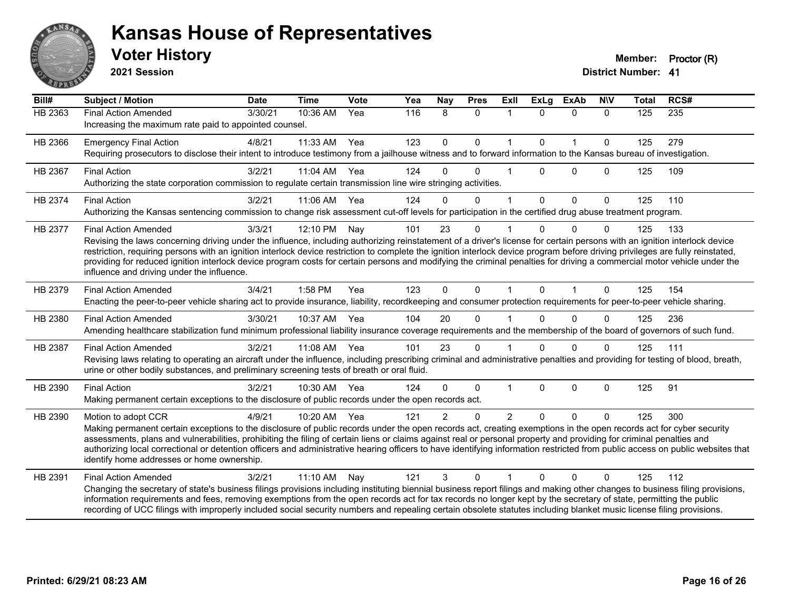

**2021 Session**

| Bill#   | <b>Subject / Motion</b>                                                                                                                                                                                                                                                                                                                                                                                                                                                                                                                                                                                             | <b>Date</b> | <b>Time</b> | <b>Vote</b> | Yea | <b>Nay</b>    | <b>Pres</b>  | <b>Exll</b>   | <b>ExLg</b> | <b>ExAb</b>  | <b>NIV</b>   | <b>Total</b> | RCS# |
|---------|---------------------------------------------------------------------------------------------------------------------------------------------------------------------------------------------------------------------------------------------------------------------------------------------------------------------------------------------------------------------------------------------------------------------------------------------------------------------------------------------------------------------------------------------------------------------------------------------------------------------|-------------|-------------|-------------|-----|---------------|--------------|---------------|-------------|--------------|--------------|--------------|------|
| HB 2363 | <b>Final Action Amended</b><br>Increasing the maximum rate paid to appointed counsel.                                                                                                                                                                                                                                                                                                                                                                                                                                                                                                                               | 3/30/21     | 10:36 AM    | Yea         | 116 | 8             | $\mathbf{0}$ | $\mathbf{1}$  | $\Omega$    | $\mathbf{0}$ | $\Omega$     | 125          | 235  |
| HB 2366 | <b>Emergency Final Action</b><br>Requiring prosecutors to disclose their intent to introduce testimony from a jailhouse witness and to forward information to the Kansas bureau of investigation.                                                                                                                                                                                                                                                                                                                                                                                                                   | 4/8/21      | 11:33 AM    | Yea         | 123 | $\mathbf 0$   | $\mathbf 0$  | 1             | $\Omega$    | $\mathbf{1}$ | $\mathbf 0$  | 125          | 279  |
| HB 2367 | <b>Final Action</b><br>Authorizing the state corporation commission to regulate certain transmission line wire stringing activities.                                                                                                                                                                                                                                                                                                                                                                                                                                                                                | 3/2/21      | 11:04 AM    | Yea         | 124 | $\Omega$      | $\Omega$     |               | $\Omega$    | $\Omega$     | $\Omega$     | 125          | 109  |
| HB 2374 | <b>Final Action</b><br>Authorizing the Kansas sentencing commission to change risk assessment cut-off levels for participation in the certified drug abuse treatment program.                                                                                                                                                                                                                                                                                                                                                                                                                                       | 3/2/21      | 11:06 AM    | Yea         | 124 | $\Omega$      | $\mathbf{0}$ | 1             | $\Omega$    | $\mathbf{0}$ | $\Omega$     | 125          | 110  |
| HB 2377 | <b>Final Action Amended</b><br>Revising the laws concerning driving under the influence, including authorizing reinstatement of a driver's license for certain persons with an ignition interlock device<br>restriction, requiring persons with an ignition interlock device restriction to complete the ignition interlock device program before driving privileges are fully reinstated,<br>providing for reduced ignition interlock device program costs for certain persons and modifying the criminal penalties for driving a commercial motor vehicle under the<br>influence and driving under the influence. | 3/3/21      | 12:10 PM    | Nay         | 101 | 23            | $\Omega$     |               |             | $\Omega$     | 0            | 125          | 133  |
| HB 2379 | <b>Final Action Amended</b><br>Enacting the peer-to-peer vehicle sharing act to provide insurance, liability, recordkeeping and consumer protection requirements for peer-to-peer vehicle sharing.                                                                                                                                                                                                                                                                                                                                                                                                                  | 3/4/21      | 1:58 PM     | Yea         | 123 | $\Omega$      | $\Omega$     | 1             | $\Omega$    | $\mathbf 1$  | $\Omega$     | 125          | 154  |
| HB 2380 | <b>Final Action Amended</b><br>Amending healthcare stabilization fund minimum professional liability insurance coverage requirements and the membership of the board of governors of such fund.                                                                                                                                                                                                                                                                                                                                                                                                                     | 3/30/21     | 10:37 AM    | Yea         | 104 | 20            | $\Omega$     |               | $\Omega$    | $\Omega$     | $\Omega$     | 125          | 236  |
| HB 2387 | <b>Final Action Amended</b><br>Revising laws relating to operating an aircraft under the influence, including prescribing criminal and administrative penalties and providing for testing of blood, breath,<br>urine or other bodily substances, and preliminary screening tests of breath or oral fluid.                                                                                                                                                                                                                                                                                                           | 3/2/21      | 11:08 AM    | Yea         | 101 | 23            | $\mathbf{0}$ |               | $\Omega$    | $\Omega$     | $\Omega$     | 125          | 111  |
| HB 2390 | <b>Final Action</b><br>Making permanent certain exceptions to the disclosure of public records under the open records act.                                                                                                                                                                                                                                                                                                                                                                                                                                                                                          | 3/2/21      | 10:30 AM    | Yea         | 124 | $\Omega$      | $\mathbf{0}$ | 1             | $\Omega$    | $\mathbf 0$  | $\Omega$     | 125          | 91   |
| HB 2390 | Motion to adopt CCR<br>Making permanent certain exceptions to the disclosure of public records under the open records act, creating exemptions in the open records act for cyber security<br>assessments, plans and vulnerabilities, prohibiting the filing of certain liens or claims against real or personal property and providing for criminal penalties and<br>authorizing local correctional or detention officers and administrative hearing officers to have identifying information restricted from public access on public websites that<br>identify home addresses or home ownership.                   | 4/9/21      | 10:20 AM    | Yea         | 121 | $\mathcal{P}$ | $\Omega$     | $\mathcal{P}$ | $\Omega$    | $\Omega$     | $\Omega$     | 125          | 300  |
| HB 2391 | <b>Final Action Amended</b><br>Changing the secretary of state's business filings provisions including instituting biennial business report filings and making other changes to business filing provisions,<br>information requirements and fees, removing exemptions from the open records act for tax records no longer kept by the secretary of state, permitting the public<br>recording of UCC filings with improperly included social security numbers and repealing certain obsolete statutes including blanket music license filing provisions.                                                             | 3/2/21      | 11:10 AM    | Nay         | 121 | 3             | $\Omega$     |               | $\Omega$    | $\Omega$     | $\mathbf{0}$ | 125          | 112  |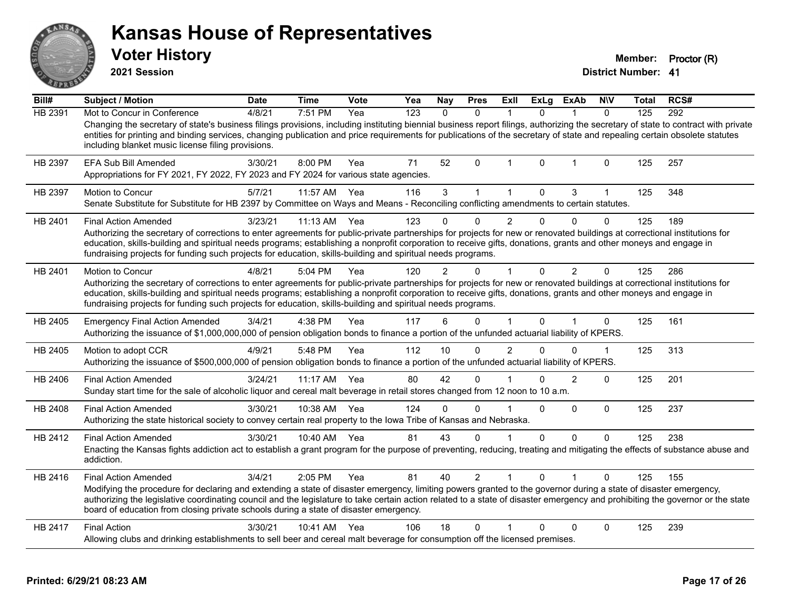| ANSAR          | <b>Kansas House of Representatives</b><br><b>Voter History</b><br>2021 Session                                                                                                                                                                                                                                                                                                                                                                                                              |             |              |             |     |               |                |                |             |                |              | <b>District Number: 41</b> | Member: Proctor (R) |
|----------------|---------------------------------------------------------------------------------------------------------------------------------------------------------------------------------------------------------------------------------------------------------------------------------------------------------------------------------------------------------------------------------------------------------------------------------------------------------------------------------------------|-------------|--------------|-------------|-----|---------------|----------------|----------------|-------------|----------------|--------------|----------------------------|---------------------|
| Bill#          | <b>Subject / Motion</b>                                                                                                                                                                                                                                                                                                                                                                                                                                                                     | <b>Date</b> | <b>Time</b>  | <b>Vote</b> | Yea | <b>Nay</b>    | <b>Pres</b>    | Exll           | <b>ExLg</b> | <b>ExAb</b>    | <b>NIV</b>   | Total                      | RCS#                |
| <b>HB 2391</b> | Mot to Concur in Conference<br>Changing the secretary of state's business filings provisions, including instituting biennial business report filings, authorizing the secretary of state to contract with private<br>entities for printing and binding services, changing publication and price requirements for publications of the secretary of state and repealing certain obsolete statutes<br>including blanket music license filing provisions.                                       | 4/8/21      | 7:51 PM      | Yea         | 123 | $\mathbf{0}$  | $\mathbf{0}$   | $\mathbf{1}$   | $\Omega$    | $\mathbf 1$    | $\Omega$     | 125                        | 292                 |
| HB 2397        | EFA Sub Bill Amended<br>Appropriations for FY 2021, FY 2022, FY 2023 and FY 2024 for various state agencies.                                                                                                                                                                                                                                                                                                                                                                                | 3/30/21     | 8:00 PM      | Yea         | 71  | 52            | $\Omega$       | $\mathbf 1$    | $\mathbf 0$ | 1              | 0            | 125                        | 257                 |
| HB 2397        | <b>Motion to Concur</b><br>Senate Substitute for Substitute for HB 2397 by Committee on Ways and Means - Reconciling conflicting amendments to certain statutes.                                                                                                                                                                                                                                                                                                                            | 5/7/21      | 11:57 AM Yea |             | 116 | 3             | $\mathbf{1}$   | $\mathbf{1}$   | 0           | 3              | $\mathbf{1}$ | 125                        | 348                 |
| HB 2401        | <b>Final Action Amended</b><br>Authorizing the secretary of corrections to enter agreements for public-private partnerships for projects for new or renovated buildings at correctional institutions for<br>education, skills-building and spiritual needs programs; establishing a nonprofit corporation to receive gifts, donations, grants and other moneys and engage in<br>fundraising projects for funding such projects for education, skills-building and spiritual needs programs. | 3/23/21     | 11:13 AM     | Yea         | 123 | $\Omega$      | 0              | $\overline{2}$ | 0           | $\Omega$       | $\Omega$     | 125                        | 189                 |
| HB 2401        | <b>Motion to Concur</b><br>Authorizing the secretary of corrections to enter agreements for public-private partnerships for projects for new or renovated buildings at correctional institutions for<br>education, skills-building and spiritual needs programs; establishing a nonprofit corporation to receive gifts, donations, grants and other moneys and engage in<br>fundraising projects for funding such projects for education, skills-building and spiritual needs programs.     | 4/8/21      | 5:04 PM      | Yea         | 120 | $\mathcal{P}$ | 0              | $\mathbf 1$    | 0           | $\overline{2}$ | 0            | 125                        | 286                 |
| HB 2405        | <b>Emergency Final Action Amended</b><br>Authorizing the issuance of \$1,000,000,000 of pension obligation bonds to finance a portion of the unfunded actuarial liability of KPERS.                                                                                                                                                                                                                                                                                                         | 3/4/21      | 4:38 PM      | Yea         | 117 | 6             | 0              | $\overline{1}$ | $\Omega$    |                | $\Omega$     | 125                        | 161                 |
| HB 2405        | Motion to adopt CCR<br>Authorizing the issuance of \$500,000,000 of pension obligation bonds to finance a portion of the unfunded actuarial liability of KPERS.                                                                                                                                                                                                                                                                                                                             | 4/9/21      | 5:48 PM      | Yea         | 112 | 10            | 0              | $\mathfrak{p}$ | $\Omega$    | $\Omega$       | 1            | 125                        | 313                 |
| HB 2406        | <b>Final Action Amended</b><br>Sunday start time for the sale of alcoholic liquor and cereal malt beverage in retail stores changed from 12 noon to 10 a.m.                                                                                                                                                                                                                                                                                                                                 | 3/24/21     | 11:17 AM Yea |             | 80  | 42            | 0              |                | $\mathbf 0$ | $\overline{2}$ | 0            | 125                        | 201                 |
| HB 2408        | <b>Final Action Amended</b><br>Authorizing the state historical society to convey certain real property to the Iowa Tribe of Kansas and Nebraska.                                                                                                                                                                                                                                                                                                                                           | 3/30/21     | 10:38 AM Yea |             | 124 | $\mathbf{0}$  | 0              | $\overline{1}$ | 0           | $\Omega$       | $\Omega$     | 125                        | 237                 |
| HB 2412        | <b>Final Action Amended</b><br>Enacting the Kansas fights addiction act to establish a grant program for the purpose of preventing, reducing, treating and mitigating the effects of substance abuse and<br>addiction.                                                                                                                                                                                                                                                                      | 3/30/21     | 10:40 AM Yea |             | 81  | 43            | 0              | 1              | 0           | $\Omega$       | $\Omega$     | 125                        | 238                 |
| HB 2416        | <b>Final Action Amended</b><br>Modifying the procedure for declaring and extending a state of disaster emergency, limiting powers granted to the governor during a state of disaster emergency,<br>authorizing the legislative coordinating council and the legislature to take certain action related to a state of disaster emergency and prohibiting the governor or the state<br>board of education from closing private schools during a state of disaster emergency.                  | 3/4/21      | 2:05 PM      | Yea         | 81  | 40            | $\overline{2}$ | 1              | 0           |                | $\Omega$     | 125                        | 155                 |
| HB 2417        | <b>Final Action</b><br>Allowing clubs and drinking establishments to sell beer and cereal malt beverage for consumption off the licensed premises.                                                                                                                                                                                                                                                                                                                                          | 3/30/21     | 10:41 AM Yea |             | 106 | 18            | 0              |                | 0           | $\Omega$       | 0            | 125                        | 239                 |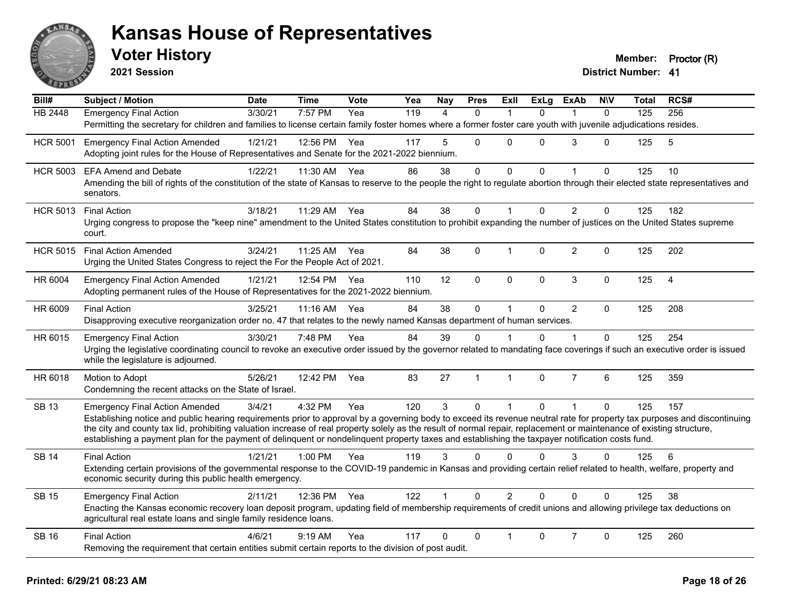

**2021 Session**

| Bill#           | <b>Subject / Motion</b>                                                                                                                                                                                                                                                                                                   | <b>Date</b> | <b>Time</b>  | Vote | Yea | Nay          | <b>Pres</b>    | Exll           | <b>ExLg</b>  | <b>ExAb</b>    | <b>NIV</b>   | Total | RCS#           |
|-----------------|---------------------------------------------------------------------------------------------------------------------------------------------------------------------------------------------------------------------------------------------------------------------------------------------------------------------------|-------------|--------------|------|-----|--------------|----------------|----------------|--------------|----------------|--------------|-------|----------------|
| <b>HB 2448</b>  | <b>Emergency Final Action</b>                                                                                                                                                                                                                                                                                             | 3/30/21     | 7:57 PM      | Yea  | 119 | $\Delta$     | $\Omega$       |                | $\Omega$     |                | $\Omega$     | 125   | 256            |
|                 | Permitting the secretary for children and families to license certain family foster homes where a former foster care youth with juvenile adjudications resides.                                                                                                                                                           |             |              |      |     |              |                |                |              |                |              |       |                |
| <b>HCR 5001</b> | <b>Emergency Final Action Amended</b>                                                                                                                                                                                                                                                                                     | 1/21/21     | 12:56 PM     | Yea  | 117 | 5            | $\Omega$       | $\Omega$       | $\Omega$     | 3              | 0            | 125   | 5              |
|                 | Adopting joint rules for the House of Representatives and Senate for the 2021-2022 biennium.                                                                                                                                                                                                                              |             |              |      |     |              |                |                |              |                |              |       |                |
| <b>HCR 5003</b> | <b>EFA Amend and Debate</b>                                                                                                                                                                                                                                                                                               | 1/22/21     | 11:30 AM     | Yea  | 86  | 38           | $\mathbf 0$    | 0              | $\Omega$     | $\mathbf{1}$   | 0            | 125   | 10             |
|                 | Amending the bill of rights of the constitution of the state of Kansas to reserve to the people the right to regulate abortion through their elected state representatives and<br>senators.                                                                                                                               |             |              |      |     |              |                |                |              |                |              |       |                |
| <b>HCR 5013</b> | <b>Final Action</b>                                                                                                                                                                                                                                                                                                       | 3/18/21     | 11:29 AM     | Yea  | 84  | 38           | $\mathbf 0$    | $\mathbf{1}$   | $\Omega$     | $\overline{2}$ | $\Omega$     | 125   | 182            |
|                 | Urging congress to propose the "keep nine" amendment to the United States constitution to prohibit expanding the number of justices on the United States supreme<br>court.                                                                                                                                                |             |              |      |     |              |                |                |              |                |              |       |                |
| <b>HCR 5015</b> | <b>Final Action Amended</b>                                                                                                                                                                                                                                                                                               | 3/24/21     | 11:25 AM Yea |      | 84  | 38           | $\Omega$       | $\mathbf{1}$   | $\Omega$     | $\overline{2}$ | $\Omega$     | 125   | 202            |
|                 | Urging the United States Congress to reject the For the People Act of 2021.                                                                                                                                                                                                                                               |             |              |      |     |              |                |                |              |                |              |       |                |
| HR 6004         | <b>Emergency Final Action Amended</b>                                                                                                                                                                                                                                                                                     | 1/21/21     | 12:54 PM     | Yea  | 110 | 12           | $\mathbf 0$    | 0              | $\mathbf 0$  | $\mathbf{3}$   | $\mathbf 0$  | 125   | $\overline{4}$ |
|                 | Adopting permanent rules of the House of Representatives for the 2021-2022 biennium.                                                                                                                                                                                                                                      |             |              |      |     |              |                |                |              |                |              |       |                |
| HR 6009         | <b>Final Action</b>                                                                                                                                                                                                                                                                                                       | 3/25/21     | 11:16 AM     | Yea  | 84  | 38           | $\mathbf 0$    | $\mathbf{1}$   | $\mathbf{0}$ | $\overline{2}$ | $\mathbf{0}$ | 125   | 208            |
|                 | Disapproving executive reorganization order no. 47 that relates to the newly named Kansas department of human services.                                                                                                                                                                                                   |             |              |      |     |              |                |                |              |                |              |       |                |
| HR 6015         | <b>Emergency Final Action</b>                                                                                                                                                                                                                                                                                             | 3/30/21     | 7:48 PM      | Yea  | 84  | 39           | $\Omega$       |                | $\Omega$     |                | $\Omega$     | 125   | 254            |
|                 | Urging the legislative coordinating council to revoke an executive order issued by the governor related to mandating face coverings if such an executive order is issued<br>while the legislature is adjourned.                                                                                                           |             |              |      |     |              |                |                |              |                |              |       |                |
| HR 6018         | Motion to Adopt                                                                                                                                                                                                                                                                                                           | 5/26/21     | 12:42 PM     | Yea  | 83  | 27           | $\overline{1}$ | $\mathbf{1}$   | $\Omega$     | $\overline{7}$ | 6            | 125   | 359            |
|                 | Condemning the recent attacks on the State of Israel.                                                                                                                                                                                                                                                                     |             |              |      |     |              |                |                |              |                |              |       |                |
| <b>SB 13</b>    | <b>Emergency Final Action Amended</b>                                                                                                                                                                                                                                                                                     | 3/4/21      | 4:32 PM      | Yea  | 120 | $\mathbf{3}$ | $\mathbf{0}$   | 1              | $\Omega$     | $\mathbf{1}$   | $\mathbf{0}$ | 125   | 157            |
|                 | Establishing notice and public hearing requirements prior to approval by a governing body to exceed its revenue neutral rate for property tax purposes and discontinuing                                                                                                                                                  |             |              |      |     |              |                |                |              |                |              |       |                |
|                 | the city and county tax lid, prohibiting valuation increase of real property solely as the result of normal repair, replacement or maintenance of existing structure,<br>establishing a payment plan for the payment of delinquent or nondelinquent property taxes and establishing the taxpayer notification costs fund. |             |              |      |     |              |                |                |              |                |              |       |                |
|                 |                                                                                                                                                                                                                                                                                                                           |             |              |      |     |              |                |                |              |                |              |       |                |
| <b>SB 14</b>    | <b>Final Action</b>                                                                                                                                                                                                                                                                                                       | 1/21/21     | 1:00 PM      | Yea  | 119 | 3            | $\Omega$       | $\Omega$       | $\Omega$     | 3              | 0            | 125   | 6              |
|                 | Extending certain provisions of the governmental response to the COVID-19 pandemic in Kansas and providing certain relief related to health, welfare, property and<br>economic security during this public health emergency.                                                                                              |             |              |      |     |              |                |                |              |                |              |       |                |
| <b>SB 15</b>    | <b>Emergency Final Action</b>                                                                                                                                                                                                                                                                                             | 2/11/21     | 12:36 PM     | Yea  | 122 |              | $\Omega$       | $\overline{2}$ | $\Omega$     | $\Omega$       | $\Omega$     | 125   | 38             |
|                 | Enacting the Kansas economic recovery loan deposit program, updating field of membership requirements of credit unions and allowing privilege tax deductions on<br>agricultural real estate loans and single family residence loans.                                                                                      |             |              |      |     |              |                |                |              |                |              |       |                |
| <b>SB 16</b>    | <b>Final Action</b>                                                                                                                                                                                                                                                                                                       | 4/6/21      | $9:19$ AM    | Yea  | 117 | 0            | $\Omega$       |                | $\Omega$     | $\overline{7}$ | $\Omega$     | 125   | 260            |
|                 | Removing the requirement that certain entities submit certain reports to the division of post audit.                                                                                                                                                                                                                      |             |              |      |     |              |                |                |              |                |              |       |                |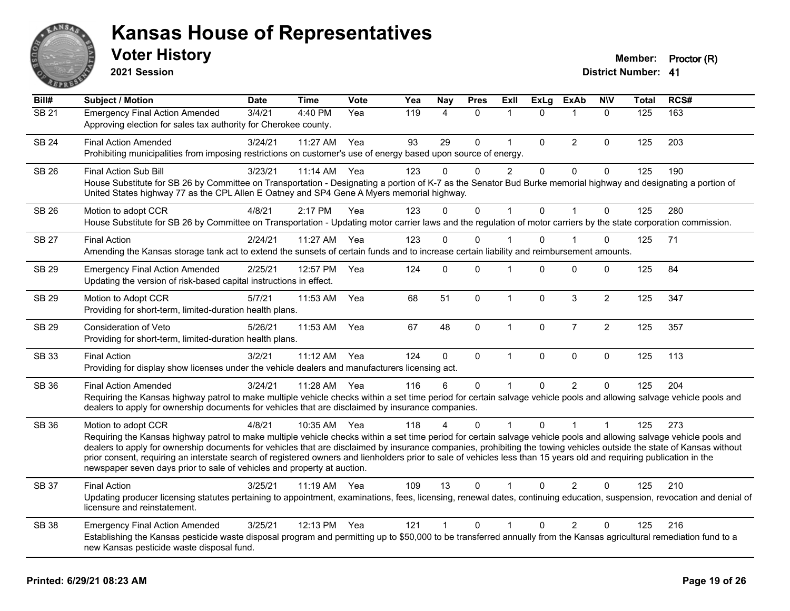

**2021 Session**

| Bill#             | <b>Subject / Motion</b>                                                                                                                                                                                                                                                                                                                                                                                                                                                                                                                                                                                                  | <b>Date</b> | <b>Time</b> | Vote | Yea | <b>Nay</b>   | <b>Pres</b>  | Exll                 | <b>ExLg</b>  | <b>ExAb</b>    | <b>NIV</b>     | <b>Total</b> | RCS# |
|-------------------|--------------------------------------------------------------------------------------------------------------------------------------------------------------------------------------------------------------------------------------------------------------------------------------------------------------------------------------------------------------------------------------------------------------------------------------------------------------------------------------------------------------------------------------------------------------------------------------------------------------------------|-------------|-------------|------|-----|--------------|--------------|----------------------|--------------|----------------|----------------|--------------|------|
| $\overline{SB21}$ | <b>Emergency Final Action Amended</b><br>Approving election for sales tax authority for Cherokee county.                                                                                                                                                                                                                                                                                                                                                                                                                                                                                                                 | 3/4/21      | 4:40 PM     | Yea  | 119 | 4            | $\Omega$     | 1                    | $\mathbf{0}$ | 1              | $\mathbf{0}$   | 125          | 163  |
| <b>SB 24</b>      | <b>Final Action Amended</b><br>Prohibiting municipalities from imposing restrictions on customer's use of energy based upon source of energy.                                                                                                                                                                                                                                                                                                                                                                                                                                                                            | 3/24/21     | 11:27 AM    | Yea  | 93  | 29           | $\Omega$     | $\mathbf 1$          | $\Omega$     | $\overline{2}$ | 0              | 125          | 203  |
| SB 26             | <b>Final Action Sub Bill</b><br>House Substitute for SB 26 by Committee on Transportation - Designating a portion of K-7 as the Senator Bud Burke memorial highway and designating a portion of<br>United States highway 77 as the CPL Allen E Oatney and SP4 Gene A Myers memorial highway.                                                                                                                                                                                                                                                                                                                             | 3/23/21     | 11:14 AM    | Yea  | 123 | 0            | $\Omega$     | $\overline{2}$       | 0            | $\mathbf 0$    | 0              | 125          | 190  |
| <b>SB 26</b>      | Motion to adopt CCR<br>House Substitute for SB 26 by Committee on Transportation - Updating motor carrier laws and the regulation of motor carriers by the state corporation commission.                                                                                                                                                                                                                                                                                                                                                                                                                                 | 4/8/21      | 2:17 PM     | Yea  | 123 | $\Omega$     | $\mathbf 0$  | 1                    | $\mathbf 0$  | $\overline{1}$ | $\mathbf 0$    | 125          | 280  |
| <b>SB 27</b>      | <b>Final Action</b><br>Amending the Kansas storage tank act to extend the sunsets of certain funds and to increase certain liability and reimbursement amounts.                                                                                                                                                                                                                                                                                                                                                                                                                                                          | 2/24/21     | 11:27 AM    | Yea  | 123 | $\mathbf 0$  | $\Omega$     |                      | $\Omega$     |                | 0              | 125          | 71   |
| SB 29             | <b>Emergency Final Action Amended</b><br>Updating the version of risk-based capital instructions in effect.                                                                                                                                                                                                                                                                                                                                                                                                                                                                                                              | 2/25/21     | 12:57 PM    | Yea  | 124 | $\mathbf 0$  | 0            | $\overline{1}$       | $\Omega$     | $\mathbf 0$    | 0              | 125          | 84   |
| <b>SB 29</b>      | Motion to Adopt CCR<br>Providing for short-term, limited-duration health plans.                                                                                                                                                                                                                                                                                                                                                                                                                                                                                                                                          | 5/7/21      | 11:53 AM    | Yea  | 68  | 51           | $\mathbf{0}$ | $\mathbf{1}$         | $\Omega$     | 3              | $\overline{2}$ | 125          | 347  |
| <b>SB 29</b>      | Consideration of Veto<br>Providing for short-term, limited-duration health plans.                                                                                                                                                                                                                                                                                                                                                                                                                                                                                                                                        | 5/26/21     | 11:53 AM    | Yea  | 67  | 48           | $\Omega$     | $\mathbf{1}$         | $\mathbf 0$  | $\overline{7}$ | $\overline{2}$ | 125          | 357  |
| SB 33             | <b>Final Action</b><br>Providing for display show licenses under the vehicle dealers and manufacturers licensing act.                                                                                                                                                                                                                                                                                                                                                                                                                                                                                                    | 3/2/21      | 11:12 AM    | Yea  | 124 | $\mathbf 0$  | $\mathbf 0$  | $\mathbf{1}$         | $\mathbf 0$  | $\mathbf 0$    | $\mathbf 0$    | 125          | 113  |
| SB 36             | <b>Final Action Amended</b><br>Requiring the Kansas highway patrol to make multiple vehicle checks within a set time period for certain salvage vehicle pools and allowing salvage vehicle pools and<br>dealers to apply for ownership documents for vehicles that are disclaimed by insurance companies.                                                                                                                                                                                                                                                                                                                | 3/24/21     | 11:28 AM    | Yea  | 116 | 6            | $\Omega$     | $\blacktriangleleft$ | $\Omega$     | 2              | 0              | 125          | 204  |
| <b>SB 36</b>      | Motion to adopt CCR<br>Requiring the Kansas highway patrol to make multiple vehicle checks within a set time period for certain salvage vehicle pools and allowing salvage vehicle pools and<br>dealers to apply for ownership documents for vehicles that are disclaimed by insurance companies, prohibiting the towing vehicles outside the state of Kansas without<br>prior consent, requiring an interstate search of registered owners and lienholders prior to sale of vehicles less than 15 years old and requiring publication in the<br>newspaper seven days prior to sale of vehicles and property at auction. | 4/8/21      | 10:35 AM    | Yea  | 118 | 4            | $\Omega$     |                      | $\Omega$     | 1              | 1              | 125          | 273  |
| <b>SB 37</b>      | <b>Final Action</b><br>Updating producer licensing statutes pertaining to appointment, examinations, fees, licensing, renewal dates, continuing education, suspension, revocation and denial of<br>licensure and reinstatement.                                                                                                                                                                                                                                                                                                                                                                                          | 3/25/21     | $11:19$ AM  | Yea  | 109 | 13           | 0            | 1                    | $\Omega$     | 2              | 0              | 125          | 210  |
| <b>SB 38</b>      | <b>Emergency Final Action Amended</b><br>Establishing the Kansas pesticide waste disposal program and permitting up to \$50,000 to be transferred annually from the Kansas agricultural remediation fund to a<br>new Kansas pesticide waste disposal fund.                                                                                                                                                                                                                                                                                                                                                               | 3/25/21     | 12:13 PM    | Yea  | 121 | $\mathbf{1}$ | $\mathbf 0$  | $\mathbf 1$          | $\Omega$     | $\overline{2}$ | 0              | 125          | 216  |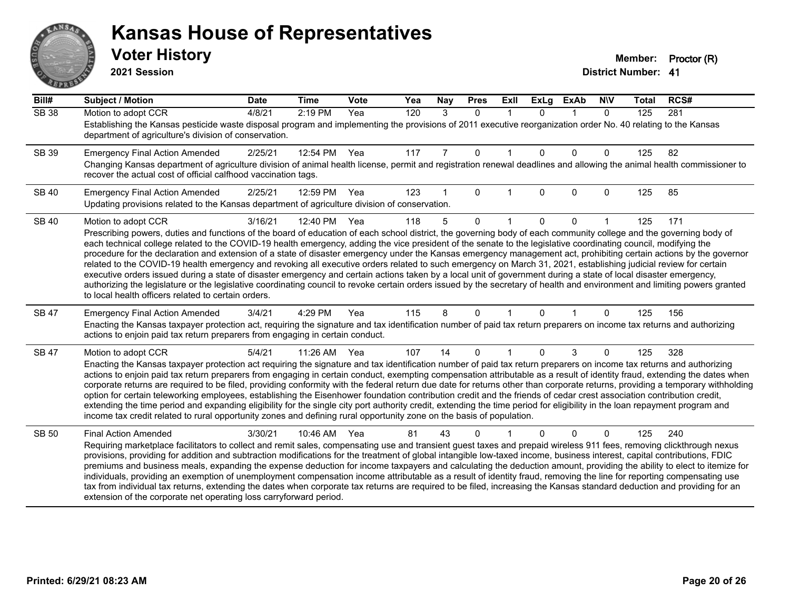# ANS **PARTIE**

#### **Kansas House of Representatives**

**2021 Session**

| Bill#        | <b>Subject / Motion</b>                                                                                                                                                                                                                                                                                                                                    | <b>Date</b> | <b>Time</b> | <b>Vote</b> | Yea | Nay | <b>Pres</b>  | <b>Exll</b> | <b>ExLg</b> | <b>ExAb</b> | <b>NIV</b>   | <b>Total</b> | RCS# |
|--------------|------------------------------------------------------------------------------------------------------------------------------------------------------------------------------------------------------------------------------------------------------------------------------------------------------------------------------------------------------------|-------------|-------------|-------------|-----|-----|--------------|-------------|-------------|-------------|--------------|--------------|------|
| <b>SB 38</b> | Motion to adopt CCR                                                                                                                                                                                                                                                                                                                                        | 4/8/21      | 2:19 PM     | Yea         | 120 | 3   | $\Omega$     | $\mathbf 1$ | $\Omega$    | 1           | $\mathbf{0}$ | 125          | 281  |
|              | Establishing the Kansas pesticide waste disposal program and implementing the provisions of 2011 executive reorganization order No. 40 relating to the Kansas<br>department of agriculture's division of conservation.                                                                                                                                     |             |             |             |     |     |              |             |             |             |              |              |      |
| SB 39        | <b>Emergency Final Action Amended</b>                                                                                                                                                                                                                                                                                                                      | 2/25/21     | 12:54 PM    | Yea         | 117 | 7   | $\mathbf{0}$ |             | $\Omega$    | $\Omega$    | $\mathbf 0$  | 125          | 82   |
|              | Changing Kansas department of agriculture division of animal health license, permit and registration renewal deadlines and allowing the animal health commissioner to<br>recover the actual cost of official calfhood vaccination tags.                                                                                                                    |             |             |             |     |     |              |             |             |             |              |              |      |
| <b>SB 40</b> | <b>Emergency Final Action Amended</b>                                                                                                                                                                                                                                                                                                                      | 2/25/21     | 12:59 PM    | Yea         | 123 |     | $\Omega$     |             | 0           | $\Omega$    | $\mathbf{0}$ | 125          | 85   |
|              | Updating provisions related to the Kansas department of agriculture division of conservation.                                                                                                                                                                                                                                                              |             |             |             |     |     |              |             |             |             |              |              |      |
| <b>SB 40</b> | Motion to adopt CCR                                                                                                                                                                                                                                                                                                                                        | 3/16/21     | 12:40 PM    | Yea         | 118 | 5   | $\Omega$     |             | 0           | 0           |              | 125          | 171  |
|              | Prescribing powers, duties and functions of the board of education of each school district, the governing body of each community college and the governing body of                                                                                                                                                                                         |             |             |             |     |     |              |             |             |             |              |              |      |
|              | each technical college related to the COVID-19 health emergency, adding the vice president of the senate to the legislative coordinating council, modifying the<br>procedure for the declaration and extension of a state of disaster emergency under the Kansas emergency management act, prohibiting certain actions by the governor                     |             |             |             |     |     |              |             |             |             |              |              |      |
|              | related to the COVID-19 health emergency and revoking all executive orders related to such emergency on March 31, 2021, establishing judicial review for certain                                                                                                                                                                                           |             |             |             |     |     |              |             |             |             |              |              |      |
|              | executive orders issued during a state of disaster emergency and certain actions taken by a local unit of government during a state of local disaster emergency,                                                                                                                                                                                           |             |             |             |     |     |              |             |             |             |              |              |      |
|              | authorizing the legislature or the legislative coordinating council to revoke certain orders issued by the secretary of health and environment and limiting powers granted<br>to local health officers related to certain orders.                                                                                                                          |             |             |             |     |     |              |             |             |             |              |              |      |
| SB 47        | <b>Emergency Final Action Amended</b>                                                                                                                                                                                                                                                                                                                      | 3/4/21      | 4:29 PM     | Yea         | 115 | 8   | $\mathbf{0}$ |             | 0           |             | 0            | 125          | 156  |
|              | Enacting the Kansas taxpayer protection act, requiring the signature and tax identification number of paid tax return preparers on income tax returns and authorizing<br>actions to enjoin paid tax return preparers from engaging in certain conduct.                                                                                                     |             |             |             |     |     |              |             |             |             |              |              |      |
| SB 47        | Motion to adopt CCR                                                                                                                                                                                                                                                                                                                                        | 5/4/21      | 11:26 AM    | Yea         | 107 | 14  | $\Omega$     |             | 0           | 3           | 0            | 125          | 328  |
|              | Enacting the Kansas taxpayer protection act requiring the signature and tax identification number of paid tax return preparers on income tax returns and authorizing                                                                                                                                                                                       |             |             |             |     |     |              |             |             |             |              |              |      |
|              | actions to enjoin paid tax return preparers from engaging in certain conduct, exempting compensation attributable as a result of identity fraud, extending the dates when<br>corporate returns are required to be filed, providing conformity with the federal return due date for returns other than corporate returns, providing a temporary withholding |             |             |             |     |     |              |             |             |             |              |              |      |
|              | option for certain teleworking employees, establishing the Eisenhower foundation contribution credit and the friends of cedar crest association contribution credit,                                                                                                                                                                                       |             |             |             |     |     |              |             |             |             |              |              |      |
|              | extending the time period and expanding eligibility for the single city port authority credit, extending the time period for eligibility in the loan repayment program and                                                                                                                                                                                 |             |             |             |     |     |              |             |             |             |              |              |      |
|              | income tax credit related to rural opportunity zones and defining rural opportunity zone on the basis of population.                                                                                                                                                                                                                                       |             |             |             |     |     |              |             |             |             |              |              |      |
| <b>SB 50</b> | <b>Final Action Amended</b>                                                                                                                                                                                                                                                                                                                                | 3/30/21     | 10:46 AM    | Yea         | 81  | 43  | 0            |             |             | $\Omega$    | 0            | 125          | 240  |
|              | Requiring marketplace facilitators to collect and remit sales, compensating use and transient guest taxes and prepaid wireless 911 fees, removing clickthrough nexus<br>provisions, providing for addition and subtraction modifications for the treatment of global intangible low-taxed income, business interest, capital contributions, FDIC           |             |             |             |     |     |              |             |             |             |              |              |      |
|              | premiums and business meals, expanding the expense deduction for income taxpayers and calculating the deduction amount, providing the ability to elect to itemize for                                                                                                                                                                                      |             |             |             |     |     |              |             |             |             |              |              |      |
|              | individuals, providing an exemption of unemployment compensation income attributable as a result of identity fraud, removing the line for reporting compensating use                                                                                                                                                                                       |             |             |             |     |     |              |             |             |             |              |              |      |
|              | tax from individual tax returns, extending the dates when corporate tax returns are required to be filed, increasing the Kansas standard deduction and providing for an<br>extension of the corporate net operating loss carryforward period.                                                                                                              |             |             |             |     |     |              |             |             |             |              |              |      |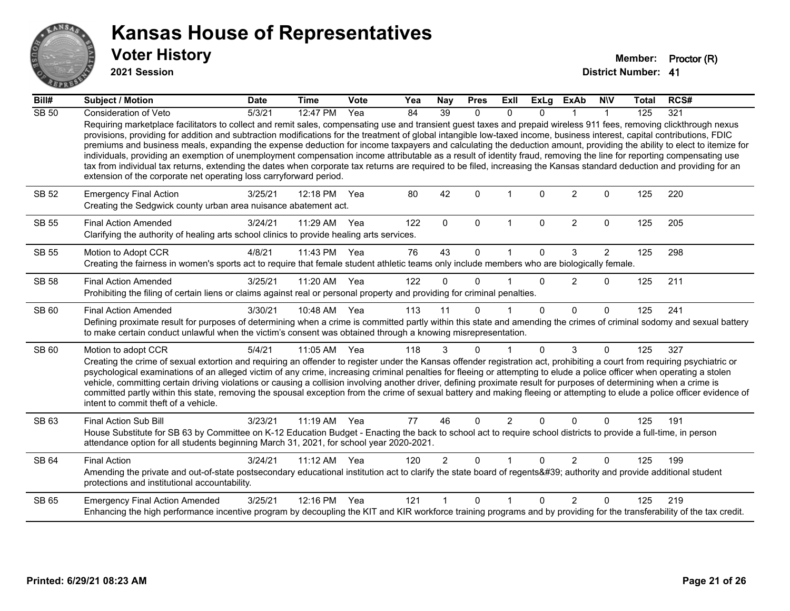

**2021 Session**

| Bill#        | <b>Subject / Motion</b>                                                                                                                                                                                                                                                                                                                                                                                                                                                                                                                                                                                                                                                                                                                                                                                                                                                                                                                            | <b>Date</b> | <b>Time</b> | Vote | Yea | Nay            | <b>Pres</b> | ExII                 | <b>ExLg</b>  | <b>ExAb</b>    | <b>NIV</b>     | <b>Total</b> | RCS# |
|--------------|----------------------------------------------------------------------------------------------------------------------------------------------------------------------------------------------------------------------------------------------------------------------------------------------------------------------------------------------------------------------------------------------------------------------------------------------------------------------------------------------------------------------------------------------------------------------------------------------------------------------------------------------------------------------------------------------------------------------------------------------------------------------------------------------------------------------------------------------------------------------------------------------------------------------------------------------------|-------------|-------------|------|-----|----------------|-------------|----------------------|--------------|----------------|----------------|--------------|------|
| <b>SB 50</b> | <b>Consideration of Veto</b>                                                                                                                                                                                                                                                                                                                                                                                                                                                                                                                                                                                                                                                                                                                                                                                                                                                                                                                       | 5/3/21      | 12:47 PM    | Yea  | 84  | 39             | 0           | $\mathbf{0}$         | 0            |                | 1              | 125          | 321  |
|              | Requiring marketplace facilitators to collect and remit sales, compensating use and transient guest taxes and prepaid wireless 911 fees, removing clickthrough nexus<br>provisions, providing for addition and subtraction modifications for the treatment of global intangible low-taxed income, business interest, capital contributions, FDIC<br>premiums and business meals, expanding the expense deduction for income taxpayers and calculating the deduction amount, providing the ability to elect to itemize for<br>individuals, providing an exemption of unemployment compensation income attributable as a result of identity fraud, removing the line for reporting compensating use<br>tax from individual tax returns, extending the dates when corporate tax returns are required to be filed, increasing the Kansas standard deduction and providing for an<br>extension of the corporate net operating loss carryforward period. |             |             |      |     |                |             |                      |              |                |                |              |      |
| SB 52        | <b>Emergency Final Action</b><br>Creating the Sedgwick county urban area nuisance abatement act.                                                                                                                                                                                                                                                                                                                                                                                                                                                                                                                                                                                                                                                                                                                                                                                                                                                   | 3/25/21     | 12:18 PM    | Yea  | 80  | 42             | $\Omega$    | 1                    | $\Omega$     | $\overline{2}$ | $\Omega$       | 125          | 220  |
| <b>SB 55</b> | <b>Final Action Amended</b><br>Clarifying the authority of healing arts school clinics to provide healing arts services.                                                                                                                                                                                                                                                                                                                                                                                                                                                                                                                                                                                                                                                                                                                                                                                                                           | 3/24/21     | 11:29 AM    | Yea  | 122 | $\mathbf{0}$   | $\mathbf 0$ | $\mathbf{1}$         | $\mathbf 0$  | $\overline{2}$ | $\mathbf 0$    | 125          | 205  |
| SB 55        | Motion to Adopt CCR                                                                                                                                                                                                                                                                                                                                                                                                                                                                                                                                                                                                                                                                                                                                                                                                                                                                                                                                | 4/8/21      | 11:43 PM    | Yea  | 76  | 43             | $\Omega$    | 1                    | $\Omega$     | 3              | $\overline{2}$ | 125          | 298  |
|              | Creating the fairness in women's sports act to require that female student athletic teams only include members who are biologically female.                                                                                                                                                                                                                                                                                                                                                                                                                                                                                                                                                                                                                                                                                                                                                                                                        |             |             |      |     |                |             |                      |              |                |                |              |      |
| <b>SB 58</b> | <b>Final Action Amended</b>                                                                                                                                                                                                                                                                                                                                                                                                                                                                                                                                                                                                                                                                                                                                                                                                                                                                                                                        | 3/25/21     | 11:20 AM    | Yea  | 122 | $\Omega$       | $\Omega$    |                      | $\Omega$     | 2              | $\Omega$       | 125          | 211  |
|              | Prohibiting the filing of certain liens or claims against real or personal property and providing for criminal penalties.                                                                                                                                                                                                                                                                                                                                                                                                                                                                                                                                                                                                                                                                                                                                                                                                                          |             |             |      |     |                |             |                      |              |                |                |              |      |
| SB 60        | <b>Final Action Amended</b>                                                                                                                                                                                                                                                                                                                                                                                                                                                                                                                                                                                                                                                                                                                                                                                                                                                                                                                        | 3/30/21     | 10:48 AM    | Yea  | 113 | 11             | $\Omega$    |                      | $\Omega$     | $\Omega$       | $\mathbf{0}$   | 125          | 241  |
|              | Defining proximate result for purposes of determining when a crime is committed partly within this state and amending the crimes of criminal sodomy and sexual battery<br>to make certain conduct unlawful when the victim's consent was obtained through a knowing misrepresentation.                                                                                                                                                                                                                                                                                                                                                                                                                                                                                                                                                                                                                                                             |             |             |      |     |                |             |                      |              |                |                |              |      |
| SB 60        | Motion to adopt CCR                                                                                                                                                                                                                                                                                                                                                                                                                                                                                                                                                                                                                                                                                                                                                                                                                                                                                                                                | 5/4/21      | 11:05 AM    | Yea  | 118 | 3              | $\Omega$    | 1                    | $\Omega$     | 3              | $\Omega$       | 125          | 327  |
|              | Creating the crime of sexual extortion and requiring an offender to register under the Kansas offender registration act, prohibiting a court from requiring psychiatric or<br>psychological examinations of an alleged victim of any crime, increasing criminal penalties for fleeing or attempting to elude a police officer when operating a stolen<br>vehicle, committing certain driving violations or causing a collision involving another driver, defining proximate result for purposes of determining when a crime is<br>committed partly within this state, removing the spousal exception from the crime of sexual battery and making fleeing or attempting to elude a police officer evidence of<br>intent to commit theft of a vehicle.                                                                                                                                                                                               |             |             |      |     |                |             |                      |              |                |                |              |      |
| SB 63        | Final Action Sub Bill                                                                                                                                                                                                                                                                                                                                                                                                                                                                                                                                                                                                                                                                                                                                                                                                                                                                                                                              | 3/23/21     | $11:19$ AM  | Yea  | 77  | 46             | $\Omega$    | $\overline{2}$       | 0            | $\Omega$       | $\Omega$       | 125          | 191  |
|              | House Substitute for SB 63 by Committee on K-12 Education Budget - Enacting the back to school act to require school districts to provide a full-time, in person<br>attendance option for all students beginning March 31, 2021, for school year 2020-2021.                                                                                                                                                                                                                                                                                                                                                                                                                                                                                                                                                                                                                                                                                        |             |             |      |     |                |             |                      |              |                |                |              |      |
| SB 64        | <b>Final Action</b>                                                                                                                                                                                                                                                                                                                                                                                                                                                                                                                                                                                                                                                                                                                                                                                                                                                                                                                                | 3/24/21     | 11:12 AM    | Yea  | 120 | $\overline{2}$ | $\Omega$    | $\blacktriangleleft$ | $\Omega$     | $\overline{2}$ | 0              | 125          | 199  |
|              | Amending the private and out-of-state postsecondary educational institution act to clarify the state board of regents' authority and provide additional student<br>protections and institutional accountability.                                                                                                                                                                                                                                                                                                                                                                                                                                                                                                                                                                                                                                                                                                                                   |             |             |      |     |                |             |                      |              |                |                |              |      |
| SB 65        | <b>Emergency Final Action Amended</b>                                                                                                                                                                                                                                                                                                                                                                                                                                                                                                                                                                                                                                                                                                                                                                                                                                                                                                              | 3/25/21     | 12:16 PM    | Yea  | 121 |                | $\Omega$    | 1                    | <sup>n</sup> | $\mathfrak{p}$ | 0              | 125          | 219  |
|              | Enhancing the high performance incentive program by decoupling the KIT and KIR workforce training programs and by providing for the transferability of the tax credit.                                                                                                                                                                                                                                                                                                                                                                                                                                                                                                                                                                                                                                                                                                                                                                             |             |             |      |     |                |             |                      |              |                |                |              |      |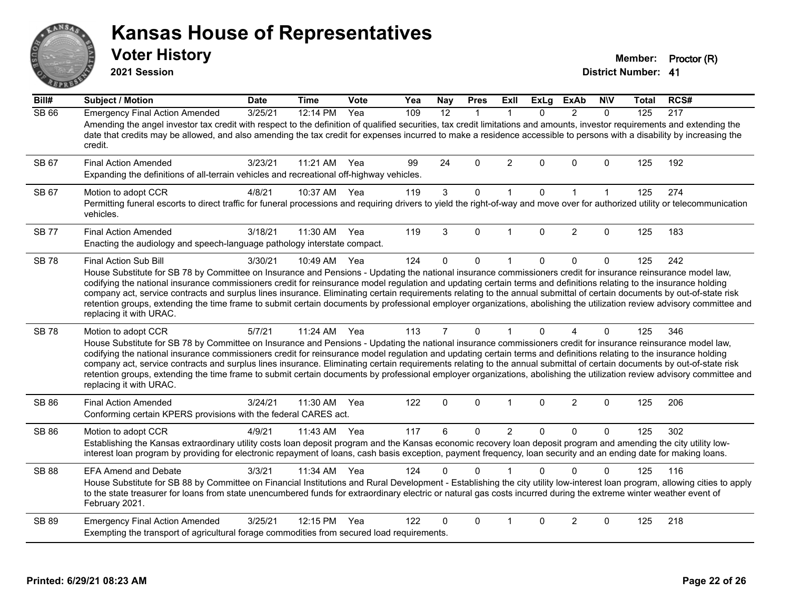# ANS **PIVE**

#### **Kansas House of Representatives**

**2021 Session**

**Voter History Member: Proctor (R)** 

| Bill#        | Subject / Motion                                                                                                                                                                                                                                                                                                                                                                                                                                                                                                                                                                                                                                                                                                                               | <b>Date</b> | <b>Time</b> | Vote | Yea | <b>Nay</b>     | <b>Pres</b> | ExII           | <b>ExLg</b> | <b>ExAb</b>    | <b>NIV</b>   | <b>Total</b> | RCS# |
|--------------|------------------------------------------------------------------------------------------------------------------------------------------------------------------------------------------------------------------------------------------------------------------------------------------------------------------------------------------------------------------------------------------------------------------------------------------------------------------------------------------------------------------------------------------------------------------------------------------------------------------------------------------------------------------------------------------------------------------------------------------------|-------------|-------------|------|-----|----------------|-------------|----------------|-------------|----------------|--------------|--------------|------|
| <b>SB 66</b> | <b>Emergency Final Action Amended</b><br>Amending the angel investor tax credit with respect to the definition of qualified securities, tax credit limitations and amounts, investor requirements and extending the<br>date that credits may be allowed, and also amending the tax credit for expenses incurred to make a residence accessible to persons with a disability by increasing the<br>credit.                                                                                                                                                                                                                                                                                                                                       | 3/25/21     | 12:14 PM    | Yea  | 109 | 12             | $\mathbf 1$ | -1             | 0           | $\overline{2}$ | $\mathbf{0}$ | 125          | 217  |
| SB 67        | <b>Final Action Amended</b><br>Expanding the definitions of all-terrain vehicles and recreational off-highway vehicles.                                                                                                                                                                                                                                                                                                                                                                                                                                                                                                                                                                                                                        | 3/23/21     | 11:21 AM    | Yea  | 99  | 24             | 0           | $\overline{2}$ | 0           | $\mathbf 0$    | $\mathbf 0$  | 125          | 192  |
| SB 67        | Motion to adopt CCR<br>Permitting funeral escorts to direct traffic for funeral processions and requiring drivers to yield the right-of-way and move over for authorized utility or telecommunication<br>vehicles.                                                                                                                                                                                                                                                                                                                                                                                                                                                                                                                             | 4/8/21      | 10:37 AM    | Yea  | 119 | 3              | 0           | $\mathbf{1}$   | 0           | $\mathbf 1$    | $\mathbf 1$  | 125          | 274  |
| <b>SB 77</b> | <b>Final Action Amended</b><br>Enacting the audiology and speech-language pathology interstate compact.                                                                                                                                                                                                                                                                                                                                                                                                                                                                                                                                                                                                                                        | 3/18/21     | 11:30 AM    | Yea  | 119 | 3              | $\Omega$    | $\mathbf{1}$   | $\Omega$    | $\overline{2}$ | $\mathbf{0}$ | 125          | 183  |
| <b>SB78</b>  | Final Action Sub Bill<br>House Substitute for SB 78 by Committee on Insurance and Pensions - Updating the national insurance commissioners credit for insurance reinsurance model law,<br>codifying the national insurance commissioners credit for reinsurance model regulation and updating certain terms and definitions relating to the insurance holding<br>company act, service contracts and surplus lines insurance. Eliminating certain requirements relating to the annual submittal of certain documents by out-of-state risk<br>retention groups, extending the time frame to submit certain documents by professional employer organizations, abolishing the utilization review advisory committee and<br>replacing it with URAC. | 3/30/21     | 10:49 AM    | Yea  | 124 | $\Omega$       | $\mathbf 0$ | $\overline{1}$ | 0           | 0              | $\mathbf 0$  | 125          | 242  |
| <b>SB78</b>  | Motion to adopt CCR<br>House Substitute for SB 78 by Committee on Insurance and Pensions - Updating the national insurance commissioners credit for insurance reinsurance model law,<br>codifying the national insurance commissioners credit for reinsurance model regulation and updating certain terms and definitions relating to the insurance holding<br>company act, service contracts and surplus lines insurance. Eliminating certain requirements relating to the annual submittal of certain documents by out-of-state risk<br>retention groups, extending the time frame to submit certain documents by professional employer organizations, abolishing the utilization review advisory committee and<br>replacing it with URAC.   | 5/7/21      | 11:24 AM    | Yea  | 113 | $\overline{7}$ | $\mathbf 0$ | $\mathbf 1$    | $\Omega$    | 4              | $\mathbf 0$  | 125          | 346  |
| SB 86        | <b>Final Action Amended</b><br>Conforming certain KPERS provisions with the federal CARES act.                                                                                                                                                                                                                                                                                                                                                                                                                                                                                                                                                                                                                                                 | 3/24/21     | 11:30 AM    | Yea  | 122 | 0              | 0           | $\mathbf{1}$   | 0           | $\overline{2}$ | $\mathbf 0$  | 125          | 206  |
| SB 86        | Motion to adopt CCR<br>Establishing the Kansas extraordinary utility costs loan deposit program and the Kansas economic recovery loan deposit program and amending the city utility low-<br>interest loan program by providing for electronic repayment of loans, cash basis exception, payment frequency, loan security and an ending date for making loans.                                                                                                                                                                                                                                                                                                                                                                                  | 4/9/21      | 11:43 AM    | Yea  | 117 | 6              | 0           | $\overline{2}$ | 0           | 0              | $\Omega$     | 125          | 302  |
| <b>SB 88</b> | <b>EFA Amend and Debate</b><br>House Substitute for SB 88 by Committee on Financial Institutions and Rural Development - Establishing the city utility low-interest loan program, allowing cities to apply<br>to the state treasurer for loans from state unencumbered funds for extraordinary electric or natural gas costs incurred during the extreme winter weather event of<br>February 2021.                                                                                                                                                                                                                                                                                                                                             | 3/3/21      | 11:34 AM    | Yea  | 124 | 0              | $\Omega$    |                | 0           | $\Omega$       | 0            | 125          | 116  |
| SB 89        | <b>Emergency Final Action Amended</b><br>Exempting the transport of agricultural forage commodities from secured load requirements.                                                                                                                                                                                                                                                                                                                                                                                                                                                                                                                                                                                                            | 3/25/21     | 12:15 PM    | Yea  | 122 | 0              | $\mathbf 0$ | $\mathbf 1$    | 0           | 2              | 0            | 125          | 218  |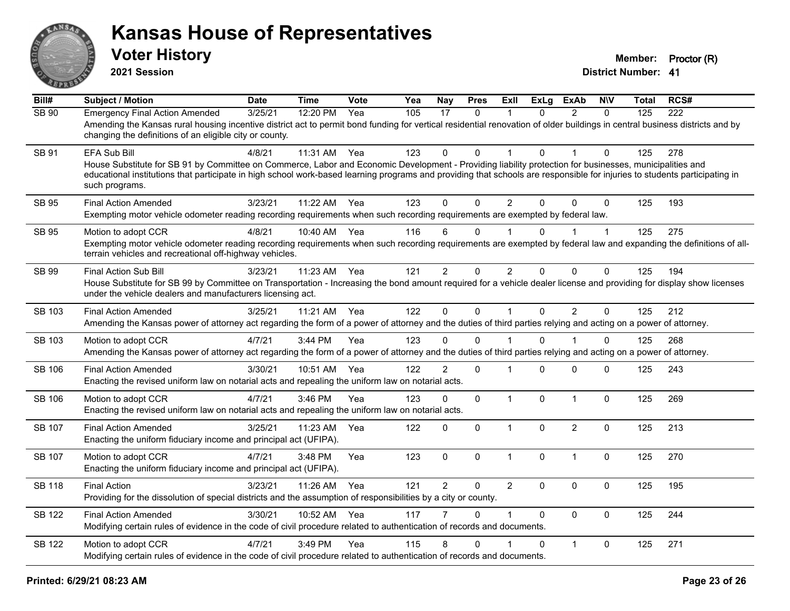

**2021 Session**

| Bill#         | <b>Subject / Motion</b>                                                                                                                                                                                                                                                                                                                                                 | <b>Date</b> | <b>Time</b> | Vote | Yea | <b>Nay</b>     | <b>Pres</b> | <b>ExII</b>          | ExLg         | <b>ExAb</b>    | <b>NIV</b>   | Total | RCS# |
|---------------|-------------------------------------------------------------------------------------------------------------------------------------------------------------------------------------------------------------------------------------------------------------------------------------------------------------------------------------------------------------------------|-------------|-------------|------|-----|----------------|-------------|----------------------|--------------|----------------|--------------|-------|------|
| SB 90         | <b>Emergency Final Action Amended</b><br>Amending the Kansas rural housing incentive district act to permit bond funding for vertical residential renovation of older buildings in central business districts and by<br>changing the definitions of an eligible city or county.                                                                                         | 3/25/21     | 12:20 PM    | Yea  | 105 | 17             | $\Omega$    | 1                    | $\Omega$     | $\mathcal{P}$  | $\Omega$     | 125   | 222  |
| SB 91         | EFA Sub Bill<br>House Substitute for SB 91 by Committee on Commerce, Labor and Economic Development - Providing liability protection for businesses, municipalities and<br>educational institutions that participate in high school work-based learning programs and providing that schools are responsible for injuries to students participating in<br>such programs. | 4/8/21      | 11:31 AM    | Yea  | 123 | 0              | $\Omega$    |                      | $\Omega$     |                | 0            | 125   | 278  |
| <b>SB 95</b>  | <b>Final Action Amended</b><br>Exempting motor vehicle odometer reading recording requirements when such recording requirements are exempted by federal law.                                                                                                                                                                                                            | 3/23/21     | 11:22 AM    | Yea  | 123 | $\Omega$       | $\Omega$    | $\overline{2}$       | $\Omega$     | $\Omega$       | $\Omega$     | 125   | 193  |
| SB 95         | Motion to adopt CCR<br>Exempting motor vehicle odometer reading recording requirements when such recording requirements are exempted by federal law and expanding the definitions of all-<br>terrain vehicles and recreational off-highway vehicles.                                                                                                                    | 4/8/21      | 10:40 AM    | Yea  | 116 | 6              | $\Omega$    | $\blacktriangleleft$ | 0            |                | $\mathbf{1}$ | 125   | 275  |
| SB 99         | Final Action Sub Bill<br>House Substitute for SB 99 by Committee on Transportation - Increasing the bond amount required for a vehicle dealer license and providing for display show licenses<br>under the vehicle dealers and manufacturers licensing act.                                                                                                             | 3/23/21     | 11:23 AM    | Yea  | 121 | $\overline{c}$ | 0           | $\overline{2}$       | $\Omega$     | 0              | 0            | 125   | 194  |
| SB 103        | <b>Final Action Amended</b><br>Amending the Kansas power of attorney act regarding the form of a power of attorney and the duties of third parties relying and acting on a power of attorney.                                                                                                                                                                           | 3/25/21     | 11:21 AM    | Yea  | 122 | $\mathbf 0$    | $\mathbf 0$ | $\mathbf{1}$         | 0            | $\overline{2}$ | $\mathbf 0$  | 125   | 212  |
| SB 103        | Motion to adopt CCR<br>Amending the Kansas power of attorney act regarding the form of a power of attorney and the duties of third parties relying and acting on a power of attorney.                                                                                                                                                                                   | 4/7/21      | $3:44$ PM   | Yea  | 123 | 0              | $\Omega$    |                      | 0            |                | $\Omega$     | 125   | 268  |
| <b>SB 106</b> | <b>Final Action Amended</b><br>Enacting the revised uniform law on notarial acts and repealing the uniform law on notarial acts.                                                                                                                                                                                                                                        | 3/30/21     | 10:51 AM    | Yea  | 122 | $\overline{2}$ | $\mathbf 0$ | $\mathbf 1$          | $\Omega$     | $\mathbf{0}$   | 0            | 125   | 243  |
| <b>SB 106</b> | Motion to adopt CCR<br>Enacting the revised uniform law on notarial acts and repealing the uniform law on notarial acts.                                                                                                                                                                                                                                                | 4/7/21      | 3:46 PM     | Yea  | 123 | 0              | $\mathbf 0$ | $\mathbf{1}$         | $\mathbf{0}$ | $\mathbf{1}$   | $\mathbf 0$  | 125   | 269  |
| SB 107        | <b>Final Action Amended</b><br>Enacting the uniform fiduciary income and principal act (UFIPA).                                                                                                                                                                                                                                                                         | 3/25/21     | 11:23 AM    | Yea  | 122 | $\mathbf 0$    | 0           | $\mathbf{1}$         | $\Omega$     | $\overline{2}$ | $\mathbf 0$  | 125   | 213  |
| <b>SB 107</b> | Motion to adopt CCR<br>Enacting the uniform fiduciary income and principal act (UFIPA).                                                                                                                                                                                                                                                                                 | 4/7/21      | 3:48 PM     | Yea  | 123 | $\mathbf 0$    | $\mathbf 0$ | $\mathbf{1}$         | 0            | $\mathbf{1}$   | $\mathbf 0$  | 125   | 270  |
| <b>SB 118</b> | <b>Final Action</b><br>Providing for the dissolution of special districts and the assumption of responsibilities by a city or county.                                                                                                                                                                                                                                   | 3/23/21     | 11:26 AM    | Yea  | 121 | $\overline{2}$ | 0           | $\overline{2}$       | $\Omega$     | $\mathbf{0}$   | $\mathbf 0$  | 125   | 195  |
| <b>SB 122</b> | <b>Final Action Amended</b><br>Modifying certain rules of evidence in the code of civil procedure related to authentication of records and documents.                                                                                                                                                                                                                   | 3/30/21     | 10:52 AM    | Yea  | 117 |                | $\Omega$    | 1                    | $\Omega$     | $\mathbf{0}$   | $\mathbf 0$  | 125   | 244  |
| <b>SB 122</b> | Motion to adopt CCR<br>Modifying certain rules of evidence in the code of civil procedure related to authentication of records and documents.                                                                                                                                                                                                                           | 4/7/21      | 3:49 PM     | Yea  | 115 | 8              | $\Omega$    |                      | $\Omega$     | $\mathbf{1}$   | $\mathbf 0$  | 125   | 271  |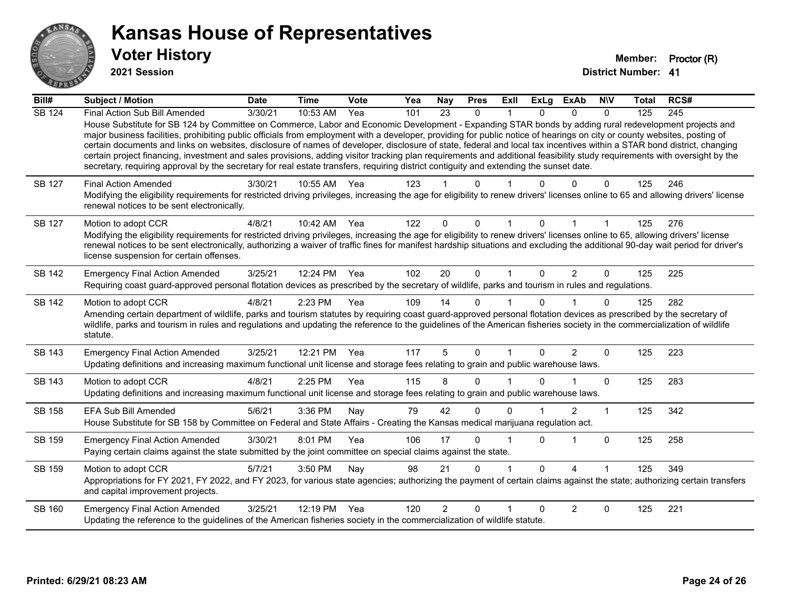

**2021 Session**

| Bill#         | Subject / Motion                                                                                                                                                                                                                                                                                                                                                                                                                                                                                                                                                                                                                                                                                                                                                                                                                                                     | <b>Date</b> | <b>Time</b>  | <b>Vote</b> | Yea | <b>Nay</b> | <b>Pres</b>  | Exll         | <b>ExLg</b>  | <b>ExAb</b>    | <b>NIV</b>   | Total | RCS# |
|---------------|----------------------------------------------------------------------------------------------------------------------------------------------------------------------------------------------------------------------------------------------------------------------------------------------------------------------------------------------------------------------------------------------------------------------------------------------------------------------------------------------------------------------------------------------------------------------------------------------------------------------------------------------------------------------------------------------------------------------------------------------------------------------------------------------------------------------------------------------------------------------|-------------|--------------|-------------|-----|------------|--------------|--------------|--------------|----------------|--------------|-------|------|
| <b>SB 124</b> | Final Action Sub Bill Amended<br>House Substitute for SB 124 by Committee on Commerce, Labor and Economic Development - Expanding STAR bonds by adding rural redevelopment projects and<br>major business facilities, prohibiting public officials from employment with a developer, providing for public notice of hearings on city or county websites, posting of<br>certain documents and links on websites, disclosure of names of developer, disclosure of state, federal and local tax incentives within a STAR bond district, changing<br>certain project financing, investment and sales provisions, adding visitor tracking plan requirements and additional feasibility study requirements with oversight by the<br>secretary, requiring approval by the secretary for real estate transfers, requiring district contiguity and extending the sunset date. | 3/30/21     | $10:53$ AM   | Yea         | 101 | 23         | $\mathbf{0}$ |              | $\Omega$     | $\Omega$       | $\mathbf{0}$ | 125   | 245  |
| <b>SB 127</b> | <b>Final Action Amended</b><br>Modifying the eligibility requirements for restricted driving privileges, increasing the age for eligibility to renew drivers' licenses online to 65 and allowing drivers' license<br>renewal notices to be sent electronically.                                                                                                                                                                                                                                                                                                                                                                                                                                                                                                                                                                                                      | 3/30/21     | 10:55 AM Yea |             | 123 |            | n            |              |              | n              | 0            | 125   | 246  |
| SB 127        | Motion to adopt CCR<br>Modifying the eligibility requirements for restricted driving privileges, increasing the age for eligibility to renew drivers' licenses online to 65, allowing drivers' license<br>renewal notices to be sent electronically, authorizing a waiver of traffic fines for manifest hardship situations and excluding the additional 90-day wait period for driver's<br>license suspension for certain offenses.                                                                                                                                                                                                                                                                                                                                                                                                                                 | 4/8/21      | 10:42 AM     | Yea         | 122 | $\Omega$   | 0            |              | $\Omega$     |                |              | 125   | 276  |
| <b>SB 142</b> | <b>Emergency Final Action Amended</b><br>Requiring coast guard-approved personal flotation devices as prescribed by the secretary of wildlife, parks and tourism in rules and regulations.                                                                                                                                                                                                                                                                                                                                                                                                                                                                                                                                                                                                                                                                           | 3/25/21     | 12:24 PM     | Yea         | 102 | 20         | $\mathbf 0$  | $\mathbf{1}$ | $\Omega$     | 2              | $\mathbf 0$  | 125   | 225  |
| <b>SB 142</b> | Motion to adopt CCR<br>Amending certain department of wildlife, parks and tourism statutes by requiring coast guard-approved personal flotation devices as prescribed by the secretary of<br>wildlife, parks and tourism in rules and regulations and updating the reference to the guidelines of the American fisheries society in the commercialization of wildlife<br>statute.                                                                                                                                                                                                                                                                                                                                                                                                                                                                                    | 4/8/21      | 2:23 PM      | Yea         | 109 | 14         | 0            |              | <sup>n</sup> |                | $\Omega$     | 125   | 282  |
| SB 143        | <b>Emergency Final Action Amended</b><br>Updating definitions and increasing maximum functional unit license and storage fees relating to grain and public warehouse laws.                                                                                                                                                                                                                                                                                                                                                                                                                                                                                                                                                                                                                                                                                           | 3/25/21     | 12:21 PM     | Yea         | 117 | 5          | 0            |              | $\Omega$     | 2              | 0            | 125   | 223  |
| SB 143        | Motion to adopt CCR<br>Updating definitions and increasing maximum functional unit license and storage fees relating to grain and public warehouse laws.                                                                                                                                                                                                                                                                                                                                                                                                                                                                                                                                                                                                                                                                                                             | 4/8/21      | 2:25 PM      | Yea         | 115 | 8          | 0            |              |              |                | 0            | 125   | 283  |
| SB 158        | EFA Sub Bill Amended<br>House Substitute for SB 158 by Committee on Federal and State Affairs - Creating the Kansas medical marijuana regulation act.                                                                                                                                                                                                                                                                                                                                                                                                                                                                                                                                                                                                                                                                                                                | 5/6/21      | 3:36 PM      | Nay         | 79  | 42         | 0            | $\Omega$     |              | $\overline{2}$ | 1            | 125   | 342  |
| SB 159        | <b>Emergency Final Action Amended</b><br>Paying certain claims against the state submitted by the joint committee on special claims against the state.                                                                                                                                                                                                                                                                                                                                                                                                                                                                                                                                                                                                                                                                                                               | 3/30/21     | 8:01 PM      | Yea         | 106 | 17         | 0            |              | $\Omega$     | 1              | 0            | 125   | 258  |
| SB 159        | Motion to adopt CCR<br>Appropriations for FY 2021, FY 2022, and FY 2023, for various state agencies; authorizing the payment of certain claims against the state; authorizing certain transfers<br>and capital improvement projects.                                                                                                                                                                                                                                                                                                                                                                                                                                                                                                                                                                                                                                 | 5/7/21      | 3:50 PM      | Nay         | 98  | 21         | 0            |              | $\Omega$     | $\lambda$      | 1            | 125   | 349  |
| SB 160        | <b>Emergency Final Action Amended</b><br>Updating the reference to the guidelines of the American fisheries society in the commercialization of wildlife statute.                                                                                                                                                                                                                                                                                                                                                                                                                                                                                                                                                                                                                                                                                                    | 3/25/21     | 12:19 PM     | Yea         | 120 | 2          | $\Omega$     |              | $\Omega$     | 2              | 0            | 125   | 221  |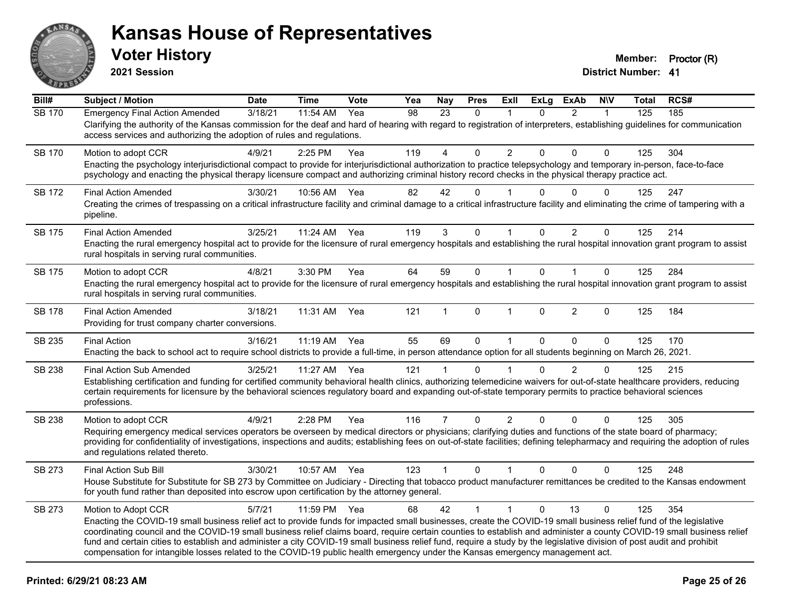

**2021 Session**

| Bill#         | <b>Subject / Motion</b>                                                                                                                                                                                                                                                                                                                                                                                                                                                                                                                                                                                                                                                       | <b>Date</b> | <b>Time</b> | Vote | Yea | <b>Nay</b>     | <b>Pres</b>  | ExIl           | <b>ExLg</b>  | <b>ExAb</b>    | <b>NIV</b>   | Total | RCS# |
|---------------|-------------------------------------------------------------------------------------------------------------------------------------------------------------------------------------------------------------------------------------------------------------------------------------------------------------------------------------------------------------------------------------------------------------------------------------------------------------------------------------------------------------------------------------------------------------------------------------------------------------------------------------------------------------------------------|-------------|-------------|------|-----|----------------|--------------|----------------|--------------|----------------|--------------|-------|------|
| <b>SB 170</b> | <b>Emergency Final Action Amended</b><br>Clarifying the authority of the Kansas commission for the deaf and hard of hearing with regard to registration of interpreters, establishing guidelines for communication<br>access services and authorizing the adoption of rules and regulations.                                                                                                                                                                                                                                                                                                                                                                                  | 3/18/21     | 11:54 AM    | Yea  | 98  | 23             | $\Omega$     | 1              | $\Omega$     | $\overline{2}$ | $\mathbf{1}$ | 125   | 185  |
| <b>SB 170</b> | Motion to adopt CCR<br>Enacting the psychology interjurisdictional compact to provide for interjurisdictional authorization to practice telepsychology and temporary in-person, face-to-face<br>psychology and enacting the physical therapy licensure compact and authorizing criminal history record checks in the physical therapy practice act.                                                                                                                                                                                                                                                                                                                           | 4/9/21      | 2:25 PM     | Yea  | 119 | 4              | $\Omega$     | $\overline{2}$ | $\Omega$     | $\Omega$       | $\Omega$     | 125   | 304  |
| SB 172        | <b>Final Action Amended</b><br>Creating the crimes of trespassing on a critical infrastructure facility and criminal damage to a critical infrastructure facility and eliminating the crime of tampering with a<br>pipeline.                                                                                                                                                                                                                                                                                                                                                                                                                                                  | 3/30/21     | 10:56 AM    | Yea  | 82  | 42             | $\Omega$     |                | $\Omega$     | $\Omega$       | 0            | 125   | 247  |
| <b>SB 175</b> | <b>Final Action Amended</b><br>Enacting the rural emergency hospital act to provide for the licensure of rural emergency hospitals and establishing the rural hospital innovation grant program to assist<br>rural hospitals in serving rural communities.                                                                                                                                                                                                                                                                                                                                                                                                                    | 3/25/21     | 11:24 AM    | Yea  | 119 | 3              | $\Omega$     | $\mathbf{1}$   | $\Omega$     | $\overline{2}$ | $\Omega$     | 125   | 214  |
| <b>SB 175</b> | Motion to adopt CCR<br>Enacting the rural emergency hospital act to provide for the licensure of rural emergency hospitals and establishing the rural hospital innovation grant program to assist<br>rural hospitals in serving rural communities.                                                                                                                                                                                                                                                                                                                                                                                                                            | 4/8/21      | 3:30 PM     | Yea  | 64  | 59             | $\mathbf 0$  | $\mathbf{1}$   | $\Omega$     | $\mathbf 1$    | $\Omega$     | 125   | 284  |
| <b>SB 178</b> | <b>Final Action Amended</b><br>Providing for trust company charter conversions.                                                                                                                                                                                                                                                                                                                                                                                                                                                                                                                                                                                               | 3/18/21     | 11:31 AM    | Yea  | 121 | 1              | $\Omega$     | $\mathbf 1$    | $\Omega$     | $\overline{2}$ | $\mathbf{0}$ | 125   | 184  |
| SB 235        | <b>Final Action</b><br>Enacting the back to school act to require school districts to provide a full-time, in person attendance option for all students beginning on March 26, 2021.                                                                                                                                                                                                                                                                                                                                                                                                                                                                                          | 3/16/21     | 11:19 AM    | Yea  | 55  | 69             | $\Omega$     | $\mathbf{1}$   | $\mathbf{0}$ | $\Omega$       | $\Omega$     | 125   | 170  |
| SB 238        | <b>Final Action Sub Amended</b><br>Establishing certification and funding for certified community behavioral health clinics, authorizing telemedicine waivers for out-of-state healthcare providers, reducing<br>certain requirements for licensure by the behavioral sciences regulatory board and expanding out-of-state temporary permits to practice behavioral sciences<br>professions.                                                                                                                                                                                                                                                                                  | 3/25/21     | 11:27 AM    | Yea  | 121 | $\mathbf{1}$   | $\Omega$     |                | $\Omega$     | $\overline{2}$ | $\mathbf 0$  | 125   | 215  |
| SB 238        | Motion to adopt CCR<br>Requiring emergency medical services operators be overseen by medical directors or physicians; clarifying duties and functions of the state board of pharmacy;<br>providing for confidentiality of investigations, inspections and audits; establishing fees on out-of-state facilities; defining telepharmacy and requiring the adoption of rules<br>and regulations related thereto.                                                                                                                                                                                                                                                                 | 4/9/21      | 2:28 PM     | Yea  | 116 | $\overline{7}$ | $\mathbf 0$  | $\overline{2}$ | 0            | $\mathbf 0$    | $\mathbf 0$  | 125   | 305  |
| SB 273        | <b>Final Action Sub Bill</b><br>House Substitute for Substitute for SB 273 by Committee on Judiciary - Directing that tobacco product manufacturer remittances be credited to the Kansas endowment<br>for youth fund rather than deposited into escrow upon certification by the attorney general.                                                                                                                                                                                                                                                                                                                                                                            | 3/30/21     | 10:57 AM    | Yea  | 123 | $\mathbf{1}$   | $\mathbf{0}$ | $\mathbf{1}$   | $\mathbf{0}$ | $\Omega$       | $\Omega$     | 125   | 248  |
| SB 273        | Motion to Adopt CCR<br>Enacting the COVID-19 small business relief act to provide funds for impacted small businesses, create the COVID-19 small business relief fund of the legislative<br>coordinating council and the COVID-19 small business relief claims board, require certain counties to establish and administer a county COVID-19 small business relief<br>fund and certain cities to establish and administer a city COVID-19 small business relief fund, require a study by the legislative division of post audit and prohibit<br>compensation for intangible losses related to the COVID-19 public health emergency under the Kansas emergency management act. | 5/7/21      | 11:59 PM    | Yea  | 68  | 42             | $\mathbf{1}$ | $\mathbf{1}$   | $\Omega$     | 13             | $\Omega$     | 125   | 354  |